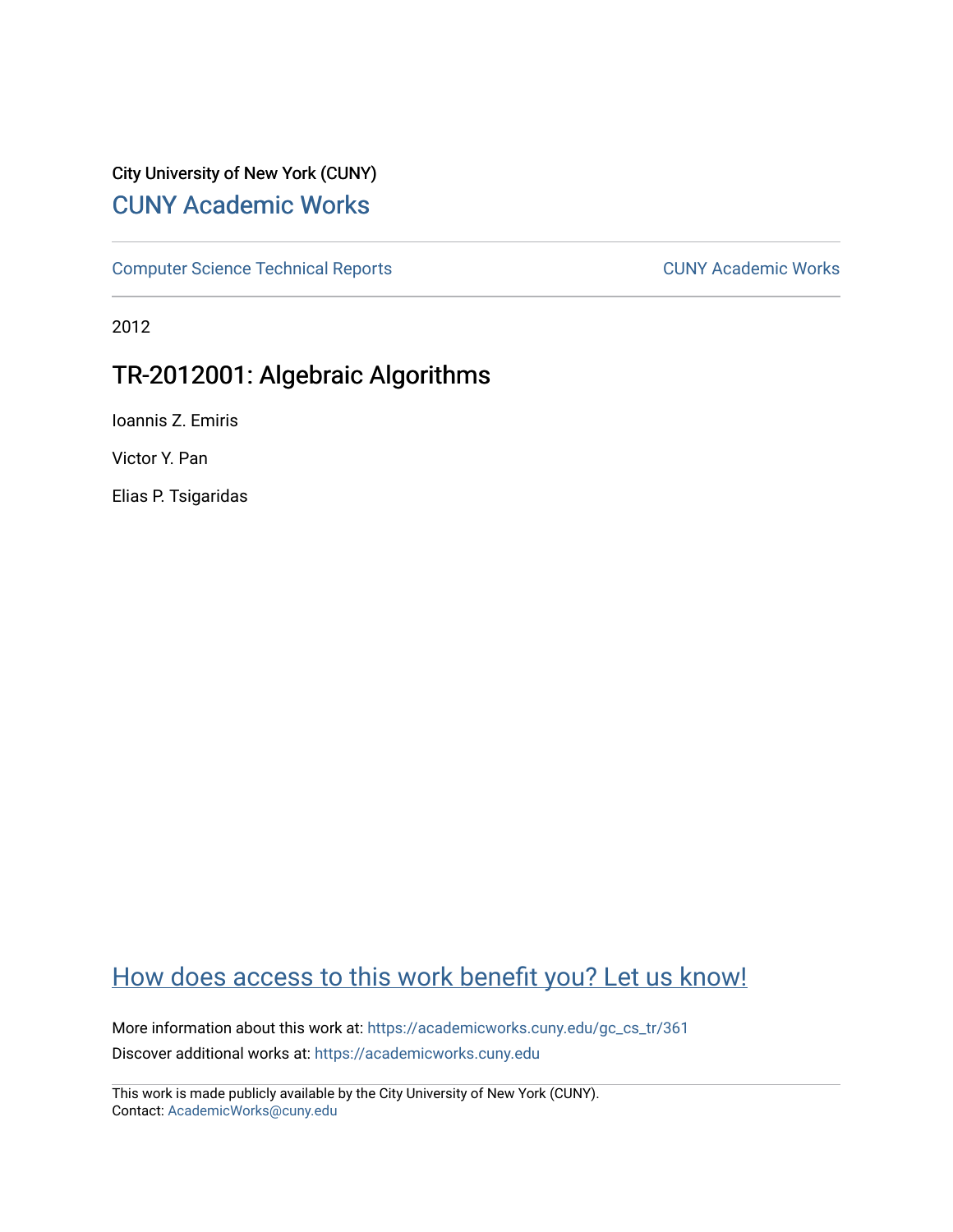# City University of New York (CUNY) [CUNY Academic Works](https://academicworks.cuny.edu/)

[Computer Science Technical Reports](https://academicworks.cuny.edu/gc_cs_tr) **CUNY Academic Works** CUNY Academic Works

2012

# TR-2012001: Algebraic Algorithms

Ioannis Z. Emiris

Victor Y. Pan

Elias P. Tsigaridas

# [How does access to this work benefit you? Let us know!](http://ols.cuny.edu/academicworks/?ref=https://academicworks.cuny.edu/gc_cs_tr/361)

More information about this work at: [https://academicworks.cuny.edu/gc\\_cs\\_tr/361](https://academicworks.cuny.edu/gc_cs_tr/361)  Discover additional works at: [https://academicworks.cuny.edu](https://academicworks.cuny.edu/?)

This work is made publicly available by the City University of New York (CUNY). Contact: [AcademicWorks@cuny.edu](mailto:AcademicWorks@cuny.edu)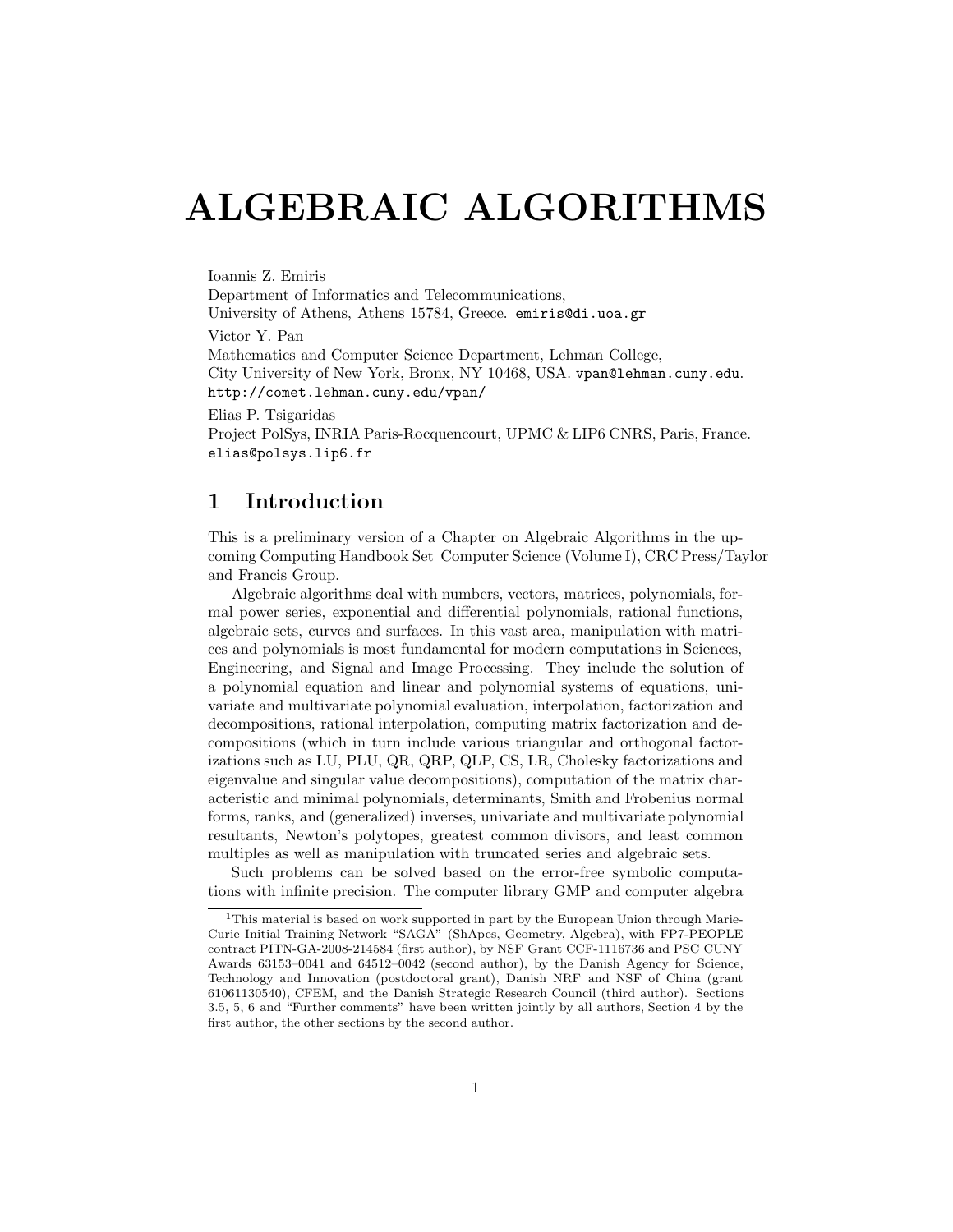# **ALGEBRAIC ALGORITHMS**<sup>1</sup>

Ioannis Z. Emiris Department of Informatics and Telecommunications, University of Athens, Athens 15784, Greece. emiris@di.uoa.gr Victor Y. Pan Mathematics and Computer Science Department, Lehman College, City University of New York, Bronx, NY 10468, USA. vpan@lehman.cuny.edu. http://comet.lehman.cuny.edu/vpan/ Elias P. Tsigaridas Project PolSys, INRIA Paris-Rocquencourt, UPMC & LIP6 CNRS, Paris, France. elias@polsys.lip6.fr

## **1 Introduction**

This is a preliminary version of a Chapter on Algebraic Algorithms in the upcoming Computing Handbook Set Computer Science (Volume I), CRC Press/Taylor and Francis Group.

Algebraic algorithms deal with numbers, vectors, matrices, polynomials, formal power series, exponential and differential polynomials, rational functions, algebraic sets, curves and surfaces. In this vast area, manipulation with matrices and polynomials is most fundamental for modern computations in Sciences, Engineering, and Signal and Image Processing. They include the solution of a polynomial equation and linear and polynomial systems of equations, univariate and multivariate polynomial evaluation, interpolation, factorization and decompositions, rational interpolation, computing matrix factorization and decompositions (which in turn include various triangular and orthogonal factorizations such as LU, PLU, QR, QRP, QLP, CS, LR, Cholesky factorizations and eigenvalue and singular value decompositions), computation of the matrix characteristic and minimal polynomials, determinants, Smith and Frobenius normal forms, ranks, and (generalized) inverses, univariate and multivariate polynomial resultants, Newton's polytopes, greatest common divisors, and least common multiples as well as manipulation with truncated series and algebraic sets.

Such problems can be solved based on the error-free symbolic computations with infinite precision. The computer library GMP and computer algebra

<sup>&</sup>lt;sup>1</sup>This material is based on work supported in part by the European Union through Marie-Curie Initial Training Network "SAGA" (ShApes, Geometry, Algebra), with FP7-PEOPLE contract PITN-GA-2008-214584 (first author), by NSF Grant CCF-1116736 and PSC CUNY Awards 63153–0041 and 64512–0042 (second author), by the Danish Agency for Science, Technology and Innovation (postdoctoral grant), Danish NRF and NSF of China (grant 61061130540), CFEM, and the Danish Strategic Research Council (third author). Sections 3.5, 5, 6 and "Further comments" have been written jointly by all authors, Section 4 by the first author, the other sections by the second author.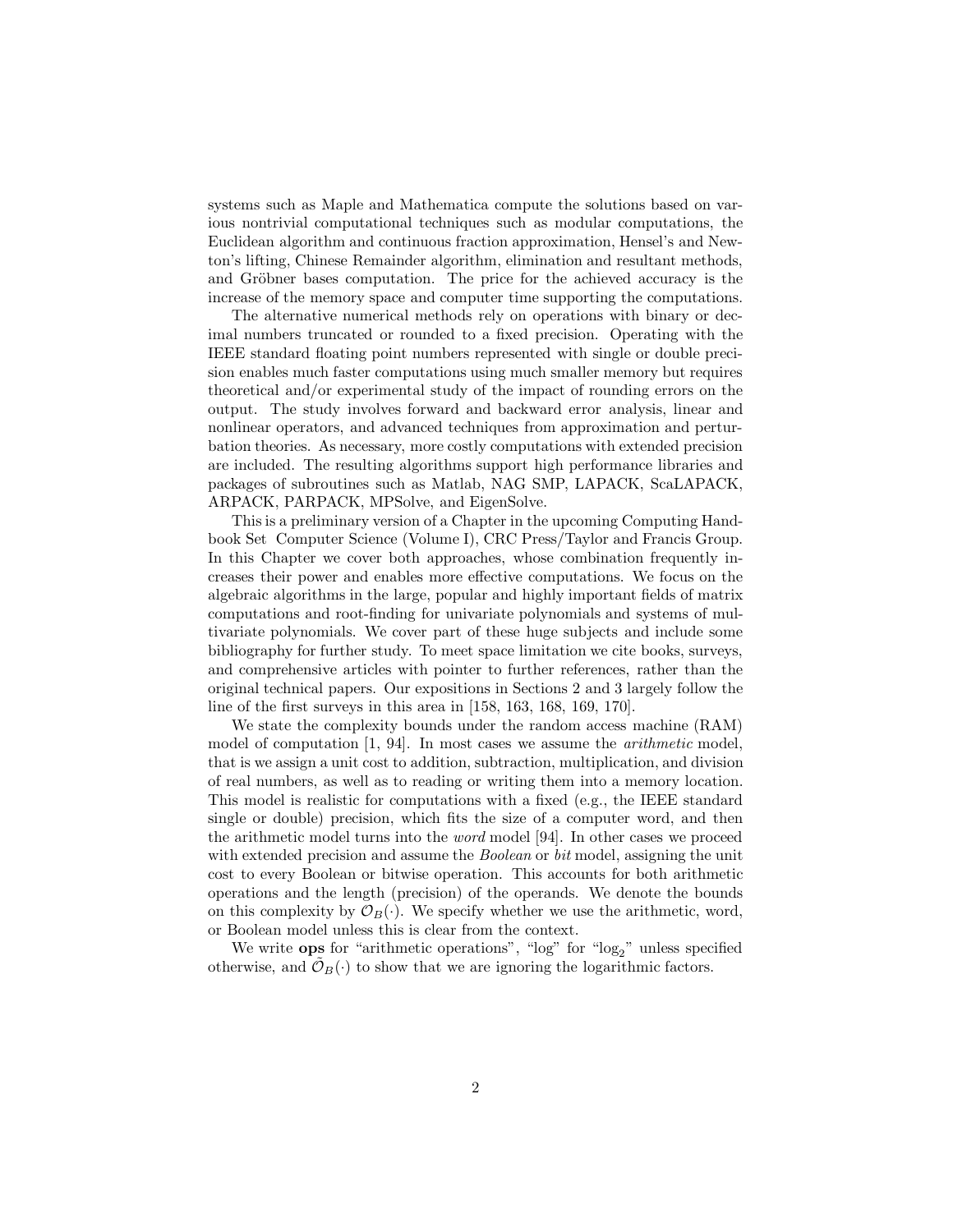systems such as Maple and Mathematica compute the solutions based on various nontrivial computational techniques such as modular computations, the Euclidean algorithm and continuous fraction approximation, Hensel's and Newton's lifting, Chinese Remainder algorithm, elimination and resultant methods, and Gröbner bases computation. The price for the achieved accuracy is the increase of the memory space and computer time supporting the computations.

The alternative numerical methods rely on operations with binary or decimal numbers truncated or rounded to a fixed precision. Operating with the IEEE standard floating point numbers represented with single or double precision enables much faster computations using much smaller memory but requires theoretical and/or experimental study of the impact of rounding errors on the output. The study involves forward and backward error analysis, linear and nonlinear operators, and advanced techniques from approximation and perturbation theories. As necessary, more costly computations with extended precision are included. The resulting algorithms support high performance libraries and packages of subroutines such as Matlab, NAG SMP, LAPACK, ScaLAPACK, ARPACK, PARPACK, MPSolve, and EigenSolve.

This is a preliminary version of a Chapter in the upcoming Computing Handbook Set Computer Science (Volume I), CRC Press/Taylor and Francis Group. In this Chapter we cover both approaches, whose combination frequently increases their power and enables more effective computations. We focus on the algebraic algorithms in the large, popular and highly important fields of matrix computations and root-finding for univariate polynomials and systems of multivariate polynomials. We cover part of these huge subjects and include some bibliography for further study. To meet space limitation we cite books, surveys, and comprehensive articles with pointer to further references, rather than the original technical papers. Our expositions in Sections 2 and 3 largely follow the line of the first surveys in this area in [158, 163, 168, 169, 170].

We state the complexity bounds under the random access machine (RAM) model of computation [1, 94]. In most cases we assume the *arithmetic* model, that is we assign a unit cost to addition, subtraction, multiplication, and division of real numbers, as well as to reading or writing them into a memory location. This model is realistic for computations with a fixed (e.g., the IEEE standard single or double) precision, which fits the size of a computer word, and then the arithmetic model turns into the *word* model [94]. In other cases we proceed with extended precision and assume the *Boolean* or *bit* model, assigning the unit cost to every Boolean or bitwise operation. This accounts for both arithmetic operations and the length (precision) of the operands. We denote the bounds on this complexity by  $\mathcal{O}_B(\cdot)$ . We specify whether we use the arithmetic, word, or Boolean model unless this is clear from the context.

We write **ops** for "arithmetic operations", "log" for "log<sub>2</sub>" unless specified otherwise, and  $\mathcal{O}_B(\cdot)$  to show that we are ignoring the logarithmic factors.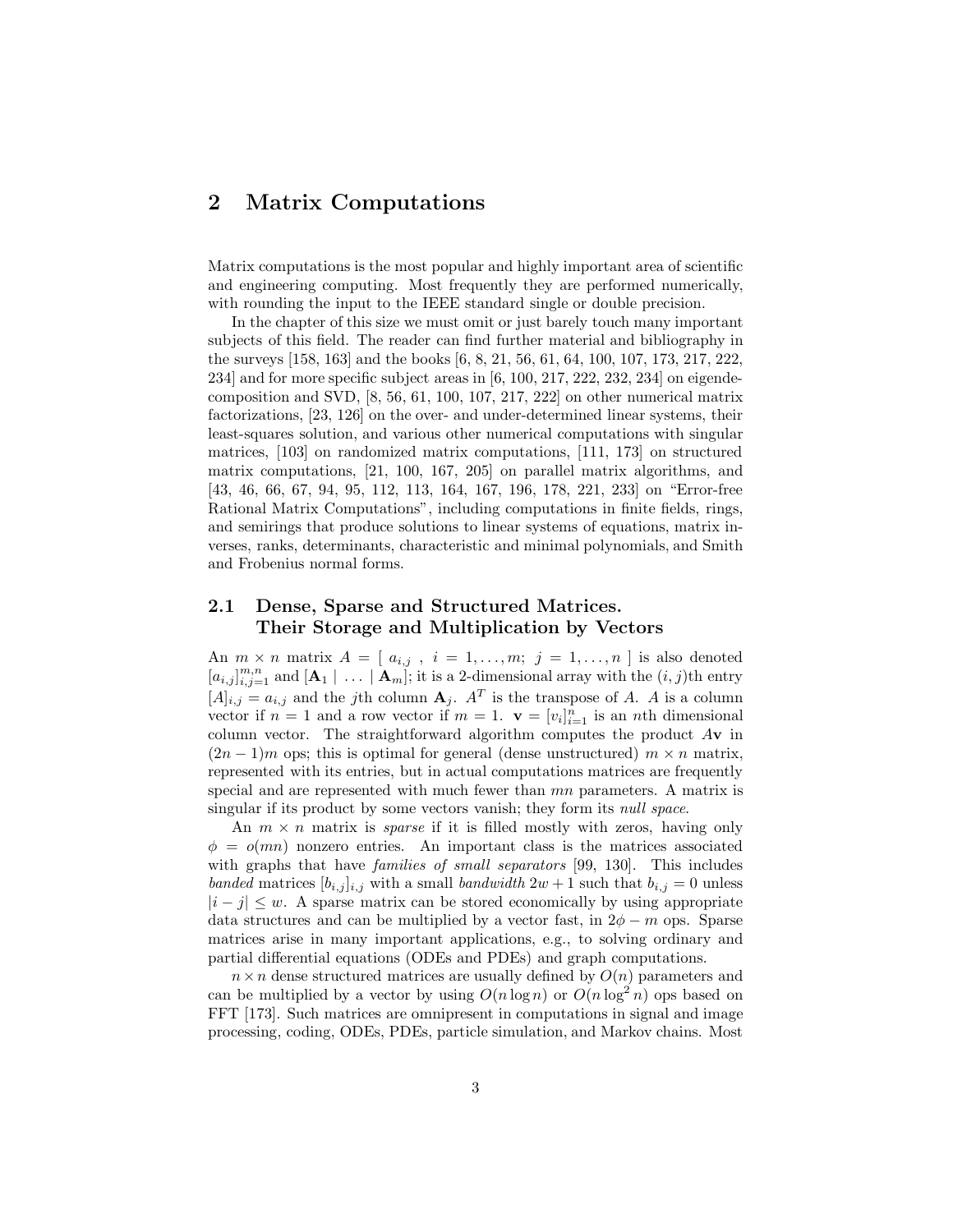# **2 Matrix Computations**

Matrix computations is the most popular and highly important area of scientific and engineering computing. Most frequently they are performed numerically, with rounding the input to the IEEE standard single or double precision.

In the chapter of this size we must omit or just barely touch many important subjects of this field. The reader can find further material and bibliography in the surveys [158, 163] and the books [6, 8, 21, 56, 61, 64, 100, 107, 173, 217, 222, 234] and for more specific subject areas in [6, 100, 217, 222, 232, 234] on eigendecomposition and SVD,  $[8, 56, 61, 100, 107, 217, 222]$  on other numerical matrix factorizations, [23, 126] on the over- and under-determined linear systems, their least-squares solution, and various other numerical computations with singular matrices, [103] on randomized matrix computations, [111, 173] on structured matrix computations, [21, 100, 167, 205] on parallel matrix algorithms, and [43, 46, 66, 67, 94, 95, 112, 113, 164, 167, 196, 178, 221, 233] on "Error-free Rational Matrix Computations", including computations in finite fields, rings, and semirings that produce solutions to linear systems of equations, matrix inverses, ranks, determinants, characteristic and minimal polynomials, and Smith and Frobenius normal forms.

### **2.1 Dense, Sparse and Structured Matrices. Their Storage and Multiplication by Vectors**

An  $m \times n$  matrix  $A = [a_{i,j}, i = 1, \ldots, m; j = 1, \ldots, n]$  is also denoted  $[a_{i,j}]_{i,j=1}^{m,n}$  and  $[\mathbf{A}_1 | \dots | \mathbf{A}_m]$ ; it is a 2-dimensional array with the  $(i, j)$ th entry  $[A]_{i,j} = a_{i,j}$  and the *j*th column  $A_j$ .  $A^T$  is the transpose of *A*. *A* is a column vector if  $n = 1$  and a row vector if  $m = 1$ .  $\mathbf{v} = [v_i]_{i=1}^n$  is an *n*th dimensional column vector. The straightforward algorithm computes the product *A***v** in  $(2n-1)m$  ops; this is optimal for general (dense unstructured)  $m \times n$  matrix, represented with its entries, but in actual computations matrices are frequently special and are represented with much fewer than *mn* parameters. A matrix is singular if its product by some vectors vanish; they form its *null space*.

An  $m \times n$  matrix is *sparse* if it is filled mostly with zeros, having only  $\phi = o(mn)$  nonzero entries. An important class is the matrices associated with graphs that have *families of small separators* [99, 130]. This includes *banded* matrices  $[b_{i,j}]_{i,j}$  with a small *bandwidth*  $2w + 1$  such that  $b_{i,j} = 0$  unless  $|i-j| \leq w$ . A sparse matrix can be stored economically by using appropriate data structures and can be multiplied by a vector fast, in  $2\phi - m$  ops. Sparse matrices arise in many important applications, e.g., to solving ordinary and partial differential equations (ODEs and PDEs) and graph computations.

 $n \times n$  dense structured matrices are usually defined by  $O(n)$  parameters and can be multiplied by a vector by using  $O(n \log n)$  or  $O(n \log^2 n)$  ops based on FFT [173]. Such matrices are omnipresent in computations in signal and image processing, coding, ODEs, PDEs, particle simulation, and Markov chains. Most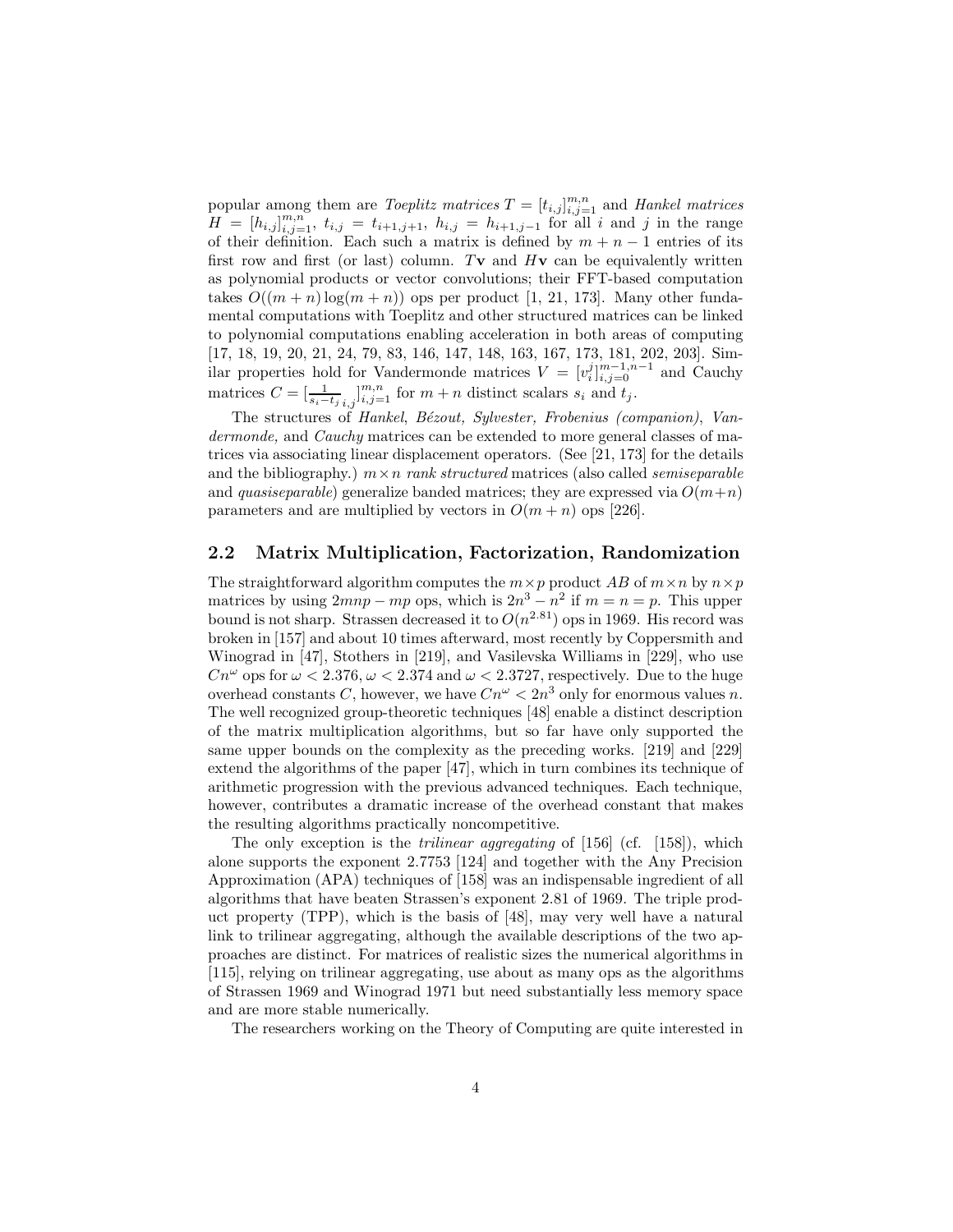popular among them are *Toeplitz matrices*  $T = [t_{i,j}]_{i,j=1}^{m,n}$  and *Hankel matrices*  $H = [h_{i,j}]_{i,j=1}^{m,n}, t_{i,j} = t_{i+1,j+1}, h_{i,j} = h_{i+1,j-1}$  for all *i* and *j* in the range of their definition. Each such a matrix is defined by  $m + n - 1$  entries of its first row and first (or last) column. *T***v** and *H***v** can be equivalently written as polynomial products or vector convolutions; their FFT-based computation takes  $O((m+n) \log(m+n))$  ops per product [1, 21, 173]. Many other fundamental computations with Toeplitz and other structured matrices can be linked to polynomial computations enabling acceleration in both areas of computing [17, 18, 19, 20, 21, 24, 79, 83, 146, 147, 148, 163, 167, 173, 181, 202, 203]. Similar properties hold for Vandermonde matrices  $V = [v_i^j]_{i,j=0}^{m-1,n-1}$  and Cauchy matrices  $C = \left[\frac{1}{s_i - t_j}\right]_{i,j=1}^{m,n}$  for  $m + n$  distinct scalars  $s_i$  and  $t_j$ .

The structures of *Hankel*, *Bézout, Sylvester, Frobenius (companion)*, *Vandermonde,* and *Cauchy* matrices can be extended to more general classes of matrices via associating linear displacement operators. (See [21, 173] for the details and the bibliography.)  $m \times n$  *rank structured* matrices (also called *semiseparable* and *quasiseparable*) generalize banded matrices; they are expressed via  $O(m+n)$ parameters and are multiplied by vectors in  $O(m+n)$  ops [226].

#### **2.2 Matrix Multiplication, Factorization, Randomization**

The straightforward algorithm computes the  $m \times p$  product *AB* of  $m \times n$  by  $n \times p$ matrices by using  $2mnp - mp$  ops, which is  $2n^3 - n^2$  if  $m = n = p$ . This upper bound is not sharp. Strassen decreased it to  $O(n^{2.81})$  ops in 1969. His record was broken in [157] and about 10 times afterward, most recently by Coppersmith and Winograd in [47], Stothers in [219], and Vasilevska Williams in [229], who use  $Cn^{\omega}$  ops for  $\omega < 2.376$ ,  $\omega < 2.374$  and  $\omega < 2.3727$ , respectively. Due to the huge overhead constants *C*, however, we have  $Cn^{\omega} < 2n^3$  only for enormous values *n*. The well recognized group-theoretic techniques [48] enable a distinct description of the matrix multiplication algorithms, but so far have only supported the same upper bounds on the complexity as the preceding works. [219] and [229] extend the algorithms of the paper [47], which in turn combines its technique of arithmetic progression with the previous advanced techniques. Each technique, however, contributes a dramatic increase of the overhead constant that makes the resulting algorithms practically noncompetitive.

The only exception is the *trilinear aggregating* of [156] (cf. [158]), which alone supports the exponent 2.7753 [124] and together with the Any Precision Approximation (APA) techniques of [158] was an indispensable ingredient of all algorithms that have beaten Strassen's exponent 2.81 of 1969. The triple product property (TPP), which is the basis of [48], may very well have a natural link to trilinear aggregating, although the available descriptions of the two approaches are distinct. For matrices of realistic sizes the numerical algorithms in [115], relying on trilinear aggregating, use about as many ops as the algorithms of Strassen 1969 and Winograd 1971 but need substantially less memory space and are more stable numerically.

The researchers working on the Theory of Computing are quite interested in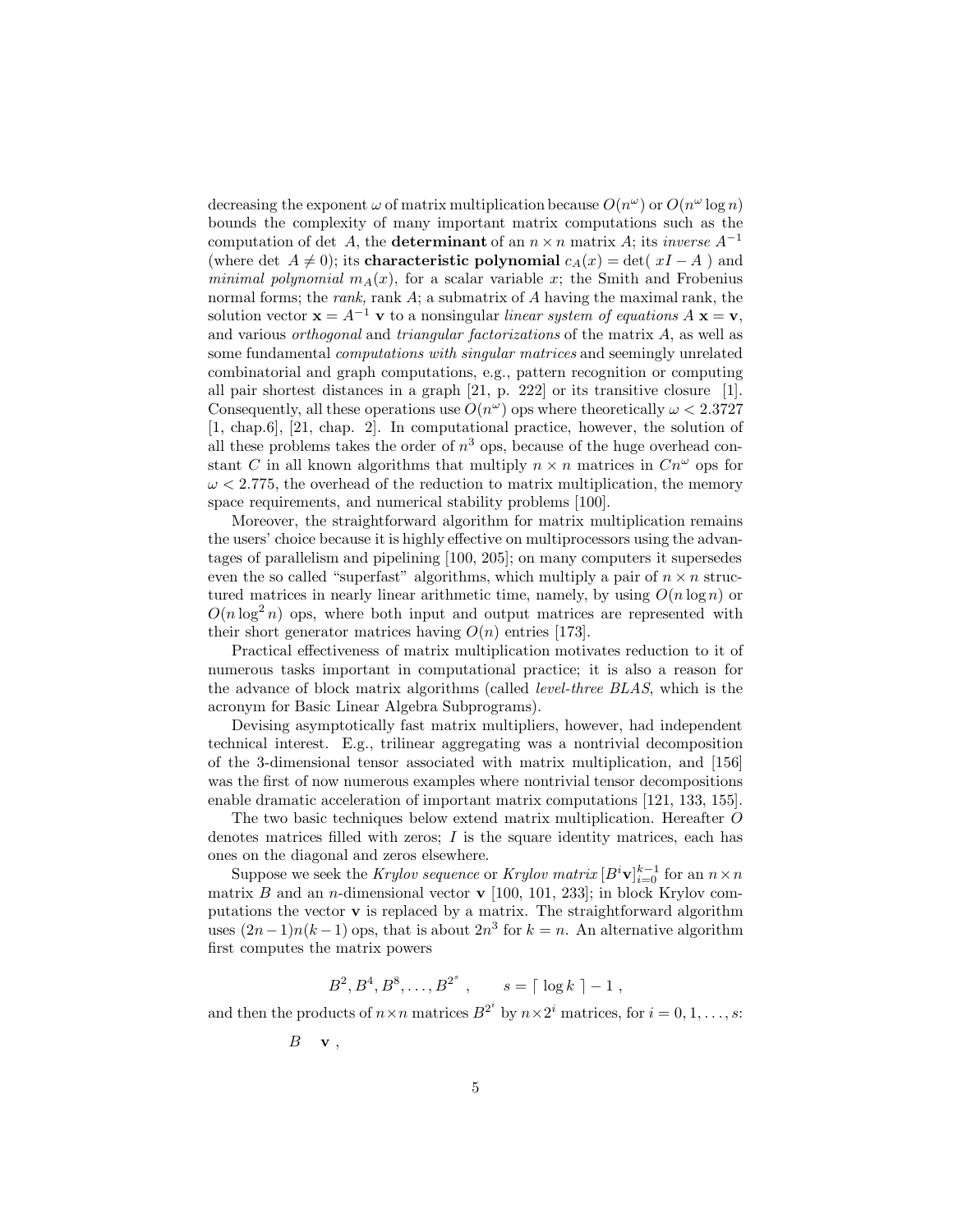decreasing the exponent  $\omega$  of matrix multiplication because  $O(n^{\omega})$  or  $O(n^{\omega} \log n)$ bounds the complexity of many important matrix computations such as the computation of det *A*, the **determinant** of an  $n \times n$  matrix *A*; its *inverse*  $A^{-1}$ (where det  $A \neq 0$ ); its **characteristic polynomial**  $c_A(x) = \det(xI - A)$  and *minimal polynomial*  $m_A(x)$ , for a scalar variable x; the Smith and Frobenius normal forms; the *rank,* rank *A*; a submatrix of *A* having the maximal rank, the solution vector  $\mathbf{x} = A^{-1} \mathbf{v}$  to a nonsingular *linear system of equations*  $A \mathbf{x} = \mathbf{v}$ , and various *orthogonal* and *triangular factorizations* of the matrix *A*, as well as some fundamental *computations with singular matrices* and seemingly unrelated combinatorial and graph computations, e.g., pattern recognition or computing all pair shortest distances in a graph  $[21, p. 222]$  or its transitive closure  $[1]$ . Consequently, all these operations use  $O(n^{\omega})$  ops where theoretically  $\omega < 2.3727$ [1, chap.6], [21, chap. 2]. In computational practice, however, the solution of all these problems takes the order of  $n<sup>3</sup>$  ops, because of the huge overhead constant *C* in all known algorithms that multiply  $n \times n$  matrices in  $Cn^{\omega}$  ops for  $\omega$   $\lt$  2.775, the overhead of the reduction to matrix multiplication, the memory space requirements, and numerical stability problems [100].

Moreover, the straightforward algorithm for matrix multiplication remains the users' choice because it is highly effective on multiprocessors using the advantages of parallelism and pipelining [100, 205]; on many computers it supersedes even the so called "superfast" algorithms, which multiply a pair of  $n \times n$  structured matrices in nearly linear arithmetic time, namely, by using  $O(n \log n)$  or  $O(n \log^2 n)$  ops, where both input and output matrices are represented with their short generator matrices having  $O(n)$  entries [173].

Practical effectiveness of matrix multiplication motivates reduction to it of numerous tasks important in computational practice; it is also a reason for the advance of block matrix algorithms (called *level-three BLAS*, which is the acronym for Basic Linear Algebra Subprograms).

Devising asymptotically fast matrix multipliers, however, had independent technical interest. E.g., trilinear aggregating was a nontrivial decomposition of the 3-dimensional tensor associated with matrix multiplication, and [156] was the first of now numerous examples where nontrivial tensor decompositions enable dramatic acceleration of important matrix computations [121, 133, 155].

The two basic techniques below extend matrix multiplication. Hereafter *O* denotes matrices filled with zeros; *I* is the square identity matrices, each has ones on the diagonal and zeros elsewhere.

Suppose we seek the *Krylov sequence* or *Krylov matrix*  $[B^i \mathbf{v}]_{i=0}^{k-1}$  for an  $n \times n$ matrix *B* and an *n*-dimensional vector  $\bf{v}$  [100, 101, 233]; in block Krylov computations the vector **v** is replaced by a matrix. The straightforward algorithm uses  $(2n-1)n(k-1)$  ops, that is about  $2n<sup>3</sup>$  for  $k = n$ . An alternative algorithm first computes the matrix powers

$$
B^2, B^4, B^8, \ldots, B^{2^s}, \qquad s = \lceil \log k \rceil - 1
$$

and then the products of  $n \times n$  matrices  $B^{2^i}$  by  $n \times 2^i$  matrices, for  $i = 0, 1, \ldots, s$ :

*B* **v** *,*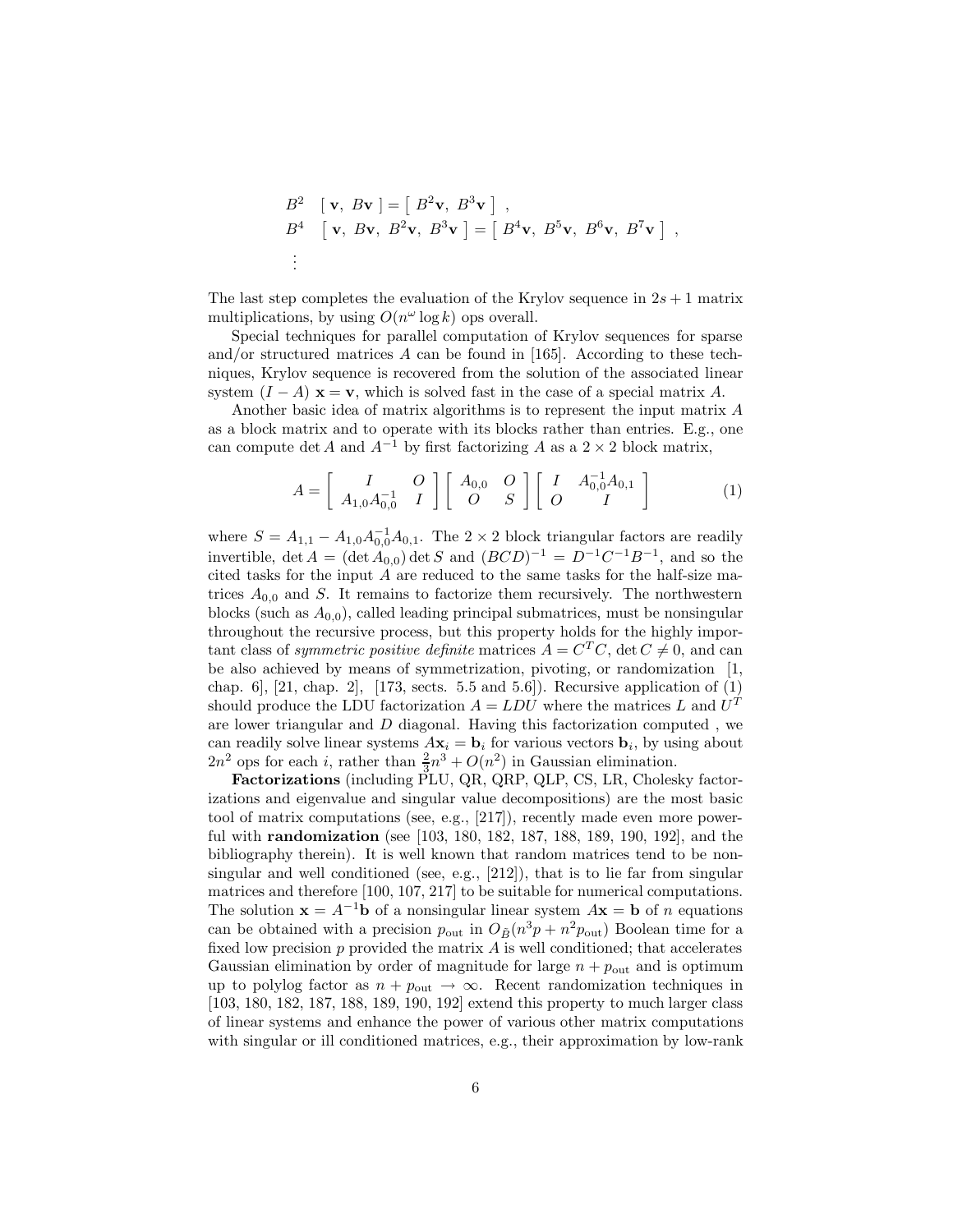$$
B2 \quad [\mathbf{v}, B\mathbf{v}] = [B2\mathbf{v}, B3\mathbf{v}] ,
$$
  
\n
$$
B4 \quad [\mathbf{v}, B\mathbf{v}, B2\mathbf{v}, B3\mathbf{v}] = [B4\mathbf{v}, B5\mathbf{v}, B6\mathbf{v}, B7\mathbf{v}] ,
$$
  
\n
$$
\vdots
$$

The last step completes the evaluation of the Krylov sequence in  $2s + 1$  matrix multiplications, by using  $O(n^{\omega} \log k)$  ops overall.

Special techniques for parallel computation of Krylov sequences for sparse and/or structured matrices *A* can be found in [165]. According to these techniques, Krylov sequence is recovered from the solution of the associated linear system  $(I - A)$  **x** = **v**, which is solved fast in the case of a special matrix *A*.

Another basic idea of matrix algorithms is to represent the input matrix *A* as a block matrix and to operate with its blocks rather than entries. E.g., one can compute det *A* and  $A^{-1}$  by first factorizing *A* as a 2 × 2 block matrix,

$$
A = \begin{bmatrix} I & O \\ A_{1,0} A_{0,0}^{-1} & I \end{bmatrix} \begin{bmatrix} A_{0,0} & O \\ O & S \end{bmatrix} \begin{bmatrix} I & A_{0,0}^{-1} A_{0,1} \\ O & I \end{bmatrix}
$$
 (1)

where  $S = A_{1,1} - A_{1,0}A_{0,0}^{-1}A_{0,1}$ . The 2 × 2 block triangular factors are readily invertible, det  $A = (\det A_{0,0}) \det S$  and  $(BCD)^{-1} = D^{-1}C^{-1}B^{-1}$ , and so the cited tasks for the input *A* are reduced to the same tasks for the half-size matrices  $A_{0,0}$  and *S*. It remains to factorize them recursively. The northwestern blocks (such as *A*0*,*0), called leading principal submatrices, must be nonsingular throughout the recursive process, but this property holds for the highly important class of *symmetric positive definite* matrices  $\vec{A} = C^T C$ , det  $C \neq 0$ , and can be also achieved by means of symmetrization, pivoting, or randomization [1, chap. 6,  $[21,$  chap. 2,  $[173, \text{sects. } 5.5 \text{ and } 5.6]$ . Recursive application of  $(1)$ should produce the LDU factorization  $A = LDU$  where the matrices  $L$  and  $U<sup>T</sup>$ are lower triangular and *D* diagonal. Having this factorization computed , we can readily solve linear systems  $A\mathbf{x}_i = \mathbf{b}_i$  for various vectors  $\mathbf{b}_i$ , by using about  $2n^2$  ops for each *i*, rather than  $\frac{2}{3}n^3 + O(n^2)$  in Gaussian elimination.

**Factorizations** (including PLU, QR, QRP, QLP, CS, LR, Cholesky factorizations and eigenvalue and singular value decompositions) are the most basic tool of matrix computations (see, e.g., [217]), recently made even more powerful with **randomization** (see [103, 180, 182, 187, 188, 189, 190, 192], and the bibliography therein). It is well known that random matrices tend to be nonsingular and well conditioned (see, e.g., [212]), that is to lie far from singular matrices and therefore [100, 107, 217] to be suitable for numerical computations. The solution  $\mathbf{x} = A^{-1}\mathbf{b}$  of a nonsingular linear system  $A\mathbf{x} = \mathbf{b}$  of *n* equations can be obtained with a precision  $p_{\text{out}}$  in  $O_{\tilde{B}}(n^3p + n^2p_{\text{out}})$  Boolean time for a fixed low precision *p* provided the matrix *A* is well conditioned; that accelerates Gaussian elimination by order of magnitude for large  $n + p_{\text{out}}$  and is optimum up to polylog factor as  $n + p_{\text{out}} \rightarrow \infty$ . Recent randomization techniques in [103, 180, 182, 187, 188, 189, 190, 192] extend this property to much larger class of linear systems and enhance the power of various other matrix computations with singular or ill conditioned matrices, e.g., their approximation by low-rank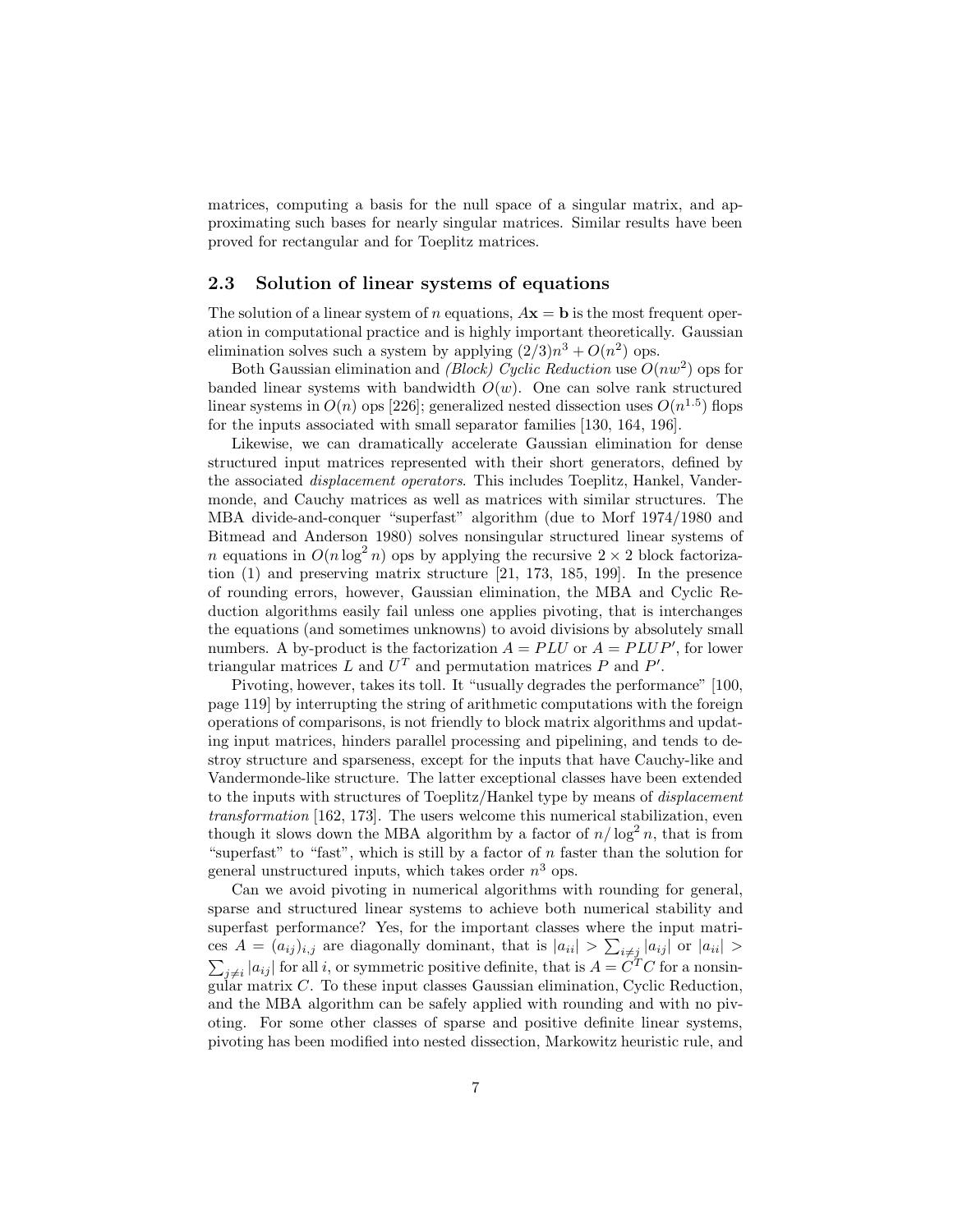matrices, computing a basis for the null space of a singular matrix, and approximating such bases for nearly singular matrices. Similar results have been proved for rectangular and for Toeplitz matrices.

#### **2.3 Solution of linear systems of equations**

The solution of a linear system of *n* equations,  $A$ **x** = **b** is the most frequent operation in computational practice and is highly important theoretically. Gaussian elimination solves such a system by applying  $(2/3)n^3 + O(n^2)$  ops.

Both Gaussian elimination and *(Block) Cyclic Reduction* use *O*(*nw*2) ops for banded linear systems with bandwidth  $O(w)$ . One can solve rank structured linear systems in  $O(n)$  ops [226]; generalized nested dissection uses  $O(n^{1.5})$  flops for the inputs associated with small separator families [130, 164, 196].

Likewise, we can dramatically accelerate Gaussian elimination for dense structured input matrices represented with their short generators, defined by the associated *displacement operators*. This includes Toeplitz, Hankel, Vandermonde, and Cauchy matrices as well as matrices with similar structures. The MBA divide-and-conquer "superfast" algorithm (due to Morf 1974/1980 and Bitmead and Anderson 1980) solves nonsingular structured linear systems of *n* equations in  $O(n \log^2 n)$  ops by applying the recursive  $2 \times 2$  block factorization (1) and preserving matrix structure [21, 173, 185, 199]. In the presence of rounding errors, however, Gaussian elimination, the MBA and Cyclic Reduction algorithms easily fail unless one applies pivoting, that is interchanges the equations (and sometimes unknowns) to avoid divisions by absolutely small numbers. A by-product is the factorization  $A = PLU$  or  $A = PLUP'$ , for lower triangular matrices  $L$  and  $U<sup>T</sup>$  and permutation matrices  $P$  and  $P'$ .

Pivoting, however, takes its toll. It "usually degrades the performance" [100, page 119] by interrupting the string of arithmetic computations with the foreign operations of comparisons, is not friendly to block matrix algorithms and updating input matrices, hinders parallel processing and pipelining, and tends to destroy structure and sparseness, except for the inputs that have Cauchy-like and Vandermonde-like structure. The latter exceptional classes have been extended to the inputs with structures of Toeplitz/Hankel type by means of *displacement transformation* [162, 173]. The users welcome this numerical stabilization, even though it slows down the MBA algorithm by a factor of  $n/\log^2 n$ , that is from "superfast" to "fast", which is still by a factor of *n* faster than the solution for general unstructured inputs, which takes order  $n^3$  ops.

Can we avoid pivoting in numerical algorithms with rounding for general, sparse and structured linear systems to achieve both numerical stability and superfast performance? Yes, for the important classes where the input matrices  $A = (a_{ij})_{i,j}$  are diagonally dominant, that is  $|a_{ii}| > \sum_{i \neq j} |a_{ij}|$  or  $|a_{ii}| >$  $\sum_{j\neq i} |a_{ij}|$  for all *i*, or symmetric positive definite, that is  $A = C^T C$  for a nonsingular matrix *C*. To these input classes Gaussian elimination, Cyclic Reduction, and the MBA algorithm can be safely applied with rounding and with no pivoting. For some other classes of sparse and positive definite linear systems, pivoting has been modified into nested dissection, Markowitz heuristic rule, and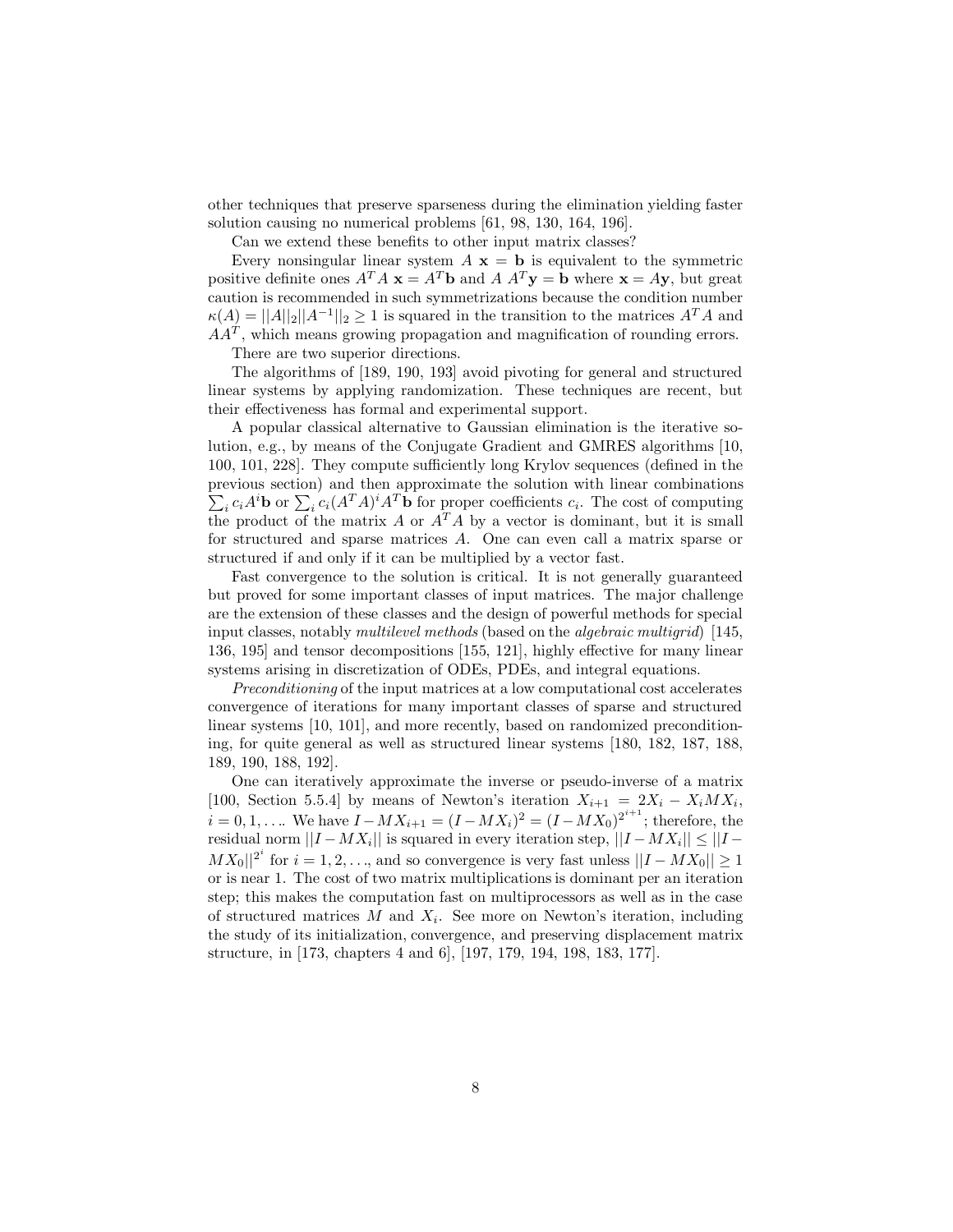other techniques that preserve sparseness during the elimination yielding faster solution causing no numerical problems [61, 98, 130, 164, 196].

Can we extend these benefits to other input matrix classes?

Every nonsingular linear system  $A \times = \mathbf{b}$  is equivalent to the symmetric positive definite ones  $A^T A \mathbf{x} = A^T \mathbf{b}$  and  $A A^T \mathbf{y} = \mathbf{b}$  where  $\mathbf{x} = A \mathbf{y}$ , but great caution is recommended in such symmetrizations because the condition number  $\kappa(A) = ||A||_2 ||A^{-1}||_2 \ge 1$  is squared in the transition to the matrices  $A^T A$  and *AA<sup>T</sup>* , which means growing propagation and magnification of rounding errors.

There are two superior directions.

The algorithms of [189, 190, 193] avoid pivoting for general and structured linear systems by applying randomization. These techniques are recent, but their effectiveness has formal and experimental support.

A popular classical alternative to Gaussian elimination is the iterative solution, e.g., by means of the Conjugate Gradient and GMRES algorithms [10, 100, 101, 228]. They compute sufficiently long Krylov sequences (defined in the previous section) and then approximate the solution with linear combinations  $\sum_i c_i A^i$ **b** or  $\sum_i c_i (A^T A)^i A^T$ **b** for proper coefficients  $c_i$ . The cost of computing the product of the matrix *A* or  $\overline{A}^T A$  by a vector is dominant, but it is small for structured and sparse matrices *A*. One can even call a matrix sparse or structured if and only if it can be multiplied by a vector fast.

Fast convergence to the solution is critical. It is not generally guaranteed but proved for some important classes of input matrices. The major challenge are the extension of these classes and the design of powerful methods for special input classes, notably *multilevel methods* (based on the *algebraic multigrid*) [145, 136, 195] and tensor decompositions [155, 121], highly effective for many linear systems arising in discretization of ODEs, PDEs, and integral equations.

*Preconditioning* of the input matrices at a low computational cost accelerates convergence of iterations for many important classes of sparse and structured linear systems [10, 101], and more recently, based on randomized preconditioning, for quite general as well as structured linear systems [180, 182, 187, 188, 189, 190, 188, 192].

One can iteratively approximate the inverse or pseudo-inverse of a matrix [100, Section 5.5.4] by means of Newton's iteration  $X_{i+1} = 2X_i - X_i M X_i$ , *i* = 0, 1,.... We have  $I - MX_{i+1} = (I - MX_i)^2 = (I - MX_0)^{2^{i+1}}$ ; therefore, the residual norm  $||I - MX_i||$  is squared in every iteration step,  $||I - MX_i|| \leq ||I MX_0||^{2^i}$  for  $i = 1, 2, \ldots$ , and so convergence is very fast unless  $||I - MX_0|| \ge 1$ or is near 1. The cost of two matrix multiplications is dominant per an iteration step; this makes the computation fast on multiprocessors as well as in the case of structured matrices *M* and *Xi*. See more on Newton's iteration, including the study of its initialization, convergence, and preserving displacement matrix structure, in [173, chapters 4 and 6], [197, 179, 194, 198, 183, 177].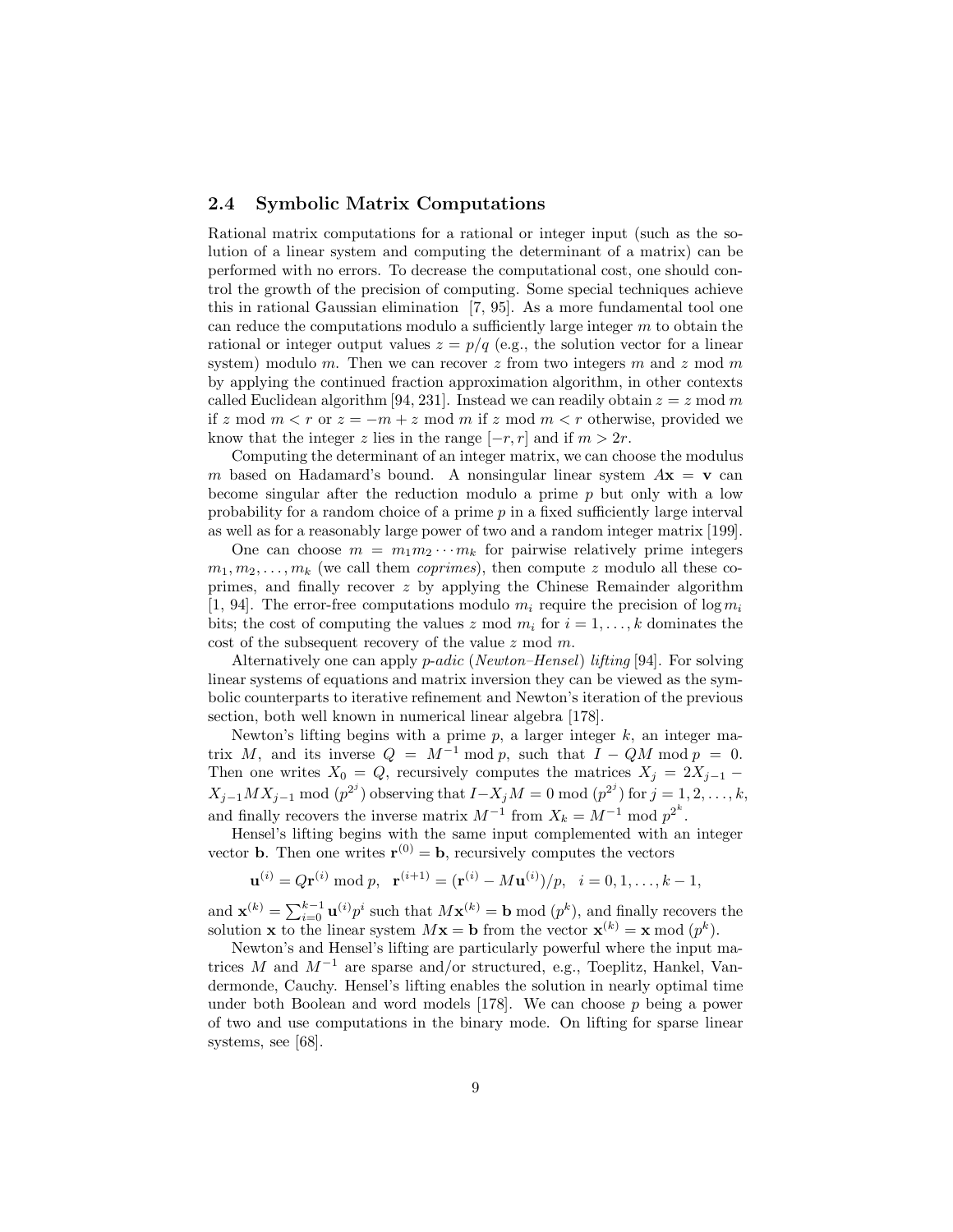#### **2.4 Symbolic Matrix Computations**

Rational matrix computations for a rational or integer input (such as the solution of a linear system and computing the determinant of a matrix) can be performed with no errors. To decrease the computational cost, one should control the growth of the precision of computing. Some special techniques achieve this in rational Gaussian elimination [7, 95]. As a more fundamental tool one can reduce the computations modulo a sufficiently large integer *m* to obtain the rational or integer output values  $z = p/q$  (e.g., the solution vector for a linear system) modulo *m*. Then we can recover *z* from two integers *m* and *z* mod *m* by applying the continued fraction approximation algorithm, in other contexts called Euclidean algorithm [94, 231]. Instead we can readily obtain  $z = z \mod m$ if *z* mod  $m < r$  or  $z = -m + z$  mod  $m$  if *z* mod  $m < r$  otherwise, provided we know that the integer *z* lies in the range  $[-r, r]$  and if  $m > 2r$ .

Computing the determinant of an integer matrix, we can choose the modulus *m* based on Hadamard's bound. A nonsingular linear system  $A\mathbf{x} = \mathbf{v}$  can become singular after the reduction modulo a prime *p* but only with a low probability for a random choice of a prime *p* in a fixed sufficiently large interval as well as for a reasonably large power of two and a random integer matrix [199].

One can choose  $m = m_1 m_2 \cdots m_k$  for pairwise relatively prime integers  $m_1, m_2, \ldots, m_k$  (we call them *coprimes*), then compute *z* modulo all these coprimes, and finally recover *z* by applying the Chinese Remainder algorithm [1, 94]. The error-free computations modulo  $m_i$  require the precision of  $\log m_i$ bits; the cost of computing the values  $z \mod m_i$  for  $i = 1, \ldots, k$  dominates the cost of the subsequent recovery of the value *z* mod *m*.

Alternatively one can apply *p*-*adic* (*Newton–Hensel*) *lifting* [94]. For solving linear systems of equations and matrix inversion they can be viewed as the symbolic counterparts to iterative refinement and Newton's iteration of the previous section, both well known in numerical linear algebra [178].

Newton's lifting begins with a prime *p*, a larger integer *k*, an integer matrix *M*, and its inverse  $Q = M^{-1} \text{ mod } p$ , such that  $I - QM \text{ mod } p = 0$ . Then one writes  $X_0 = Q$ , recursively computes the matrices  $X_j = 2X_{j-1}$  – *X*<sub>*j*−1</sub>*MX*<sub>*j*−1</sub> mod (*p*<sup>2*j*</sup>) observing that *I*−*X<sub>j</sub>M* = 0 mod (*p*<sup>2*j*</sup>) for *j* = 1*,* 2*,...,k*, and finally recovers the inverse matrix  $M^{-1}$  from  $X_k = M^{-1}$  mod  $p^{2^k}$ .

Hensel's lifting begins with the same input complemented with an integer vector **b**. Then one writes  $\mathbf{r}^{(0)} = \mathbf{b}$ , recursively computes the vectors

$$
\mathbf{u}^{(i)} = Q\mathbf{r}^{(i)} \bmod p, \ \ \mathbf{r}^{(i+1)} = (\mathbf{r}^{(i)} - M\mathbf{u}^{(i)})/p, \ \ i = 0, 1, \dots, k-1,
$$

and  $\mathbf{x}^{(k)} = \sum_{i=0}^{k-1} \mathbf{u}^{(i)} p^i$  such that  $M\mathbf{x}^{(k)} = \mathbf{b} \mod (p^k)$ , and finally recovers the solution **x** to the linear system  $M$ **x** = **b** from the vector  $\mathbf{x}^{(k)} = \mathbf{x} \mod (p^k)$ .

Newton's and Hensel's lifting are particularly powerful where the input matrices *M* and *M*−<sup>1</sup> are sparse and/or structured, e.g., Toeplitz, Hankel, Vandermonde, Cauchy. Hensel's lifting enables the solution in nearly optimal time under both Boolean and word models [178]. We can choose *p* being a power of two and use computations in the binary mode. On lifting for sparse linear systems, see [68].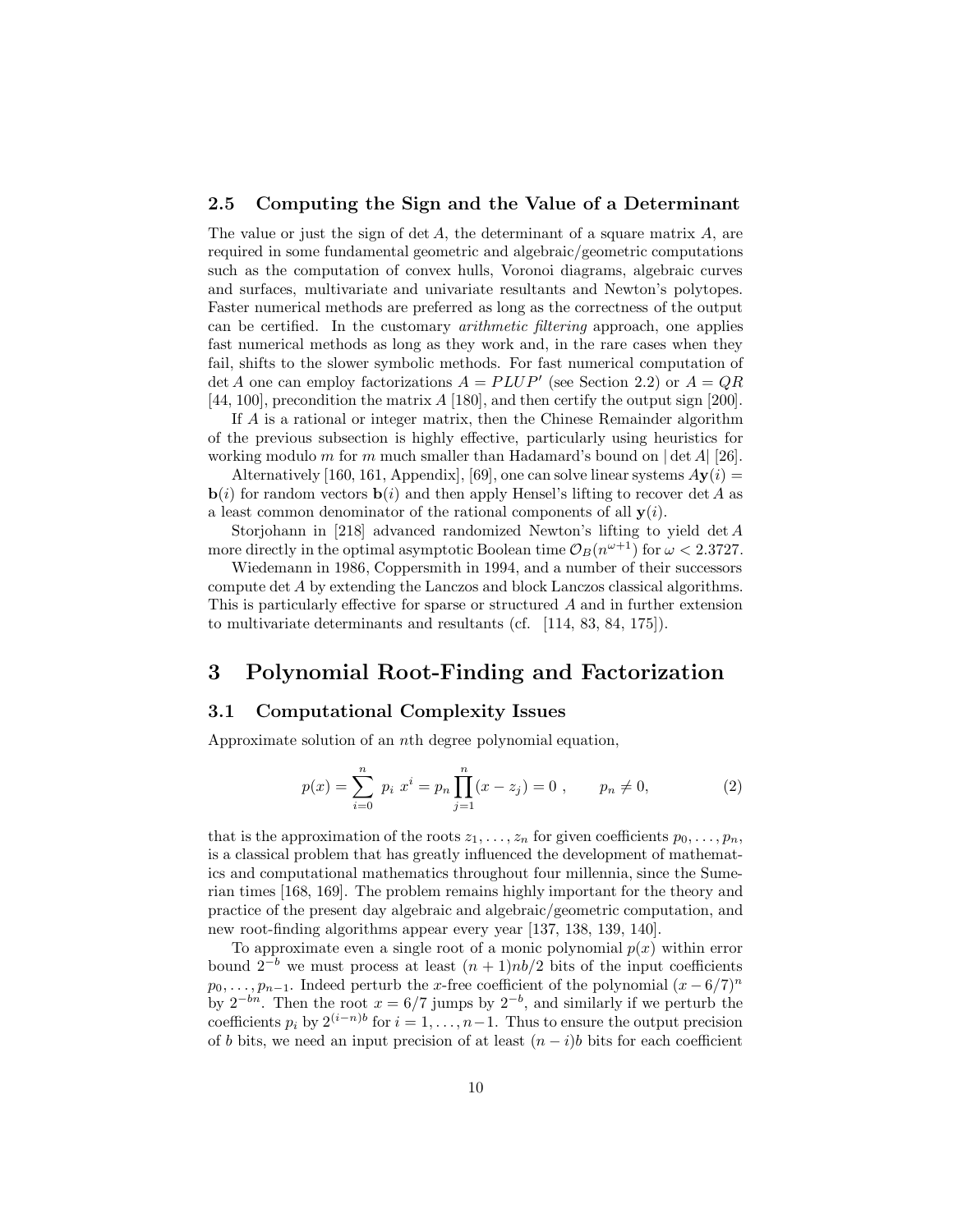#### **2.5 Computing the Sign and the Value of a Determinant**

The value or just the sign of det *A*, the determinant of a square matrix *A*, are required in some fundamental geometric and algebraic/geometric computations such as the computation of convex hulls, Voronoi diagrams, algebraic curves and surfaces, multivariate and univariate resultants and Newton's polytopes. Faster numerical methods are preferred as long as the correctness of the output can be certified. In the customary *arithmetic filtering* approach, one applies fast numerical methods as long as they work and, in the rare cases when they fail, shifts to the slower symbolic methods. For fast numerical computation of det *A* one can employ factorizations  $A = PLUP'$  (see Section 2.2) or  $A = QR$ [44, 100], precondition the matrix *A* [180], and then certify the output sign [200].

If *A* is a rational or integer matrix, then the Chinese Remainder algorithm of the previous subsection is highly effective, particularly using heuristics for working modulo *m* for *m* much smaller than Hadamard's bound on | det *A*| [26].

Alternatively [160, 161, Appendix], [69], one can solve linear systems  $A**y**(i)$  =  $\mathbf{b}(i)$  for random vectors  $\mathbf{b}(i)$  and then apply Hensel's lifting to recover det *A* as a least common denominator of the rational components of all **y**(*i*).

Storjohann in [218] advanced randomized Newton's lifting to yield det *A* more directly in the optimal asymptotic Boolean time  $\mathcal{O}_B(n^{\omega+1})$  for  $\omega < 2.3727$ .

Wiedemann in 1986, Coppersmith in 1994, and a number of their successors compute det *A* by extending the Lanczos and block Lanczos classical algorithms. This is particularly effective for sparse or structured *A* and in further extension to multivariate determinants and resultants (cf. [114, 83, 84, 175]).

## **3 Polynomial Root-Finding and Factorization**

#### **3.1 Computational Complexity Issues**

Approximate solution of an *n*th degree polynomial equation,

$$
p(x) = \sum_{i=0}^{n} p_i x^{i} = p_n \prod_{j=1}^{n} (x - z_j) = 0 , \qquad p_n \neq 0,
$$
 (2)

that is the approximation of the roots  $z_1, \ldots, z_n$  for given coefficients  $p_0, \ldots, p_n$ , is a classical problem that has greatly influenced the development of mathematics and computational mathematics throughout four millennia, since the Sumerian times [168, 169]. The problem remains highly important for the theory and practice of the present day algebraic and algebraic/geometric computation, and new root-finding algorithms appear every year [137, 138, 139, 140].

To approximate even a single root of a monic polynomial  $p(x)$  within error bound  $2^{-b}$  we must process at least  $(n + 1)nb/2$  bits of the input coefficients  $p_0, \ldots, p_{n-1}$ . Indeed perturb the *x*-free coefficient of the polynomial  $(x - 6/7)^n$ by  $2^{-bn}$ . Then the root  $x = 6/7$  jumps by  $2^{-b}$ , and similarly if we perturb the coefficients *p<sub>i</sub>* by  $2^{(i-n)b}$  for  $i = 1, \ldots, n-1$ . Thus to ensure the output precision of *b* bits, we need an input precision of at least  $(n - i)b$  bits for each coefficient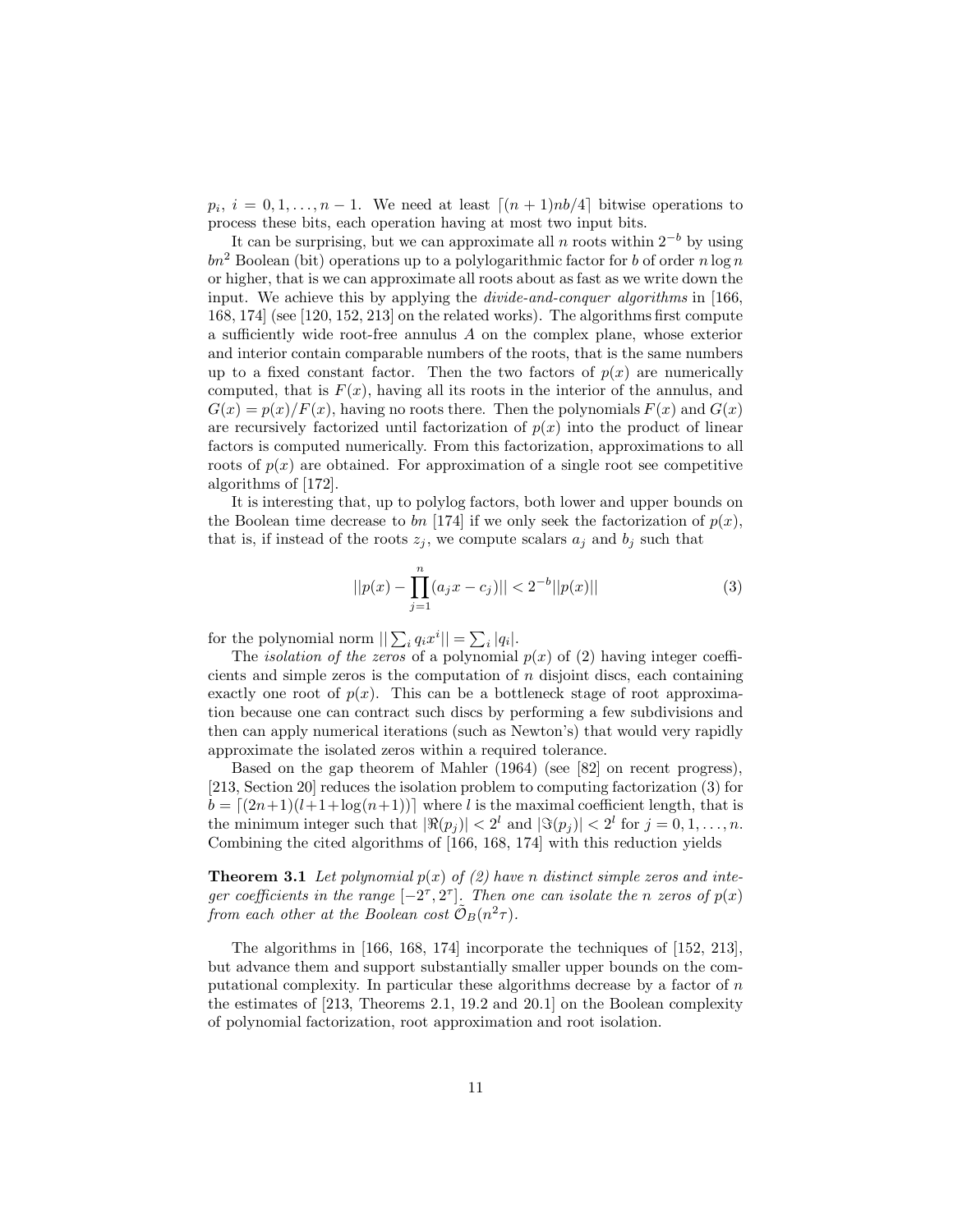$p_i$ ,  $i = 0, 1, \ldots, n - 1$ . We need at least  $[(n + 1)nb/4]$  bitwise operations to process these bits, each operation having at most two input bits.

It can be surprising, but we can approximate all  $n$  roots within  $2^{-b}$  by using  $bn^2$  Boolean (bit) operations up to a polylogarithmic factor for *b* of order *n* log *n* or higher, that is we can approximate all roots about as fast as we write down the input. We achieve this by applying the *divide-and-conquer algorithms* in [166, 168, 174] (see [120, 152, 213] on the related works). The algorithms first compute a sufficiently wide root-free annulus *A* on the complex plane, whose exterior and interior contain comparable numbers of the roots, that is the same numbers up to a fixed constant factor. Then the two factors of  $p(x)$  are numerically computed, that is  $F(x)$ , having all its roots in the interior of the annulus, and  $G(x) = p(x)/F(x)$ , having no roots there. Then the polynomials  $F(x)$  and  $G(x)$ are recursively factorized until factorization of  $p(x)$  into the product of linear factors is computed numerically. From this factorization, approximations to all roots of  $p(x)$  are obtained. For approximation of a single root see competitive algorithms of [172].

It is interesting that, up to polylog factors, both lower and upper bounds on the Boolean time decrease to *bn* [174] if we only seek the factorization of  $p(x)$ , that is, if instead of the roots  $z_j$ , we compute scalars  $a_j$  and  $b_j$  such that

$$
||p(x) - \prod_{j=1}^{n} (a_j x - c_j)|| < 2^{-b} ||p(x)|| \tag{3}
$$

for the polynomial norm  $||\sum_i q_i x^i|| = \sum_i |q_i|.$ 

The *isolation of the zeros* of a polynomial  $p(x)$  of (2) having integer coefficients and simple zeros is the computation of *n* disjoint discs, each containing exactly one root of  $p(x)$ . This can be a bottleneck stage of root approximation because one can contract such discs by performing a few subdivisions and then can apply numerical iterations (such as Newton's) that would very rapidly approximate the isolated zeros within a required tolerance.

Based on the gap theorem of Mahler (1964) (see [82] on recent progress), [213, Section 20] reduces the isolation problem to computing factorization (3) for  $b = [(2n+1)(l+1+\log(n+1))]$  where *l* is the maximal coefficient length, that is the minimum integer such that  $|\Re(p_j)| < 2^l$  and  $|\Im(p_j)| < 2^l$  for  $j = 0, 1, \ldots, n$ . Combining the cited algorithms of [166, 168, 174] with this reduction yields

**Theorem 3.1** *Let polynomial*  $p(x)$  *of* (2) *have n distinct simple zeros and integer coefficients in the range*  $[-2^{\tau}, 2^{\tau}]$ *. Then one can isolate the n zeros of*  $p(x)$ *from each other at the Boolean cost*  $\tilde{\mathcal{O}}_B(n^2\tau)$ *.* 

The algorithms in [166, 168, 174] incorporate the techniques of [152, 213], but advance them and support substantially smaller upper bounds on the computational complexity. In particular these algorithms decrease by a factor of *n* the estimates of [213, Theorems 2.1, 19.2 and 20.1] on the Boolean complexity of polynomial factorization, root approximation and root isolation.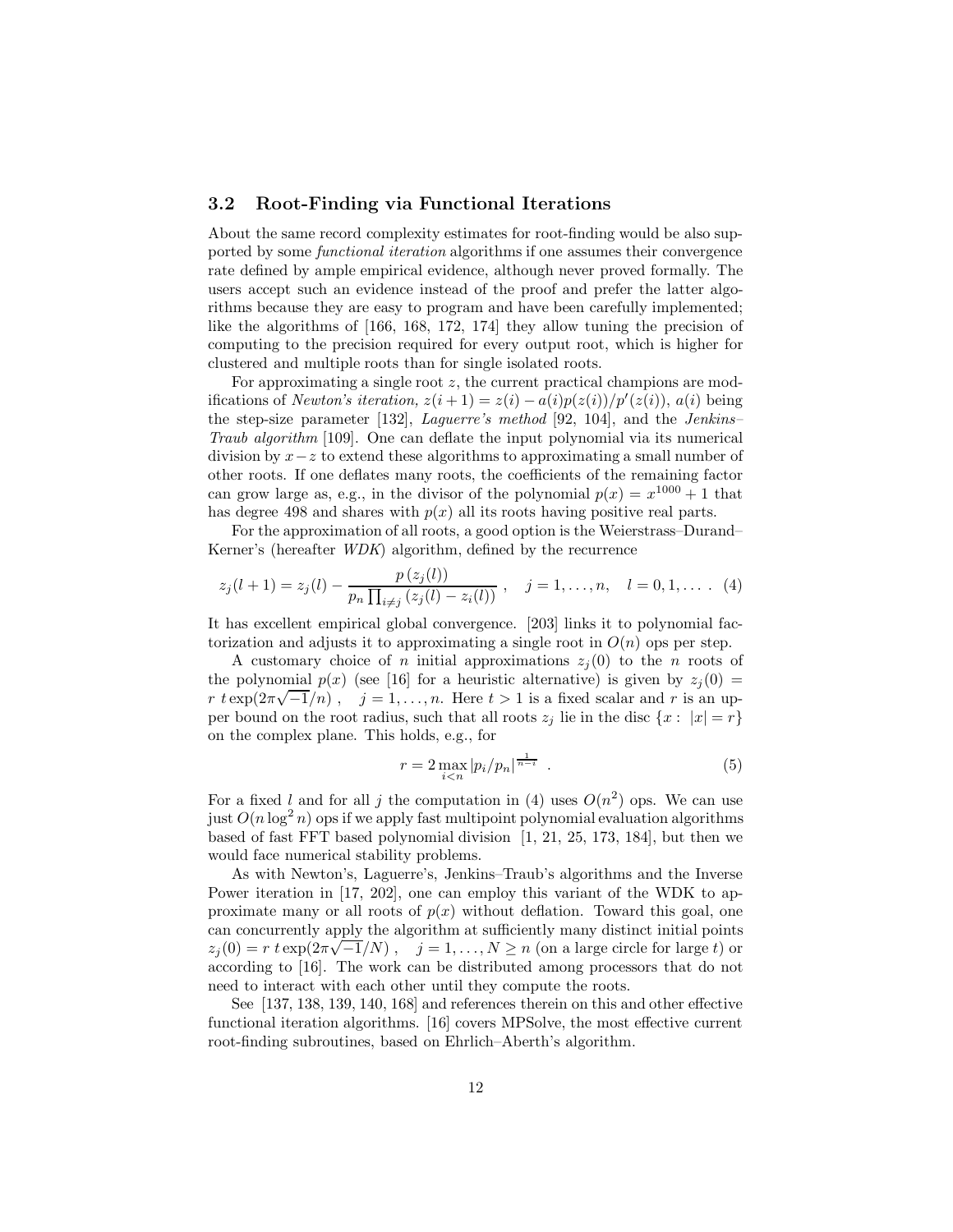#### **3.2 Root-Finding via Functional Iterations**

About the same record complexity estimates for root-finding would be also supported by some *functional iteration* algorithms if one assumes their convergence rate defined by ample empirical evidence, although never proved formally. The users accept such an evidence instead of the proof and prefer the latter algorithms because they are easy to program and have been carefully implemented; like the algorithms of [166, 168, 172, 174] they allow tuning the precision of computing to the precision required for every output root, which is higher for clustered and multiple roots than for single isolated roots.

For approximating a single root *z*, the current practical champions are modifications of *Newton's iteration,*  $z(i+1) = z(i) - a(i)p(z(i))/p'(z(i))$ ,  $a(i)$  being the step-size parameter [132], *Laguerre's method* [92, 104], and the *Jenkins– Traub algorithm* [109]. One can deflate the input polynomial via its numerical division by *x*−*z* to extend these algorithms to approximating a small number of other roots. If one deflates many roots, the coefficients of the remaining factor can grow large as, e.g., in the divisor of the polynomial  $p(x) = x^{1000} + 1$  that has degree 498 and shares with  $p(x)$  all its roots having positive real parts.

For the approximation of all roots, a good option is the Weierstrass–Durand– Kerner's (hereafter *WDK*) algorithm, defined by the recurrence

$$
z_j(l+1) = z_j(l) - \frac{p(z_j(l))}{p_n \prod_{i \neq j} (z_j(l) - z_i(l))}, \quad j = 1, ..., n, \quad l = 0, 1, .... \quad (4)
$$

It has excellent empirical global convergence. [203] links it to polynomial factorization and adjusts it to approximating a single root in  $O(n)$  ops per step.

A customary choice of *n* initial approximations  $z_i(0)$  to the *n* roots of the polynomial  $p(x)$  (see [16] for a heuristic alternative) is given by  $z_i(0) =$  $r t \exp(2\pi\sqrt{-1}/n)$ ,  $j = 1, ..., n$ . Here  $t > 1$  is a fixed scalar and *r* is an upper bound on the root radius, such that all roots  $z_i$  lie in the disc  $\{x : |x| = r\}$ on the complex plane. This holds, e.g., for

$$
r = 2 \max_{i < n} |p_i / p_n|^{\frac{1}{n-i}} \tag{5}
$$

For a fixed *l* and for all *j* the computation in (4) uses  $O(n^2)$  ops. We can use just  $O(n \log^2 n)$  ops if we apply fast multipoint polynomial evaluation algorithms based of fast FFT based polynomial division [1, 21, 25, 173, 184], but then we would face numerical stability problems.

As with Newton's, Laguerre's, Jenkins–Traub's algorithms and the Inverse Power iteration in [17, 202], one can employ this variant of the WDK to approximate many or all roots of  $p(x)$  without deflation. Toward this goal, one can concurrently apply the algorithm at sufficiently many distinct initial points  $z_j(0) = r \cdot t \exp(2\pi \sqrt{-1/N})$ ,  $j = 1, \ldots, N \ge n$  (on a large circle for large *t*) or according to [16]. The work can be distributed among processors that do not need to interact with each other until they compute the roots.

See [137, 138, 139, 140, 168] and references therein on this and other effective functional iteration algorithms. [16] covers MPSolve, the most effective current root-finding subroutines, based on Ehrlich–Aberth's algorithm.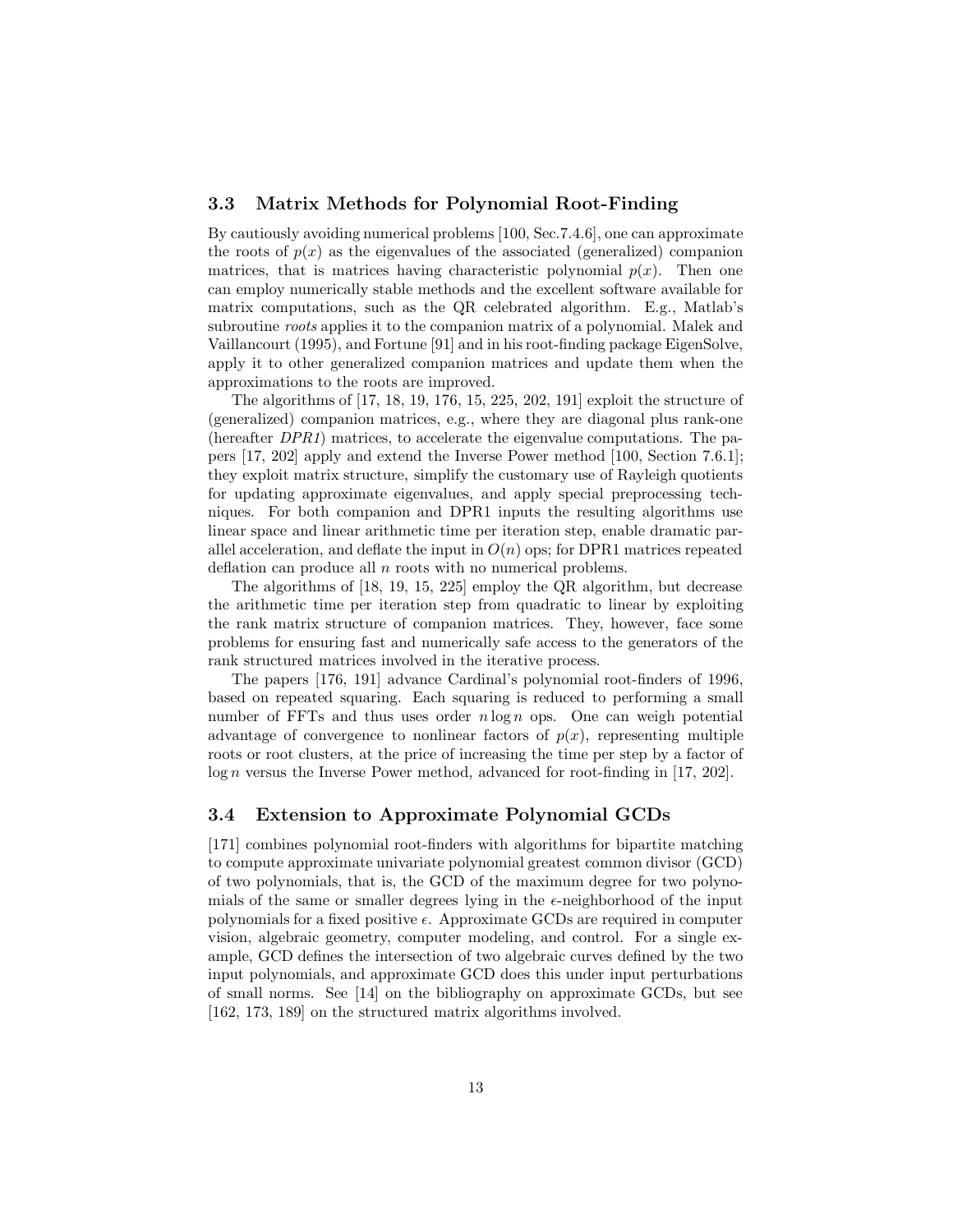#### **3.3 Matrix Methods for Polynomial Root-Finding**

By cautiously avoiding numerical problems [100, Sec.7.4.6], one can approximate the roots of  $p(x)$  as the eigenvalues of the associated (generalized) companion matrices, that is matrices having characteristic polynomial  $p(x)$ . Then one can employ numerically stable methods and the excellent software available for matrix computations, such as the QR celebrated algorithm. E.g., Matlab's subroutine *roots* applies it to the companion matrix of a polynomial. Malek and Vaillancourt (1995), and Fortune [91] and in his root-finding package EigenSolve, apply it to other generalized companion matrices and update them when the approximations to the roots are improved.

The algorithms of [17, 18, 19, 176, 15, 225, 202, 191] exploit the structure of (generalized) companion matrices, e.g., where they are diagonal plus rank-one (hereafter *DPR1*) matrices, to accelerate the eigenvalue computations. The papers [17, 202] apply and extend the Inverse Power method [100, Section 7.6.1]; they exploit matrix structure, simplify the customary use of Rayleigh quotients for updating approximate eigenvalues, and apply special preprocessing techniques. For both companion and DPR1 inputs the resulting algorithms use linear space and linear arithmetic time per iteration step, enable dramatic parallel acceleration, and deflate the input in  $O(n)$  ops; for DPR1 matrices repeated deflation can produce all *n* roots with no numerical problems.

The algorithms of [18, 19, 15, 225] employ the QR algorithm, but decrease the arithmetic time per iteration step from quadratic to linear by exploiting the rank matrix structure of companion matrices. They, however, face some problems for ensuring fast and numerically safe access to the generators of the rank structured matrices involved in the iterative process.

The papers [176, 191] advance Cardinal's polynomial root-finders of 1996, based on repeated squaring. Each squaring is reduced to performing a small number of FFTs and thus uses order *n* log *n* ops. One can weigh potential advantage of convergence to nonlinear factors of  $p(x)$ , representing multiple roots or root clusters, at the price of increasing the time per step by a factor of log *n* versus the Inverse Power method, advanced for root-finding in [17, 202].

#### **3.4 Extension to Approximate Polynomial GCDs**

[171] combines polynomial root-finders with algorithms for bipartite matching to compute approximate univariate polynomial greatest common divisor (GCD) of two polynomials, that is, the GCD of the maximum degree for two polynomials of the same or smaller degrees lying in the  $\epsilon$ -neighborhood of the input polynomials for a fixed positive  $\epsilon$ . Approximate GCDs are required in computer vision, algebraic geometry, computer modeling, and control. For a single example, GCD defines the intersection of two algebraic curves defined by the two input polynomials, and approximate GCD does this under input perturbations of small norms. See [14] on the bibliography on approximate GCDs, but see [162, 173, 189] on the structured matrix algorithms involved.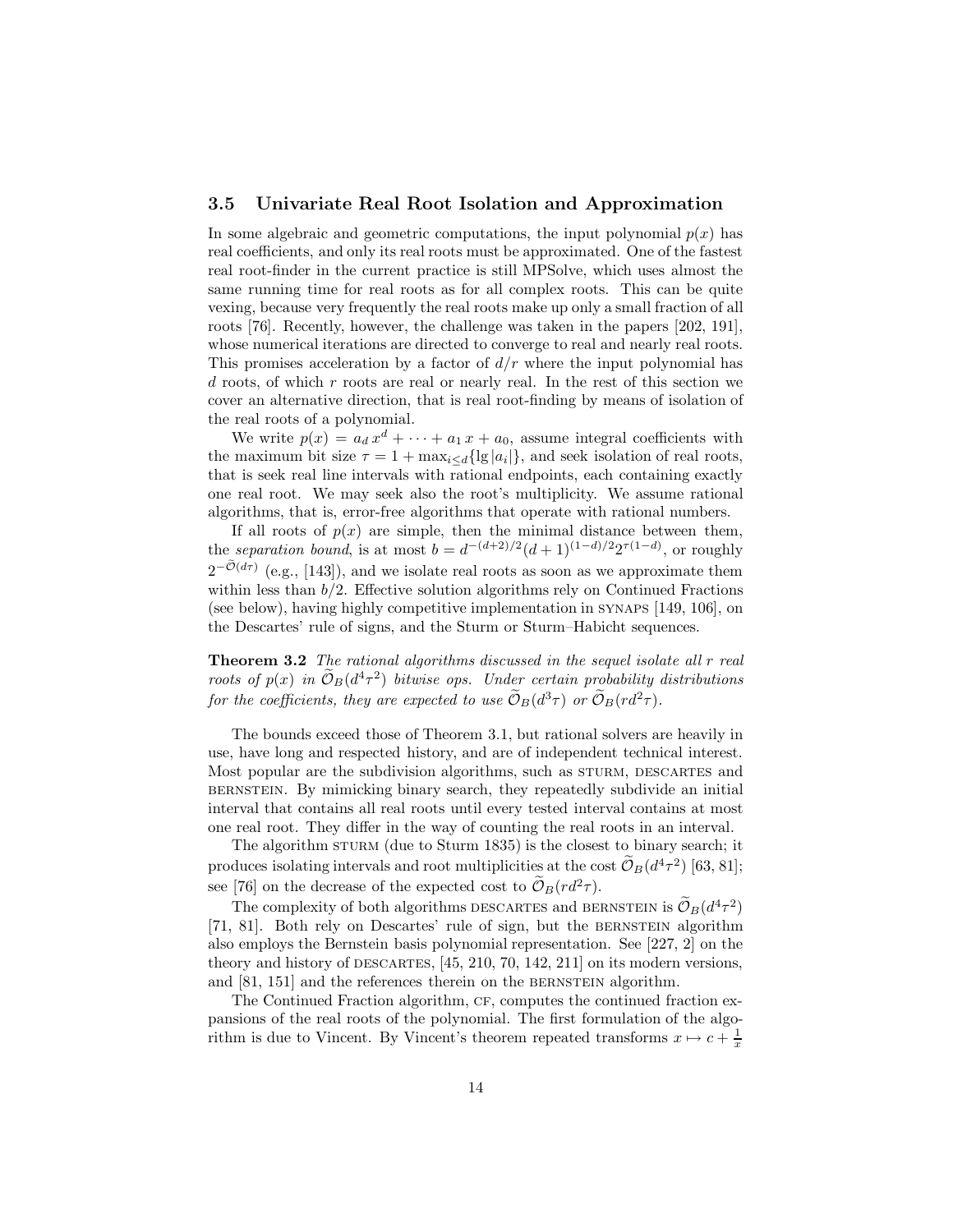#### **3.5 Univariate Real Root Isolation and Approximation**

In some algebraic and geometric computations, the input polynomial  $p(x)$  has real coefficients, and only its real roots must be approximated. One of the fastest real root-finder in the current practice is still MPSolve, which uses almost the same running time for real roots as for all complex roots. This can be quite vexing, because very frequently the real roots make up only a small fraction of all roots [76]. Recently, however, the challenge was taken in the papers [202, 191], whose numerical iterations are directed to converge to real and nearly real roots. This promises acceleration by a factor of *d/r* where the input polynomial has *d* roots, of which *r* roots are real or nearly real. In the rest of this section we cover an alternative direction, that is real root-finding by means of isolation of the real roots of a polynomial.

We write  $p(x) = a_d x^d + \cdots + a_1 x + a_0$ , assume integral coefficients with the maximum bit size  $\tau = 1 + \max_{i \le d} {\left\{ \lg |a_i| \right\}},$  and seek isolation of real roots, that is seek real line intervals with rational endpoints, each containing exactly one real root. We may seek also the root's multiplicity. We assume rational algorithms, that is, error-free algorithms that operate with rational numbers.

If all roots of  $p(x)$  are simple, then the minimal distance between them, the *separation bound*, is at most  $b = d^{-(d+2)/2} (d+1)^{(1-d)/2} 2^{\tau(1-d)}$ , or roughly  $2^{-\widetilde{\mathcal{O}}(d\tau)}$  (e.g., [143]), and we isolate real roots as soon as we approximate them within less than  $b/2$ . Effective solution algorithms rely on Continued Fractions (see below), having highly competitive implementation in synaps [149, 106], on the Descartes' rule of signs, and the Sturm or Sturm–Habicht sequences.

**Theorem 3.2** *The rational algorithms discussed in the sequel isolate all r real roots of*  $p(x)$  *in*  $\mathcal{O}_B(d^4\tau^2)$  *bitwise ops. Under certain probability distributions for the coefficients, they are expected to use*  $\widetilde{\mathcal{O}}_B(d^3\tau)$  *or*  $\widetilde{\mathcal{O}}_B(rd^2\tau)$ *.* 

The bounds exceed those of Theorem 3.1, but rational solvers are heavily in use, have long and respected history, and are of independent technical interest. Most popular are the subdivision algorithms, such as  $STURM$ , DESCARTES and bernstein. By mimicking binary search, they repeatedly subdivide an initial interval that contains all real roots until every tested interval contains at most one real root. They differ in the way of counting the real roots in an interval.

The algorithm STURM (due to Sturm 1835) is the closest to binary search; it produces isolating intervals and root multiplicities at the cost  $\widetilde{\mathcal{O}}_B(d^4\tau^2)$  [63, 81]; see [76] on the decrease of the expected cost to  $\widetilde{\mathcal{O}}_B(r d^2 \tau)$ .

The complexity of both algorithms DESCARTES and BERNSTEIN is  $\mathcal{O}_B(d^4\tau^2)$ [71, 81]. Both rely on Descartes' rule of sign, but the BERNSTEIN algorithm also employs the Bernstein basis polynomial representation. See [227, 2] on the theory and history of DESCARTES,  $[45, 210, 70, 142, 211]$  on its modern versions, and [81, 151] and the references therein on the BERNSTEIN algorithm.

The Continued Fraction algorithm, CF, computes the continued fraction expansions of the real roots of the polynomial. The first formulation of the algorithm is due to Vincent. By Vincent's theorem repeated transforms  $x \mapsto c + \frac{1}{x}$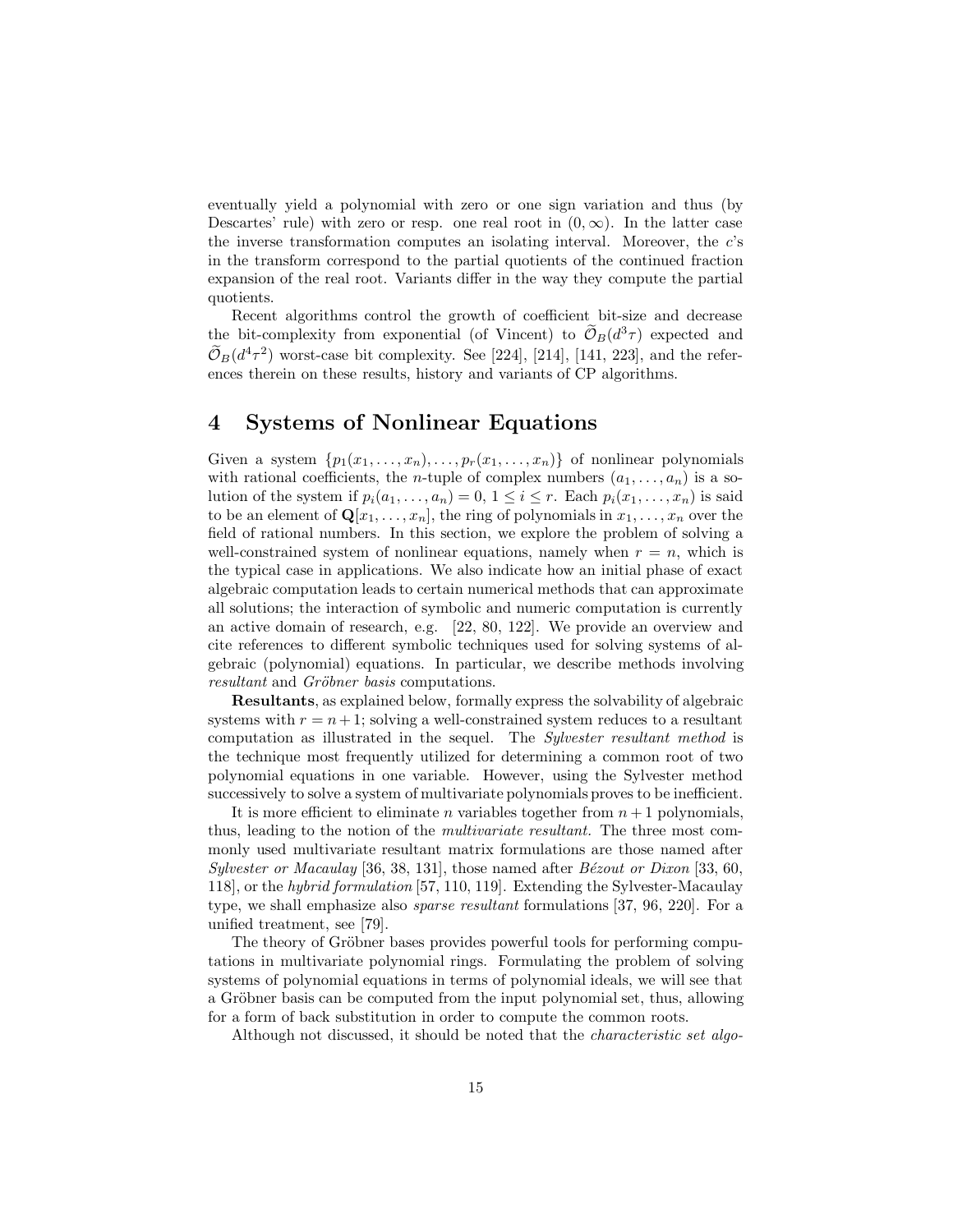eventually yield a polynomial with zero or one sign variation and thus (by Descartes' rule) with zero or resp. one real root in  $(0, \infty)$ . In the latter case the inverse transformation computes an isolating interval. Moreover, the *c*'s in the transform correspond to the partial quotients of the continued fraction expansion of the real root. Variants differ in the way they compute the partial quotients.

Recent algorithms control the growth of coefficient bit-size and decrease the bit-complexity from exponential (of Vincent) to  $\tilde{\mathcal{O}}_B(d^3\tau)$  expected and  $\widetilde{\mathcal{O}}_B(d^4\tau^2)$  worst-case bit complexity. See [224], [214], [141, 223], and the references therein on these results, history and variants of CP algorithms.

# **4 Systems of Nonlinear Equations**

Given a system  $\{p_1(x_1,...,x_n),...,p_r(x_1,...,x_n)\}\$  of nonlinear polynomials with rational coefficients, the *n*-tuple of complex numbers  $(a_1, \ldots, a_n)$  is a solution of the system if  $p_i(a_1, \ldots, a_n) = 0, 1 \leq i \leq r$ . Each  $p_i(x_1, \ldots, x_n)$  is said to be an element of  $\mathbf{Q}[x_1,\ldots,x_n]$ , the ring of polynomials in  $x_1,\ldots,x_n$  over the field of rational numbers. In this section, we explore the problem of solving a well-constrained system of nonlinear equations, namely when  $r = n$ , which is the typical case in applications. We also indicate how an initial phase of exact algebraic computation leads to certain numerical methods that can approximate all solutions; the interaction of symbolic and numeric computation is currently an active domain of research, e.g. [22, 80, 122]. We provide an overview and cite references to different symbolic techniques used for solving systems of algebraic (polynomial) equations. In particular, we describe methods involving *resultant* and *Gröbner basis* computations.

**Resultants**, as explained below, formally express the solvability of algebraic systems with  $r = n + 1$ ; solving a well-constrained system reduces to a resultant computation as illustrated in the sequel. The *Sylvester resultant method* is the technique most frequently utilized for determining a common root of two polynomial equations in one variable. However, using the Sylvester method successively to solve a system of multivariate polynomials proves to be inefficient.

It is more efficient to eliminate *n* variables together from  $n+1$  polynomials, thus, leading to the notion of the *multivariate resultant.* The three most commonly used multivariate resultant matrix formulations are those named after  $Sylvester$  or Macaulay [36, 38, 131], those named after *Bézout or Dixon* [33, 60, 118], or the *hybrid formulation* [57, 110, 119]. Extending the Sylvester-Macaulay type, we shall emphasize also *sparse resultant* formulations [37, 96, 220]. For a unified treatment, see [79].

The theory of Gröbner bases provides powerful tools for performing computations in multivariate polynomial rings. Formulating the problem of solving systems of polynomial equations in terms of polynomial ideals, we will see that a Gröbner basis can be computed from the input polynomial set, thus, allowing for a form of back substitution in order to compute the common roots.

Although not discussed, it should be noted that the *characteristic set algo-*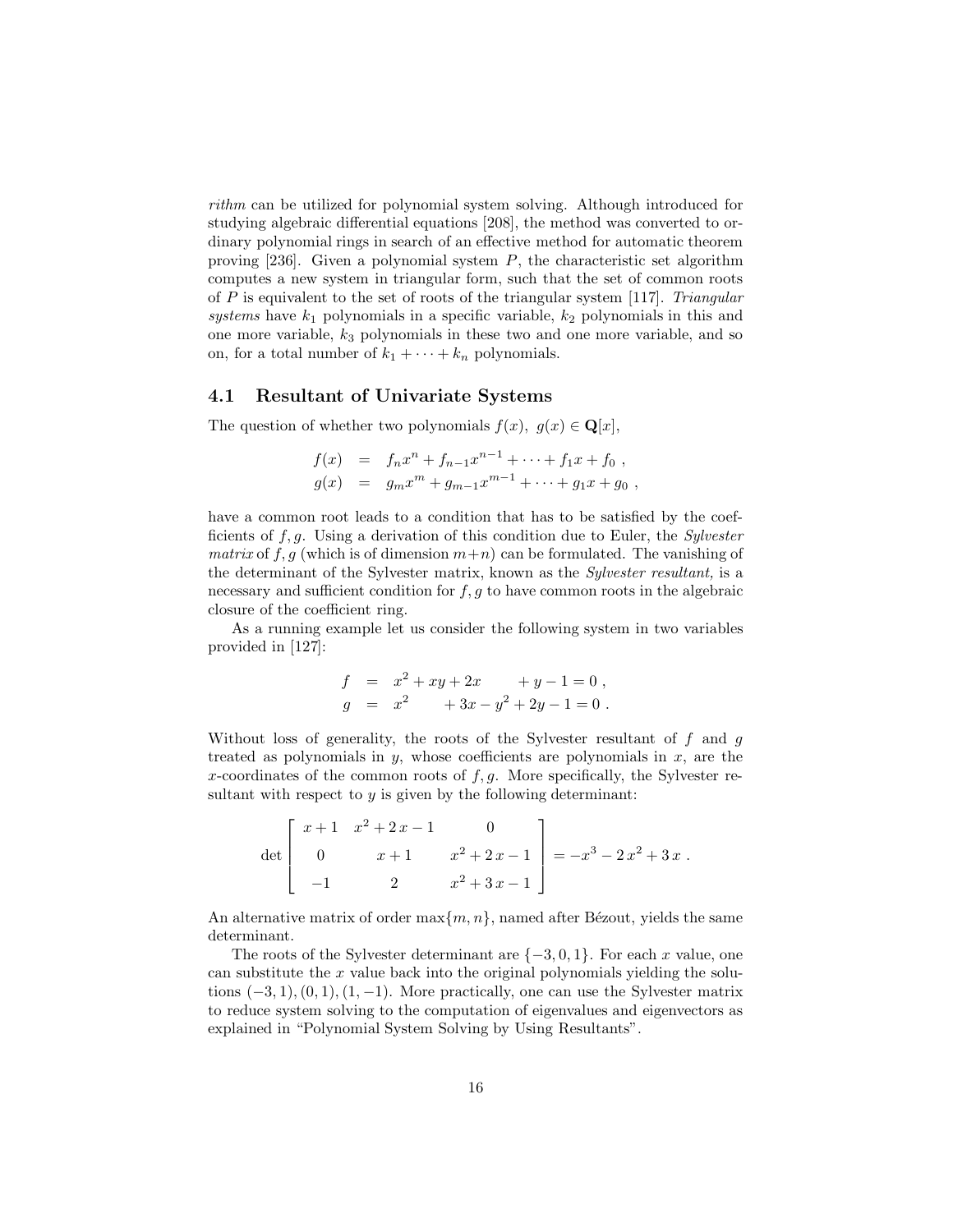*rithm* can be utilized for polynomial system solving. Although introduced for studying algebraic differential equations [208], the method was converted to ordinary polynomial rings in search of an effective method for automatic theorem proving [236]. Given a polynomial system *P*, the characteristic set algorithm computes a new system in triangular form, such that the set of common roots of *P* is equivalent to the set of roots of the triangular system [117]. *Triangular systems* have *k*<sup>1</sup> polynomials in a specific variable, *k*<sup>2</sup> polynomials in this and one more variable, *k*<sup>3</sup> polynomials in these two and one more variable, and so on, for a total number of  $k_1 + \cdots + k_n$  polynomials.

#### **4.1 Resultant of Univariate Systems**

The question of whether two polynomials  $f(x)$ ,  $g(x) \in \mathbf{Q}[x]$ ,

$$
f(x) = f_n x^n + f_{n-1} x^{n-1} + \dots + f_1 x + f_0,
$$
  
\n
$$
g(x) = g_m x^m + g_{m-1} x^{m-1} + \dots + g_1 x + g_0,
$$

have a common root leads to a condition that has to be satisfied by the coefficients of *f, g*. Using a derivation of this condition due to Euler, the *Sylvester matrix* of  $f, g$  (which is of dimension  $m+n$ ) can be formulated. The vanishing of the determinant of the Sylvester matrix, known as the *Sylvester resultant,* is a necessary and sufficient condition for *f, g* to have common roots in the algebraic closure of the coefficient ring.

As a running example let us consider the following system in two variables provided in [127]:

$$
f = x2 + xy + 2x + y - 1 = 0,
$$
  
\n
$$
g = x2 + 3x - y2 + 2y - 1 = 0.
$$

Without loss of generality, the roots of the Sylvester resultant of *f* and *g* treated as polynomials in  $y$ , whose coefficients are polynomials in  $x$ , are the *x*-coordinates of the common roots of *f, g*. More specifically, the Sylvester resultant with respect to *y* is given by the following determinant:

$$
\det \begin{bmatrix} x+1 & x^2+2x-1 & 0 \\ 0 & x+1 & x^2+2x-1 \\ -1 & 2 & x^2+3x-1 \end{bmatrix} = -x^3 - 2x^2 + 3x.
$$

An alternative matrix of order max $\{m, n\}$ , named after Bézout, yields the same determinant.

The roots of the Sylvester determinant are {−3*,* 0*,* 1}. For each *x* value, one can substitute the *x* value back into the original polynomials yielding the solutions  $(-3, 1)$ ,  $(0, 1)$ ,  $(1, -1)$ . More practically, one can use the Sylvester matrix to reduce system solving to the computation of eigenvalues and eigenvectors as explained in "Polynomial System Solving by Using Resultants".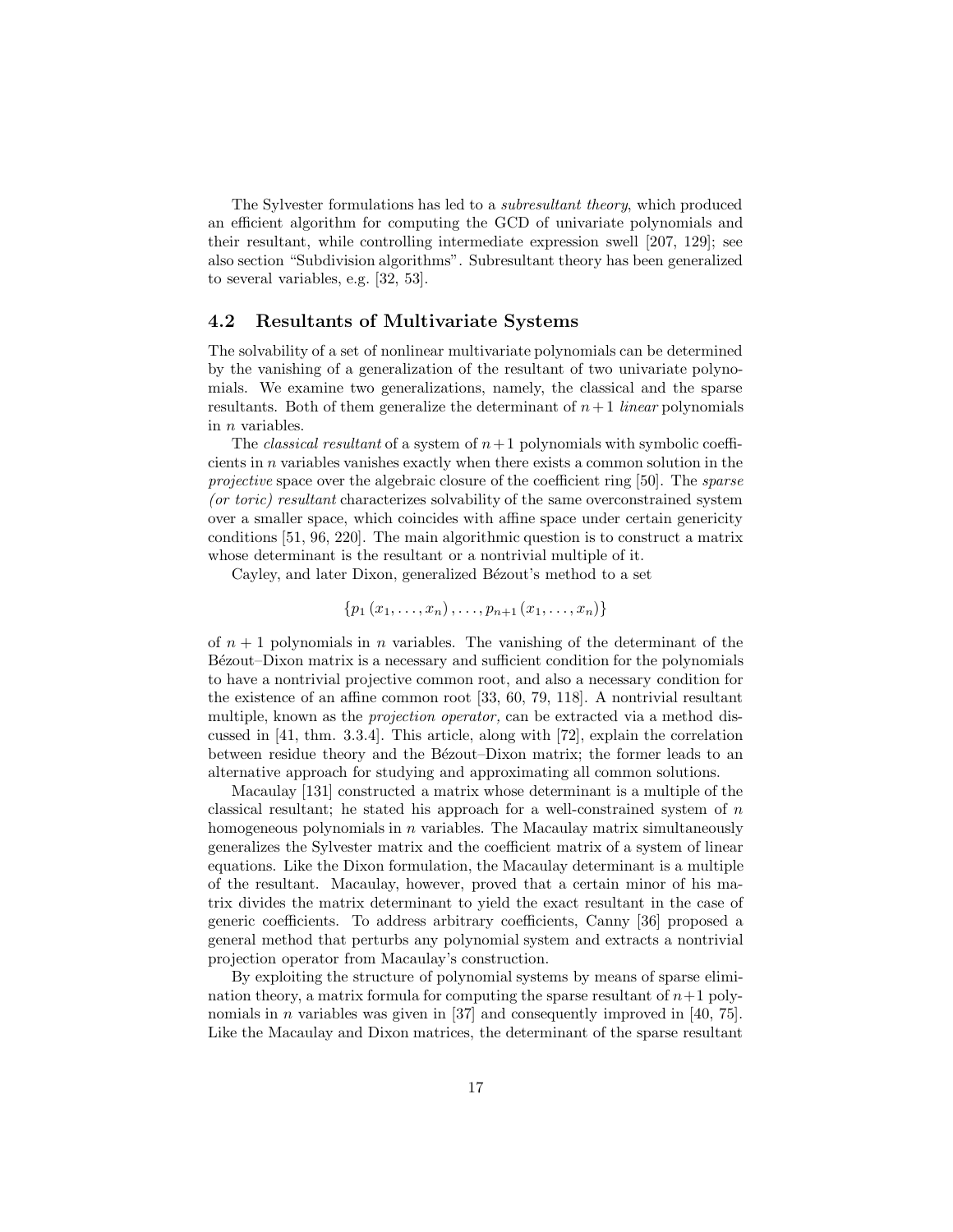The Sylvester formulations has led to a *subresultant theory*, which produced an efficient algorithm for computing the GCD of univariate polynomials and their resultant, while controlling intermediate expression swell [207, 129]; see also section "Subdivision algorithms". Subresultant theory has been generalized to several variables, e.g. [32, 53].

#### **4.2 Resultants of Multivariate Systems**

The solvability of a set of nonlinear multivariate polynomials can be determined by the vanishing of a generalization of the resultant of two univariate polynomials. We examine two generalizations, namely, the classical and the sparse resultants. Both of them generalize the determinant of  $n+1$  *linear* polynomials in *n* variables.

The *classical resultant* of a system of  $n+1$  polynomials with symbolic coefficients in *n* variables vanishes exactly when there exists a common solution in the *projective* space over the algebraic closure of the coefficient ring [50]. The *sparse (or toric) resultant* characterizes solvability of the same overconstrained system over a smaller space, which coincides with affine space under certain genericity conditions [51, 96, 220]. The main algorithmic question is to construct a matrix whose determinant is the resultant or a nontrivial multiple of it.

Cayley, and later Dixon, generalized Bézout's method to a set

$$
\{p_1(x_1,...,x_n),...,p_{n+1}(x_1,...,x_n)\}\
$$

of  $n + 1$  polynomials in *n* variables. The vanishing of the determinant of the B´ezout–Dixon matrix is a necessary and sufficient condition for the polynomials to have a nontrivial projective common root, and also a necessary condition for the existence of an affine common root [33, 60, 79, 118]. A nontrivial resultant multiple, known as the *projection operator,* can be extracted via a method discussed in [41, thm. 3.3.4]. This article, along with [72], explain the correlation between residue theory and the Bézout–Dixon matrix; the former leads to an alternative approach for studying and approximating all common solutions.

Macaulay [131] constructed a matrix whose determinant is a multiple of the classical resultant; he stated his approach for a well-constrained system of *n* homogeneous polynomials in *n* variables. The Macaulay matrix simultaneously generalizes the Sylvester matrix and the coefficient matrix of a system of linear equations. Like the Dixon formulation, the Macaulay determinant is a multiple of the resultant. Macaulay, however, proved that a certain minor of his matrix divides the matrix determinant to yield the exact resultant in the case of generic coefficients. To address arbitrary coefficients, Canny [36] proposed a general method that perturbs any polynomial system and extracts a nontrivial projection operator from Macaulay's construction.

By exploiting the structure of polynomial systems by means of sparse elimination theory, a matrix formula for computing the sparse resultant of  $n+1$  polynomials in *n* variables was given in [37] and consequently improved in [40, 75]. Like the Macaulay and Dixon matrices, the determinant of the sparse resultant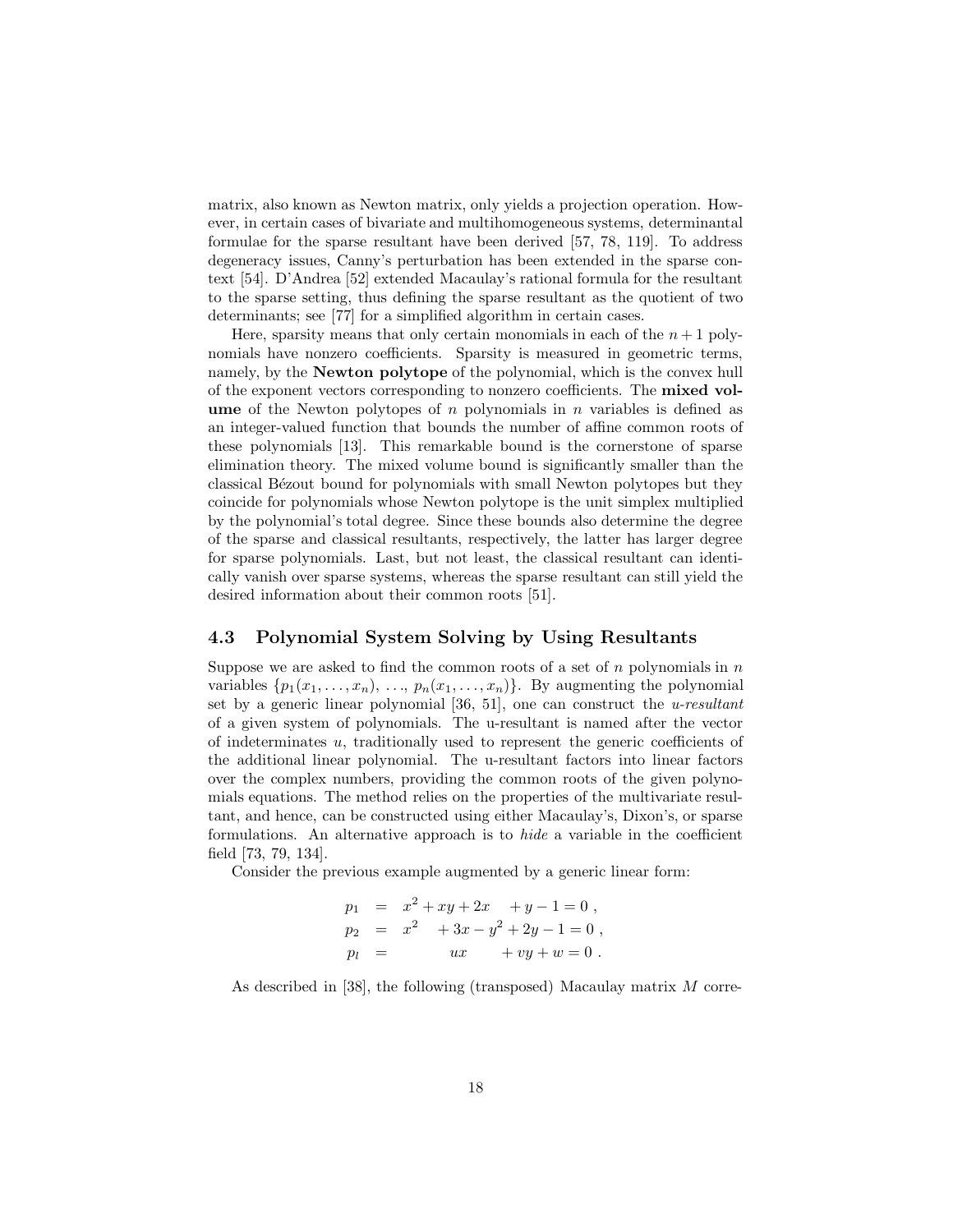matrix, also known as Newton matrix, only yields a projection operation. However, in certain cases of bivariate and multihomogeneous systems, determinantal formulae for the sparse resultant have been derived [57, 78, 119]. To address degeneracy issues, Canny's perturbation has been extended in the sparse context [54]. D'Andrea [52] extended Macaulay's rational formula for the resultant to the sparse setting, thus defining the sparse resultant as the quotient of two determinants; see [77] for a simplified algorithm in certain cases.

Here, sparsity means that only certain monomials in each of the  $n+1$  polynomials have nonzero coefficients. Sparsity is measured in geometric terms, namely, by the **Newton polytope** of the polynomial, which is the convex hull of the exponent vectors corresponding to nonzero coefficients. The **mixed volume** of the Newton polytopes of *n* polynomials in *n* variables is defined as an integer-valued function that bounds the number of affine common roots of these polynomials [13]. This remarkable bound is the cornerstone of sparse elimination theory. The mixed volume bound is significantly smaller than the classical Bézout bound for polynomials with small Newton polytopes but they coincide for polynomials whose Newton polytope is the unit simplex multiplied by the polynomial's total degree. Since these bounds also determine the degree of the sparse and classical resultants, respectively, the latter has larger degree for sparse polynomials. Last, but not least, the classical resultant can identically vanish over sparse systems, whereas the sparse resultant can still yield the desired information about their common roots [51].

#### **4.3 Polynomial System Solving by Using Resultants**

Suppose we are asked to find the common roots of a set of *n* polynomials in *n* variables  $\{p_1(x_1, \ldots, x_n), \ldots, p_n(x_1, \ldots, x_n)\}\$ . By augmenting the polynomial set by a generic linear polynomial [36, 51], one can construct the *u-resultant* of a given system of polynomials. The u-resultant is named after the vector of indeterminates *u*, traditionally used to represent the generic coefficients of the additional linear polynomial. The u-resultant factors into linear factors over the complex numbers, providing the common roots of the given polynomials equations. The method relies on the properties of the multivariate resultant, and hence, can be constructed using either Macaulay's, Dixon's, or sparse formulations. An alternative approach is to *hide* a variable in the coefficient field [73, 79, 134].

Consider the previous example augmented by a generic linear form:

$$
p_1 = x^2 + xy + 2x + y - 1 = 0,
$$
  
\n
$$
p_2 = x^2 + 3x - y^2 + 2y - 1 = 0,
$$
  
\n
$$
p_l = ux + vy + w = 0.
$$

As described in [38], the following (transposed) Macaulay matrix *M* corre-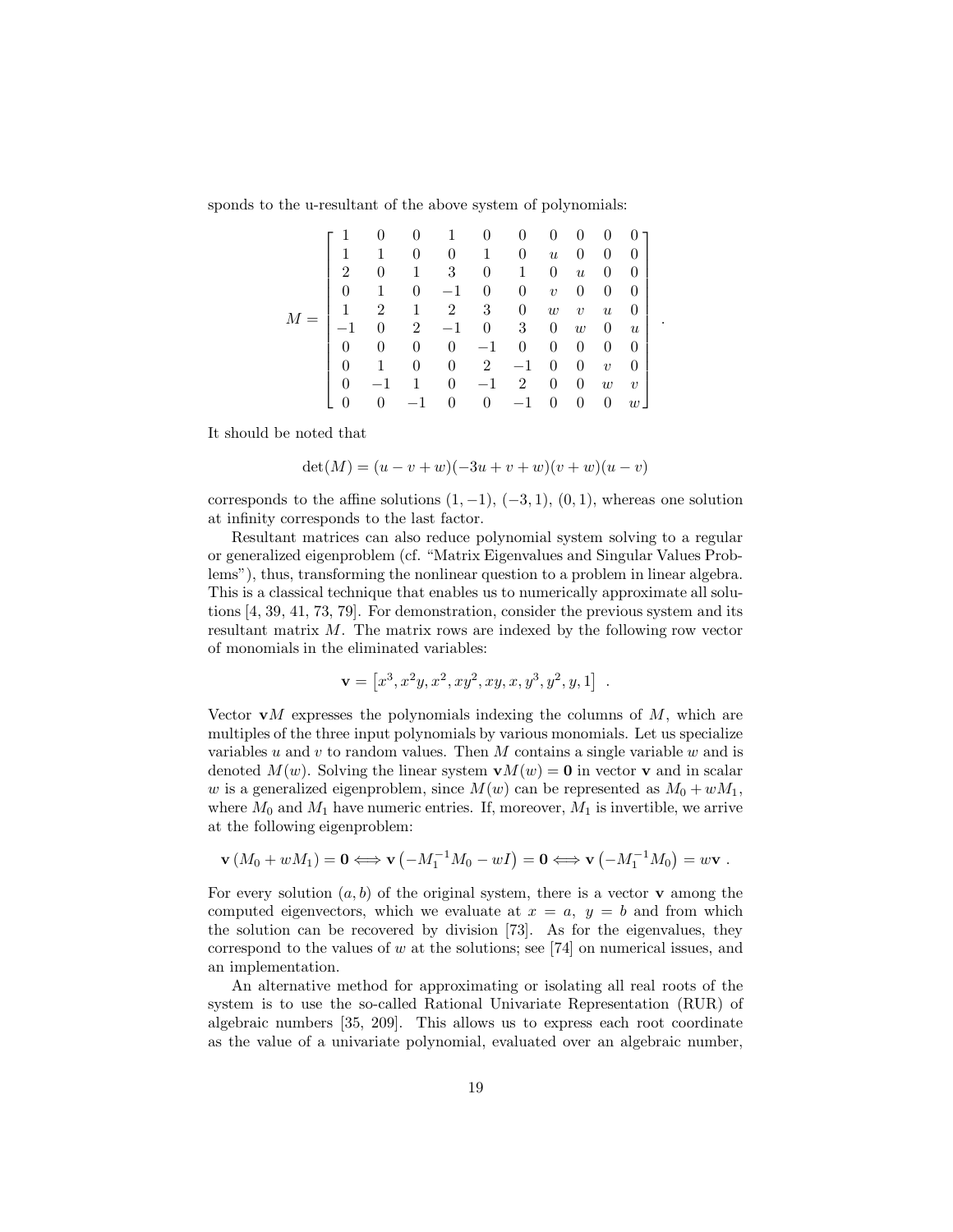sponds to the u-resultant of the above system of polynomials:

|  |                | 0              | $\boldsymbol{0}$ | 1                | $\boldsymbol{0}$ | $\theta$       | $\theta$         | $\theta$         | $\theta$         |                  |
|--|----------------|----------------|------------------|------------------|------------------|----------------|------------------|------------------|------------------|------------------|
|  |                | 1              | $\overline{0}$   | $\boldsymbol{0}$ | $\mathbf{1}$     | $\overline{0}$ | $\boldsymbol{u}$ | $\theta$         | $\overline{0}$   | $\theta$         |
|  | $\overline{2}$ | $\theta$       | $\mathbf 1$      | 3                | $\boldsymbol{0}$ | $\mathbf{1}$   | $\theta$         | $\boldsymbol{u}$ | $\boldsymbol{0}$ | $\theta$         |
|  | $\theta$       | 1              | $\theta$         | $^{-1}$          | $\theta$         | $\overline{0}$ | $\upsilon$       | $\theta$         | $\overline{0}$   | $\theta$         |
|  | $\mathbf{1}$   | $\overline{2}$ | $\mathbf{1}$     | 2                | 3                | $\overline{0}$ | w                | $\upsilon$       | $\boldsymbol{u}$ | $\overline{0}$   |
|  |                | $\overline{0}$ | 2                | $-1\,$           | $\boldsymbol{0}$ | 3              | $\theta$         | w                | $\theta$         | $\boldsymbol{u}$ |
|  |                | $\theta$       | $\theta$         | $\boldsymbol{0}$ | $-1$             | $\overline{0}$ | $\theta$         | $\theta$         | $\overline{0}$   | $\theta$         |
|  | $\Omega$       | $\mathbf{1}$   | $\theta$         | $\theta$         | 2                | $-1$           | $\theta$         | $\theta$         | $\upsilon$       | $\overline{0}$   |
|  | 0              | $^{-1}$        | 1                | $\overline{0}$   | $-1$             | $\overline{2}$ | $\theta$         | $\theta$         | w                | $\boldsymbol{v}$ |
|  |                | 0              |                  | $\overline{0}$   | $\overline{0}$   | $-1$           | $\theta$         | $\theta$         | $\theta$         | $\boldsymbol{w}$ |

*.*

It should be noted that

$$
det(M) = (u - v + w)(-3u + v + w)(v + w)(u - v)
$$

corresponds to the affine solutions  $(1, -1)$ ,  $(-3, 1)$ ,  $(0, 1)$ , whereas one solution at infinity corresponds to the last factor.

Resultant matrices can also reduce polynomial system solving to a regular or generalized eigenproblem (cf. "Matrix Eigenvalues and Singular Values Problems"), thus, transforming the nonlinear question to a problem in linear algebra. This is a classical technique that enables us to numerically approximate all solutions [4, 39, 41, 73, 79]. For demonstration, consider the previous system and its resultant matrix *M*. The matrix rows are indexed by the following row vector of monomials in the eliminated variables:

$$
\mathbf{v} = [x^3, x^2y, x^2, xy^2, xy, x, y^3, y^2, y, 1].
$$

Vector **v***M* expresses the polynomials indexing the columns of *M*, which are multiples of the three input polynomials by various monomials. Let us specialize variables *u* and *v* to random values. Then *M* contains a single variable *w* and is denoted  $M(w)$ . Solving the linear system  $\mathbf{v}M(w) = \mathbf{0}$  in vector **v** and in scalar *w* is a generalized eigenproblem, since  $M(w)$  can be represented as  $M_0 + wM_1$ , where  $M_0$  and  $M_1$  have numeric entries. If, moreover,  $M_1$  is invertible, we arrive at the following eigenproblem:

$$
\mathbf{v}\left(M_0+wM_1\right)=\mathbf{0}\Longleftrightarrow\mathbf{v}\left(-M_1^{-1}M_0-wI\right)=\mathbf{0}\Longleftrightarrow\mathbf{v}\left(-M_1^{-1}M_0\right)=w\mathbf{v}.
$$

For every solution  $(a, b)$  of the original system, there is a vector **v** among the computed eigenvectors, which we evaluate at  $x = a$ ,  $y = b$  and from which the solution can be recovered by division [73]. As for the eigenvalues, they correspond to the values of *w* at the solutions; see [74] on numerical issues, and an implementation.

An alternative method for approximating or isolating all real roots of the system is to use the so-called Rational Univariate Representation (RUR) of algebraic numbers [35, 209]. This allows us to express each root coordinate as the value of a univariate polynomial, evaluated over an algebraic number,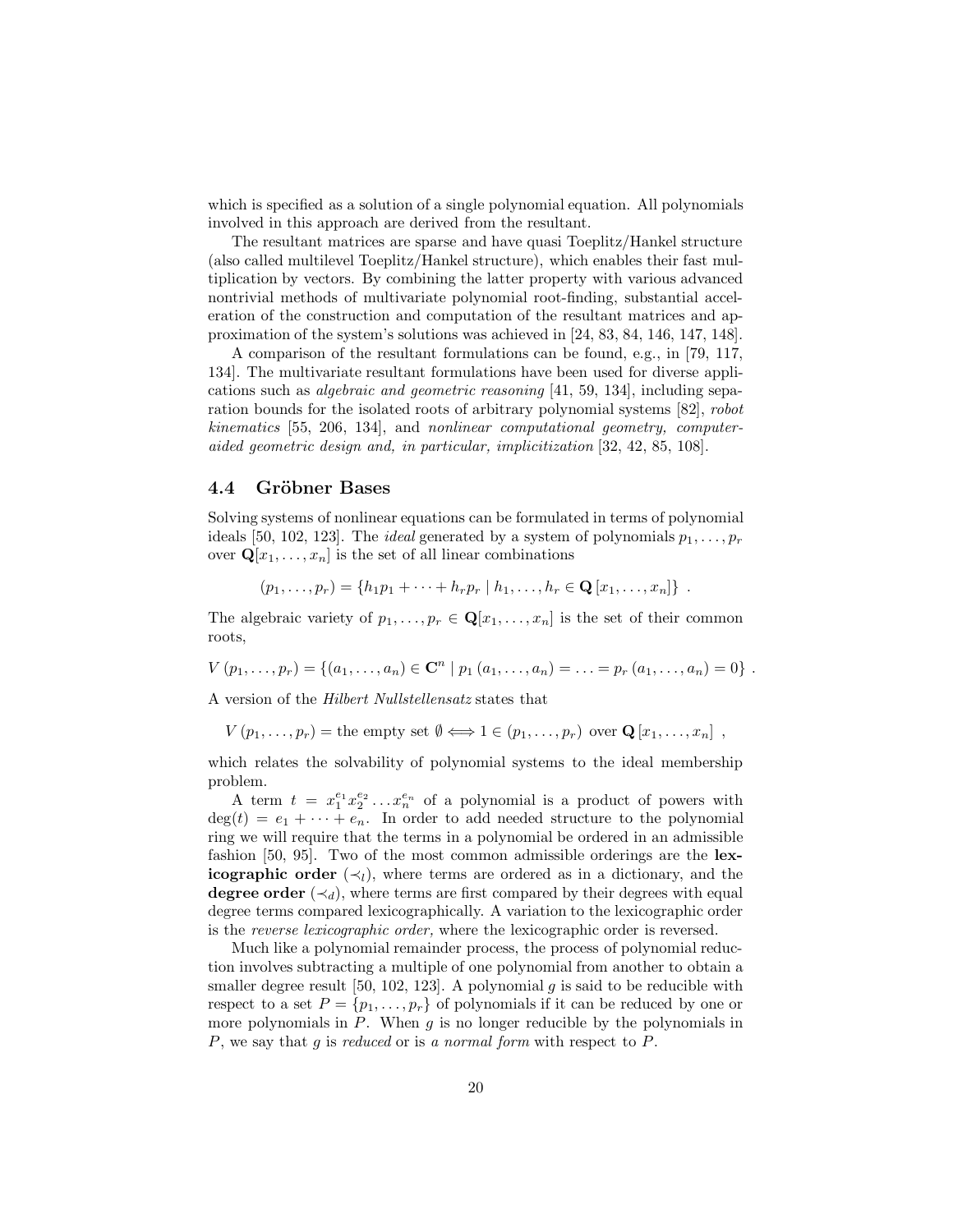which is specified as a solution of a single polynomial equation. All polynomials involved in this approach are derived from the resultant.

The resultant matrices are sparse and have quasi Toeplitz/Hankel structure (also called multilevel Toeplitz/Hankel structure), which enables their fast multiplication by vectors. By combining the latter property with various advanced nontrivial methods of multivariate polynomial root-finding, substantial acceleration of the construction and computation of the resultant matrices and approximation of the system's solutions was achieved in [24, 83, 84, 146, 147, 148].

A comparison of the resultant formulations can be found, e.g., in [79, 117, 134]. The multivariate resultant formulations have been used for diverse applications such as *algebraic and geometric reasoning* [41, 59, 134], including separation bounds for the isolated roots of arbitrary polynomial systems [82], *robot kinematics* [55, 206, 134], and *nonlinear computational geometry, computeraided geometric design and, in particular, implicitization* [32, 42, 85, 108].

#### **4.4 Gr¨obner Bases**

Solving systems of nonlinear equations can be formulated in terms of polynomial ideals [50, 102, 123]. The *ideal* generated by a system of polynomials  $p_1, \ldots, p_r$ over  $\mathbf{Q}[x_1,\ldots,x_n]$  is the set of all linear combinations

 $(p_1, \ldots, p_r) = \{h_1p_1 + \cdots + h_rp_r \mid h_1, \ldots, h_r \in \mathbf{Q}[x_1, \ldots, x_n]\}$ .

The algebraic variety of  $p_1, \ldots, p_r \in \mathbf{Q}[x_1, \ldots, x_n]$  is the set of their common roots,

 $V(p_1, \ldots, p_r) = \{(a_1, \ldots, a_n) \in \mathbb{C}^n \mid p_1(a_1, \ldots, a_n) = \ldots = p_r(a_1, \ldots, a_n) = 0\}$ .

A version of the *Hilbert Nullstellensatz* states that

 $V(p_1, \ldots, p_r) =$  the empty set  $\emptyset \iff 1 \in (p_1, \ldots, p_r)$  over  $\mathbf{Q}[x_1, \ldots, x_n]$ ,

which relates the solvability of polynomial systems to the ideal membership problem.

A term  $t = x_1^{e_1} x_2^{e_2} \dots x_n^{e_n}$  of a polynomial is a product of powers with  $deg(t) = e_1 + \cdots + e_n$ . In order to add needed structure to the polynomial ring we will require that the terms in a polynomial be ordered in an admissible fashion [50, 95]. Two of the most common admissible orderings are the **lexicographic order**  $(\prec_l)$ , where terms are ordered as in a dictionary, and the **degree order** ( $\prec_d$ ), where terms are first compared by their degrees with equal degree terms compared lexicographically. A variation to the lexicographic order is the *reverse lexicographic order,* where the lexicographic order is reversed.

Much like a polynomial remainder process, the process of polynomial reduction involves subtracting a multiple of one polynomial from another to obtain a smaller degree result [50, 102, 123]. A polynomial  $g$  is said to be reducible with respect to a set  $P = \{p_1, \ldots, p_r\}$  of polynomials if it can be reduced by one or more polynomials in *P*. When *g* is no longer reducible by the polynomials in *P*, we say that *g* is *reduced* or is *a normal form* with respect to *P*.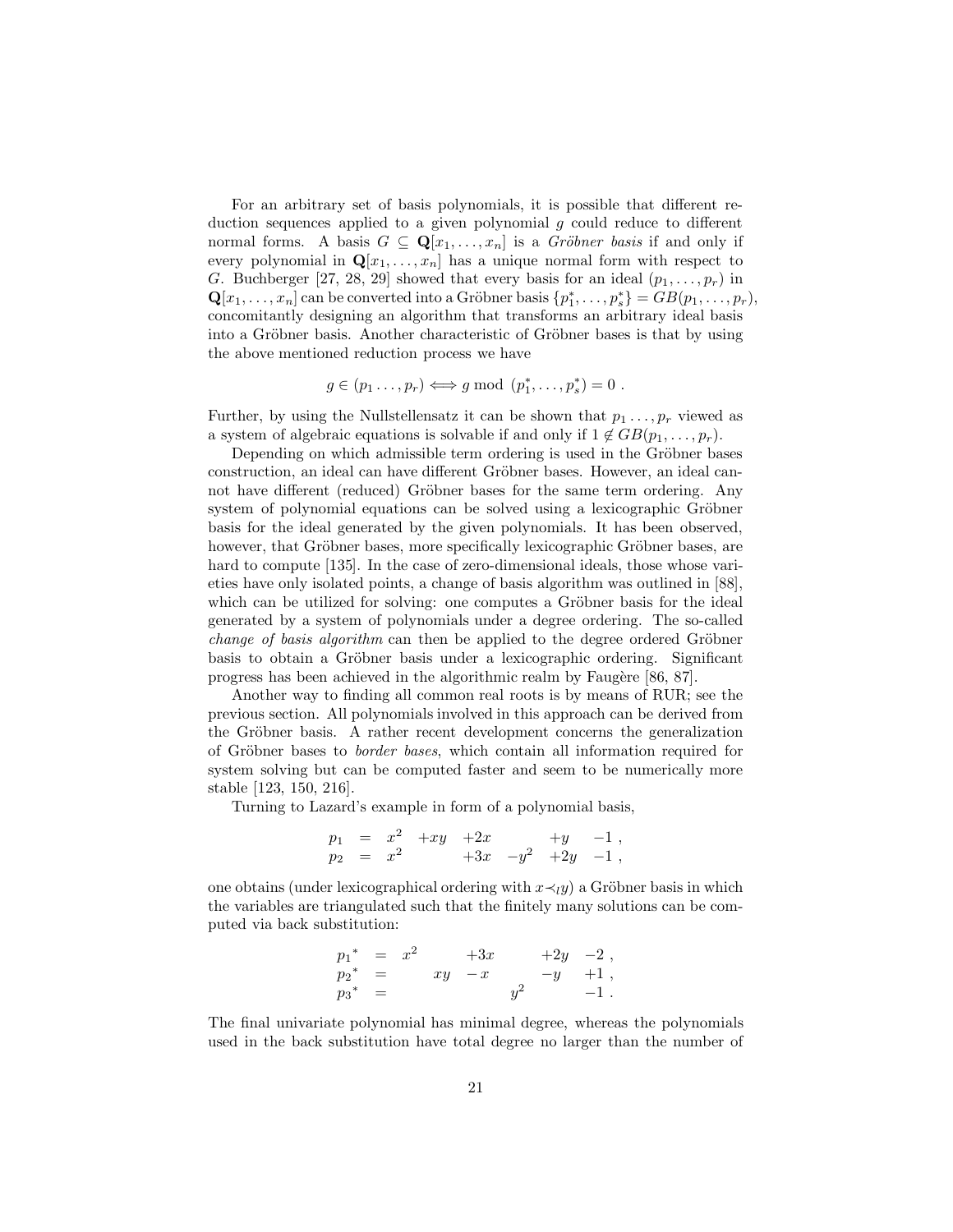For an arbitrary set of basis polynomials, it is possible that different reduction sequences applied to a given polynomial *g* could reduce to different normal forms. A basis  $G \subseteq \mathbf{Q}[x_1,\ldots,x_n]$  is a *Gröbner basis* if and only if every polynomial in  $\mathbf{Q}[x_1,\ldots,x_n]$  has a unique normal form with respect to *G*. Buchberger [27, 28, 29] showed that every basis for an ideal  $(p_1, \ldots, p_r)$  in  $\mathbf{Q}[x_1,\ldots,x_n]$  can be converted into a Gröbner basis  $\{p_1^*,\ldots,p_s^*\}=GB(p_1,\ldots,p_r),$ concomitantly designing an algorithm that transforms an arbitrary ideal basis into a Gröbner basis. Another characteristic of Gröbner bases is that by using the above mentioned reduction process we have

$$
g \in (p_1 \ldots, p_r) \Longleftrightarrow g \bmod (p_1^*, \ldots, p_s^*) = 0.
$$

Further, by using the Nullstellensatz it can be shown that  $p_1 \ldots, p_r$  viewed as a system of algebraic equations is solvable if and only if  $1 \notin GB(p_1, \ldots, p_r)$ .

Depending on which admissible term ordering is used in the Gröbner bases construction, an ideal can have different Gröbner bases. However, an ideal cannot have different (reduced) Gröbner bases for the same term ordering. Any system of polynomial equations can be solved using a lexicographic Gröbner basis for the ideal generated by the given polynomials. It has been observed, however, that Gröbner bases, more specifically lexicographic Gröbner bases, are hard to compute [135]. In the case of zero-dimensional ideals, those whose varieties have only isolated points, a change of basis algorithm was outlined in [88], which can be utilized for solving: one computes a Gröbner basis for the ideal generated by a system of polynomials under a degree ordering. The so-called *change of basis algorithm* can then be applied to the degree ordered Gröbner basis to obtain a Gröbner basis under a lexicographic ordering. Significant progress has been achieved in the algorithmic realm by Faugère [86, 87].

Another way to finding all common real roots is by means of RUR; see the previous section. All polynomials involved in this approach can be derived from the Gröbner basis. A rather recent development concerns the generalization of Gröbner bases to *border bases*, which contain all information required for system solving but can be computed faster and seem to be numerically more stable [123, 150, 216].

Turning to Lazard's example in form of a polynomial basis,

$$
p_1 = x^2 + xy + 2x + y - 1,
$$
  
\n
$$
p_2 = x^2 + 3x - y^2 + 2y - 1,
$$

one obtains (under lexicographical ordering with  $x \prec_l y$ ) a Gröbner basis in which the variables are triangulated such that the finitely many solutions can be computed via back substitution:

$$
p_1^* = x^2 +3x +2y -2,
$$
  
\n
$$
p_2^* = xy -x +2y -1,
$$
  
\n
$$
p_3^* = y^2 -1.
$$

The final univariate polynomial has minimal degree, whereas the polynomials used in the back substitution have total degree no larger than the number of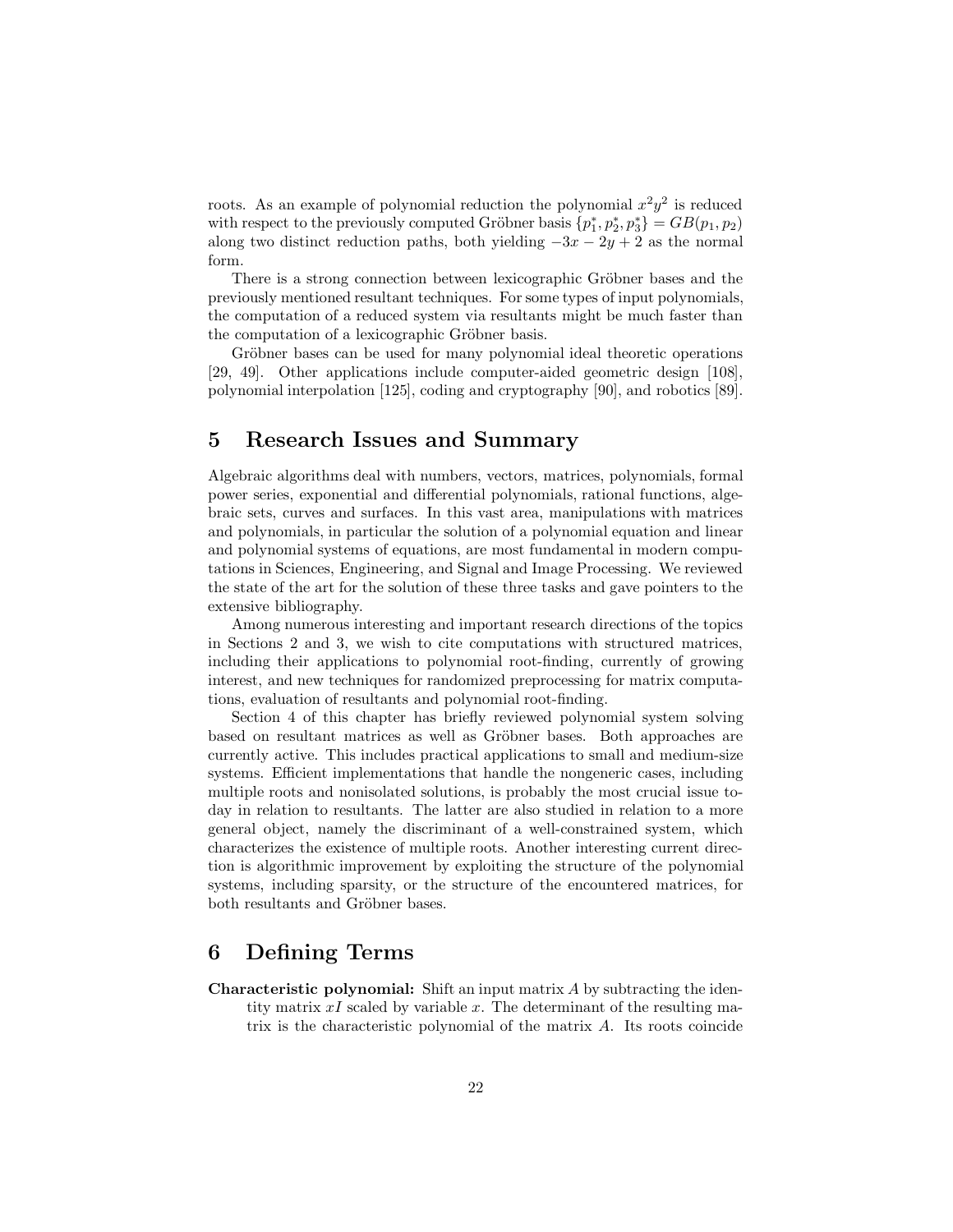roots. As an example of polynomial reduction the polynomial  $x^2y^2$  is reduced with respect to the previously computed Gröbner basis  $\{p_1^*, p_2^*, p_3^*\} = GB(p_1, p_2)$ along two distinct reduction paths, both yielding  $-3x - 2y + 2$  as the normal form.

There is a strong connection between lexicographic Gröbner bases and the previously mentioned resultant techniques. For some types of input polynomials, the computation of a reduced system via resultants might be much faster than the computation of a lexicographic Gröbner basis.

Gröbner bases can be used for many polynomial ideal theoretic operations [29, 49]. Other applications include computer-aided geometric design [108], polynomial interpolation [125], coding and cryptography [90], and robotics [89].

# **5 Research Issues and Summary**

Algebraic algorithms deal with numbers, vectors, matrices, polynomials, formal power series, exponential and differential polynomials, rational functions, algebraic sets, curves and surfaces. In this vast area, manipulations with matrices and polynomials, in particular the solution of a polynomial equation and linear and polynomial systems of equations, are most fundamental in modern computations in Sciences, Engineering, and Signal and Image Processing. We reviewed the state of the art for the solution of these three tasks and gave pointers to the extensive bibliography.

Among numerous interesting and important research directions of the topics in Sections 2 and 3, we wish to cite computations with structured matrices, including their applications to polynomial root-finding, currently of growing interest, and new techniques for randomized preprocessing for matrix computations, evaluation of resultants and polynomial root-finding.

Section 4 of this chapter has briefly reviewed polynomial system solving based on resultant matrices as well as Gröbner bases. Both approaches are currently active. This includes practical applications to small and medium-size systems. Efficient implementations that handle the nongeneric cases, including multiple roots and nonisolated solutions, is probably the most crucial issue today in relation to resultants. The latter are also studied in relation to a more general object, namely the discriminant of a well-constrained system, which characterizes the existence of multiple roots. Another interesting current direction is algorithmic improvement by exploiting the structure of the polynomial systems, including sparsity, or the structure of the encountered matrices, for both resultants and Gröbner bases.

## **6 Defining Terms**

**Characteristic polynomial:** Shift an input matrix *A* by subtracting the identity matrix *xI* scaled by variable *x*. The determinant of the resulting matrix is the characteristic polynomial of the matrix *A*. Its roots coincide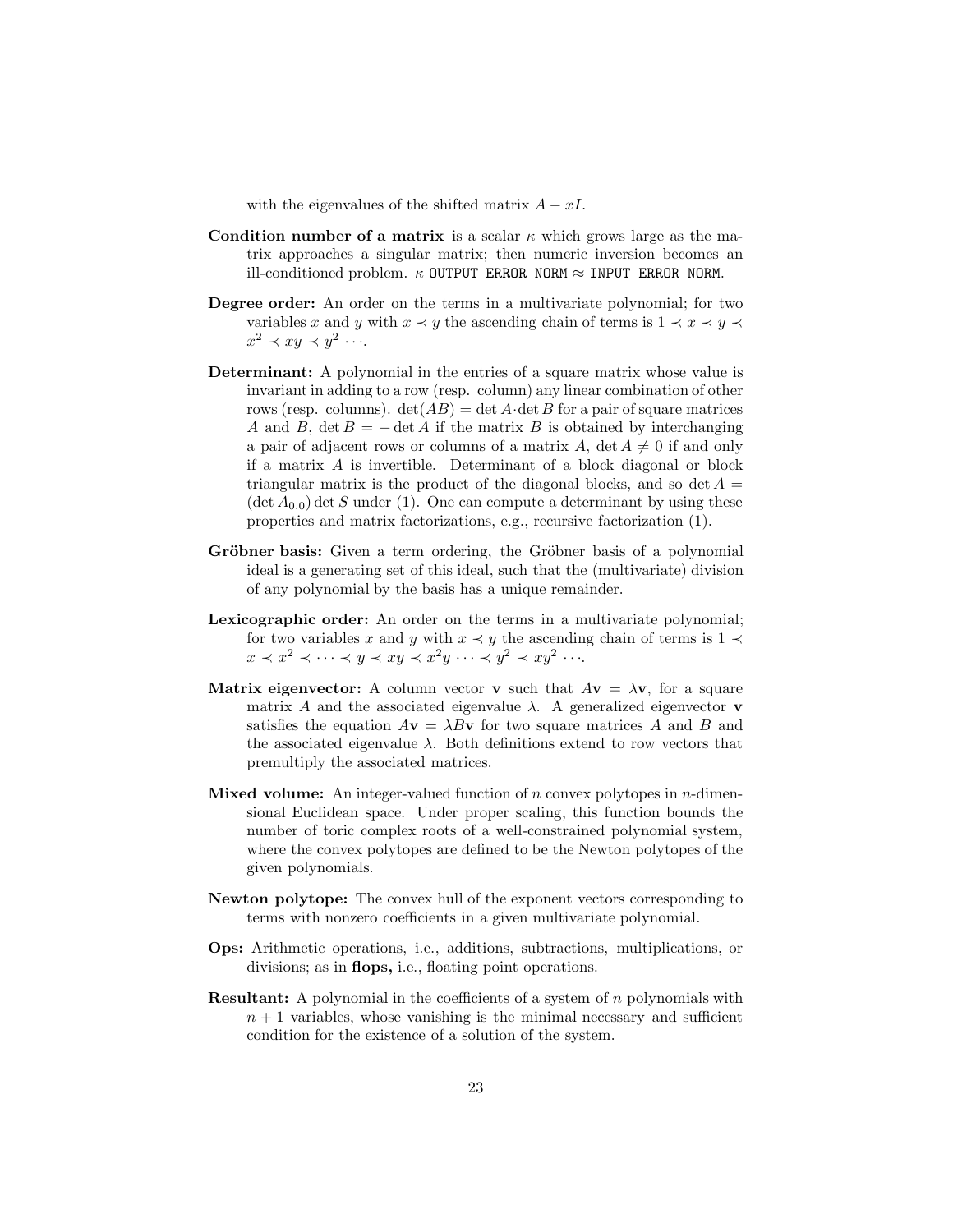with the eigenvalues of the shifted matrix  $A - xI$ .

- **Condition number of a matrix** is a scalar  $\kappa$  which grows large as the matrix approaches a singular matrix; then numeric inversion becomes an ill-conditioned problem.  $\kappa$  OUTPUT ERROR NORM  $\approx$  INPUT ERROR NORM.
- **Degree order:** An order on the terms in a multivariate polynomial; for two variables *x* and *y* with  $x \prec y$  the ascending chain of terms is  $1 \prec x \prec y \prec$  $x^2 \prec xy \prec y^2 \cdots$
- **Determinant:** A polynomial in the entries of a square matrix whose value is invariant in adding to a row (resp. column) any linear combination of other rows (resp. columns).  $\det(AB) = \det A \cdot \det B$  for a pair of square matrices *A* and *B*, det  $B = -$  det *A* if the matrix *B* is obtained by interchanging a pair of adjacent rows or columns of a matrix  $A$ , det  $A \neq 0$  if and only if a matrix *A* is invertible. Determinant of a block diagonal or block triangular matrix is the product of the diagonal blocks, and so det  $A =$  $(\det A_{0,0})$  det *S* under (1). One can compute a determinant by using these properties and matrix factorizations, e.g., recursive factorization (1).
- Gröbner basis: Given a term ordering, the Gröbner basis of a polynomial ideal is a generating set of this ideal, such that the (multivariate) division of any polynomial by the basis has a unique remainder.
- **Lexicographic order:** An order on the terms in a multivariate polynomial; for two variables *x* and *y* with  $x \prec y$  the ascending chain of terms is 1  $\prec$  $x \prec x^2 \prec \cdots \prec y \prec xy \prec x^2y \cdots \prec y^2 \prec xy^2 \cdots$
- **Matrix eigenvector:** A column vector **v** such that  $A$ **v** =  $\lambda$ **v**, for a square matrix *A* and the associated eigenvalue  $\lambda$ . A generalized eigenvector **v** satisfies the equation  $A$ **v** =  $\lambda$ *B***v** for two square matrices *A* and *B* and the associated eigenvalue  $\lambda$ . Both definitions extend to row vectors that premultiply the associated matrices.
- **Mixed volume:** An integer-valued function of *n* convex polytopes in *n*-dimensional Euclidean space. Under proper scaling, this function bounds the number of toric complex roots of a well-constrained polynomial system, where the convex polytopes are defined to be the Newton polytopes of the given polynomials.
- **Newton polytope:** The convex hull of the exponent vectors corresponding to terms with nonzero coefficients in a given multivariate polynomial.
- **Ops:** Arithmetic operations, i.e., additions, subtractions, multiplications, or divisions; as in **flops,** i.e., floating point operations.
- **Resultant:** A polynomial in the coefficients of a system of *n* polynomials with  $n + 1$  variables, whose vanishing is the minimal necessary and sufficient condition for the existence of a solution of the system.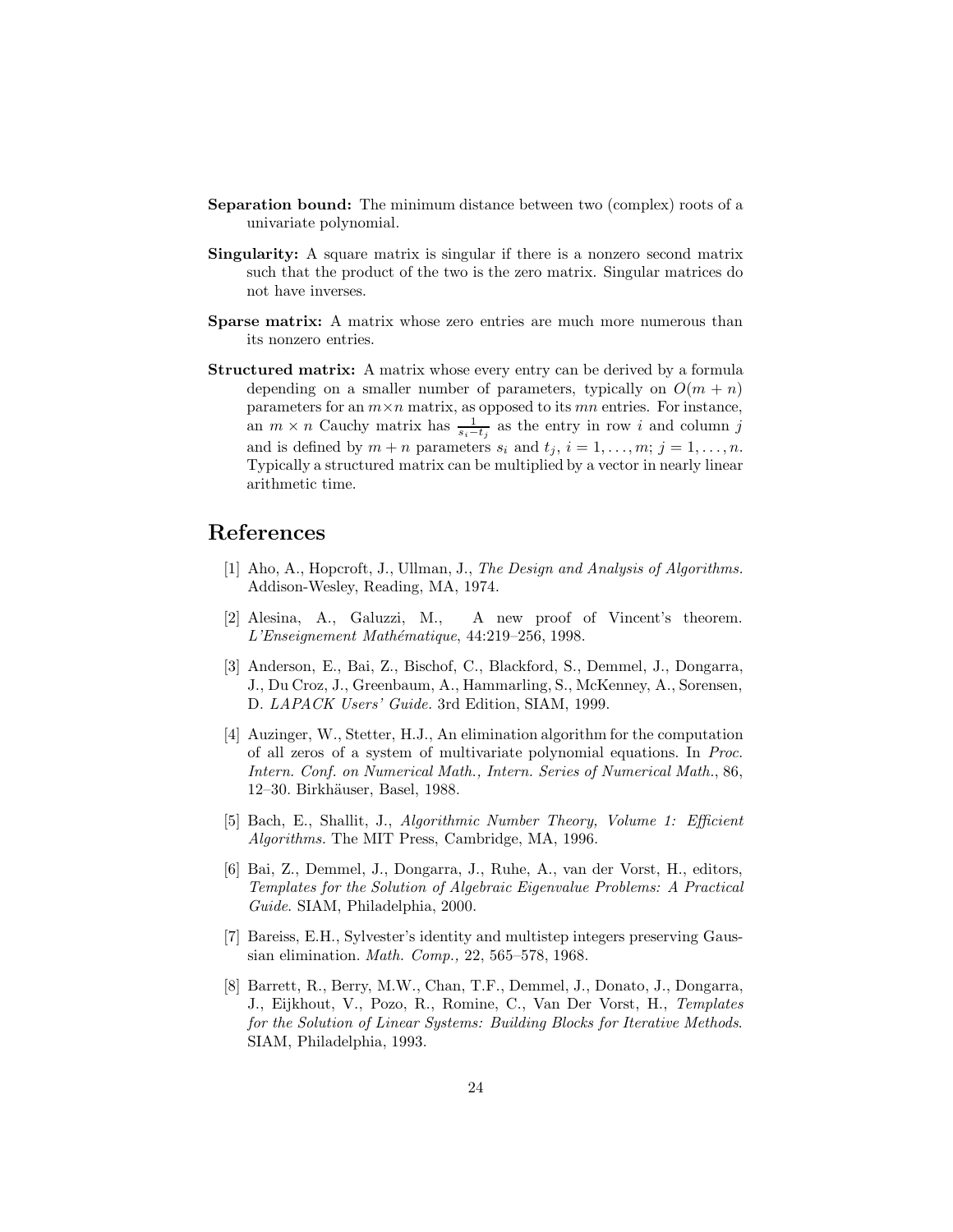- **Separation bound:** The minimum distance between two (complex) roots of a univariate polynomial.
- **Singularity:** A square matrix is singular if there is a nonzero second matrix such that the product of the two is the zero matrix. Singular matrices do not have inverses.
- **Sparse matrix:** A matrix whose zero entries are much more numerous than its nonzero entries.
- **Structured matrix:** A matrix whose every entry can be derived by a formula depending on a smaller number of parameters, typically on  $O(m + n)$ parameters for an  $m \times n$  matrix, as opposed to its  $mn$  entries. For instance, an  $m \times n$  Cauchy matrix has  $\frac{1}{s_i-t_j}$  as the entry in row *i* and column *j* and is defined by  $m + n$  parameters  $s_i$  and  $t_j$ ,  $i = 1, \ldots, m$ ;  $j = 1, \ldots, n$ . Typically a structured matrix can be multiplied by a vector in nearly linear arithmetic time.

# **References**

- [1] Aho, A., Hopcroft, J., Ullman, J., *The Design and Analysis of Algorithms.* Addison-Wesley, Reading, MA, 1974.
- [2] Alesina, A., Galuzzi, M., A new proof of Vincent's theorem. *L'Enseignement Math´ematique*, 44:219–256, 1998.
- [3] Anderson, E., Bai, Z., Bischof, C., Blackford, S., Demmel, J., Dongarra, J., Du Croz, J., Greenbaum, A., Hammarling, S., McKenney, A., Sorensen, D. *LAPACK Users' Guide.* 3rd Edition, SIAM, 1999.
- [4] Auzinger, W., Stetter, H.J., An elimination algorithm for the computation of all zeros of a system of multivariate polynomial equations. In *Proc. Intern. Conf. on Numerical Math., Intern. Series of Numerical Math.*, 86, 12–30. Birkhäuser, Basel, 1988.
- [5] Bach, E., Shallit, J., *Algorithmic Number Theory, Volume 1: Efficient Algorithms.* The MIT Press, Cambridge, MA, 1996.
- [6] Bai, Z., Demmel, J., Dongarra, J., Ruhe, A., van der Vorst, H., editors, *Templates for the Solution of Algebraic Eigenvalue Problems: A Practical Guide*. SIAM, Philadelphia, 2000.
- [7] Bareiss, E.H., Sylvester's identity and multistep integers preserving Gaussian elimination. *Math. Comp.,* 22, 565–578, 1968.
- [8] Barrett, R., Berry, M.W., Chan, T.F., Demmel, J., Donato, J., Dongarra, J., Eijkhout, V., Pozo, R., Romine, C., Van Der Vorst, H., *Templates for the Solution of Linear Systems: Building Blocks for Iterative Methods*. SIAM, Philadelphia, 1993.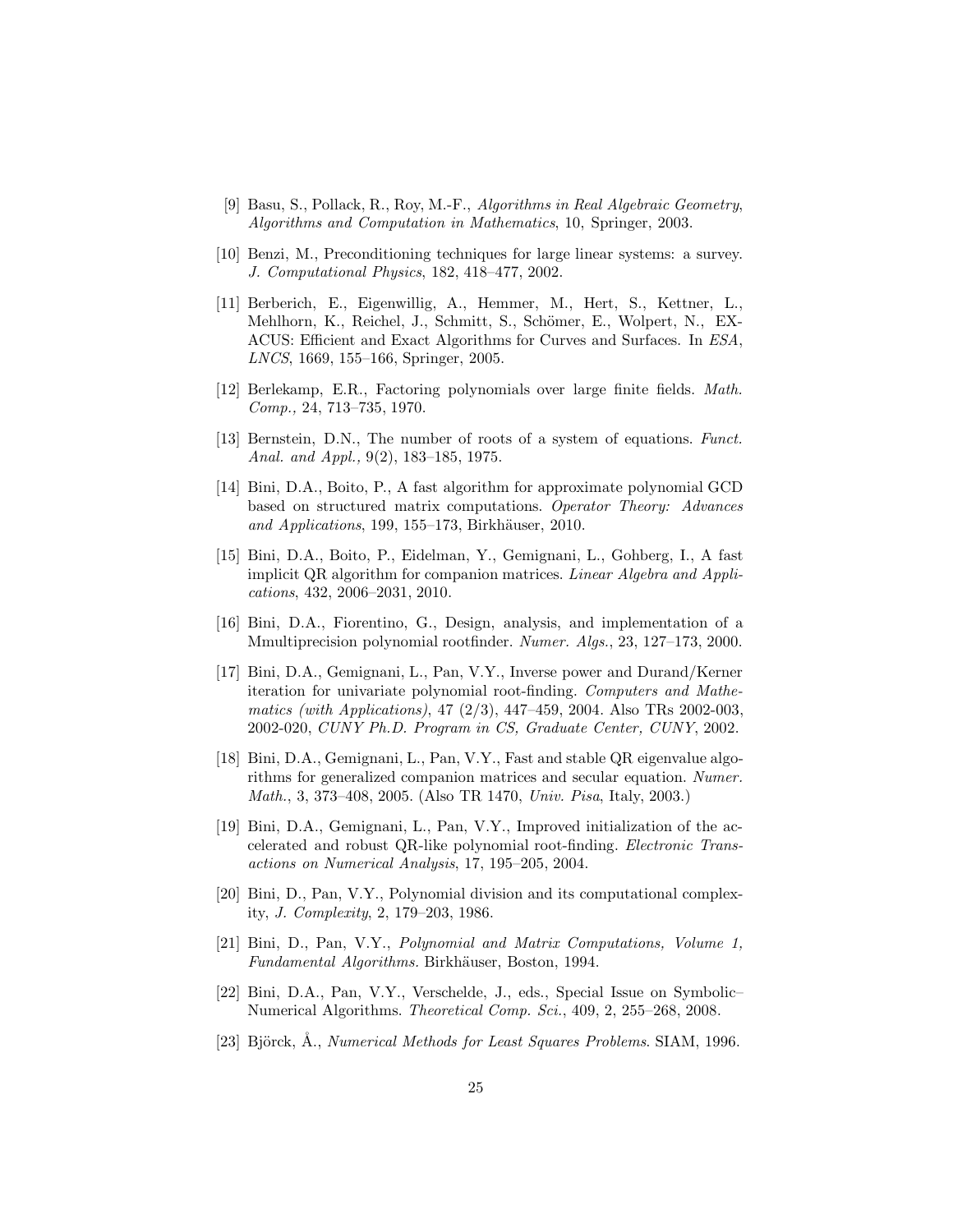- [9] Basu, S., Pollack, R., Roy, M.-F., *Algorithms in Real Algebraic Geometry*, *Algorithms and Computation in Mathematics*, 10, Springer, 2003.
- [10] Benzi, M., Preconditioning techniques for large linear systems: a survey. *J. Computational Physics*, 182, 418–477, 2002.
- [11] Berberich, E., Eigenwillig, A., Hemmer, M., Hert, S., Kettner, L., Mehlhorn, K., Reichel, J., Schmitt, S., Schömer, E., Wolpert, N., EX-ACUS: Efficient and Exact Algorithms for Curves and Surfaces. In *ESA*, *LNCS*, 1669, 155–166, Springer, 2005.
- [12] Berlekamp, E.R., Factoring polynomials over large finite fields. *Math. Comp.,* 24, 713–735, 1970.
- [13] Bernstein, D.N., The number of roots of a system of equations. *Funct. Anal. and Appl.,* 9(2), 183–185, 1975.
- [14] Bini, D.A., Boito, P., A fast algorithm for approximate polynomial GCD based on structured matrix computations. *Operator Theory: Advances and Applications*, 199, 155–173, Birkhäuser, 2010.
- [15] Bini, D.A., Boito, P., Eidelman, Y., Gemignani, L., Gohberg, I., A fast implicit QR algorithm for companion matrices. *Linear Algebra and Applications*, 432, 2006–2031, 2010.
- [16] Bini, D.A., Fiorentino, G., Design, analysis, and implementation of a Mmultiprecision polynomial rootfinder. *Numer. Algs.*, 23, 127–173, 2000.
- [17] Bini, D.A., Gemignani, L., Pan, V.Y., Inverse power and Durand/Kerner iteration for univariate polynomial root-finding. *Computers and Mathematics (with Applications)*, 47 (2/3), 447–459, 2004. Also TRs 2002-003, 2002-020, *CUNY Ph.D. Program in CS, Graduate Center, CUNY*, 2002.
- [18] Bini, D.A., Gemignani, L., Pan, V.Y., Fast and stable QR eigenvalue algorithms for generalized companion matrices and secular equation. *Numer. Math.*, 3, 373–408, 2005. (Also TR 1470, *Univ. Pisa*, Italy, 2003.)
- [19] Bini, D.A., Gemignani, L., Pan, V.Y., Improved initialization of the accelerated and robust QR-like polynomial root-finding. *Electronic Transactions on Numerical Analysis*, 17, 195–205, 2004.
- [20] Bini, D., Pan, V.Y., Polynomial division and its computational complexity, *J. Complexity*, 2, 179–203, 1986.
- [21] Bini, D., Pan, V.Y., *Polynomial and Matrix Computations, Volume 1, Fundamental Algorithms.* Birkh¨auser, Boston, 1994.
- [22] Bini, D.A., Pan, V.Y., Verschelde, J., eds., Special Issue on Symbolic– Numerical Algorithms. *Theoretical Comp. Sci.*, 409, 2, 255–268, 2008.
- [23] Björck, Å., *Numerical Methods for Least Squares Problems*. SIAM, 1996.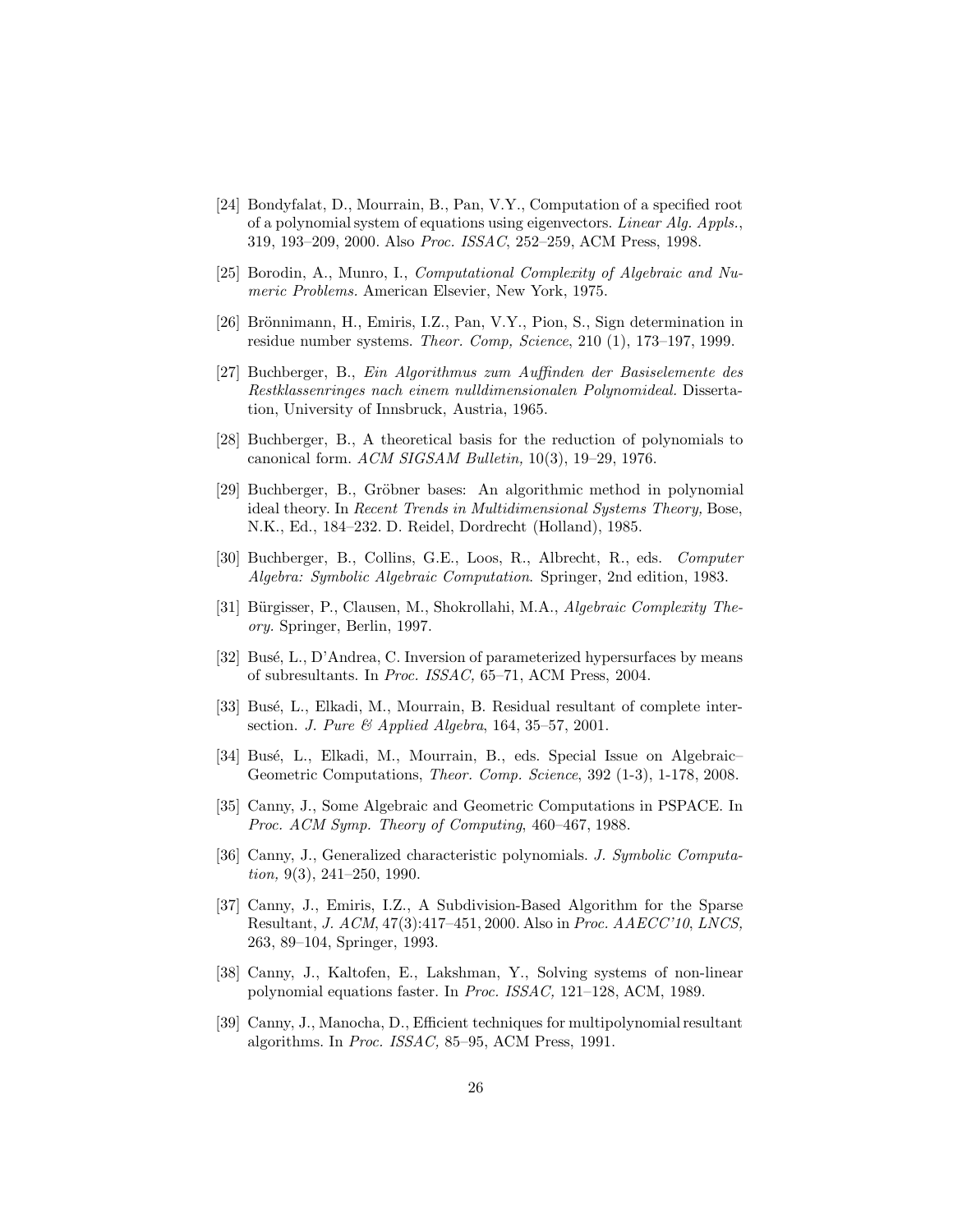- [24] Bondyfalat, D., Mourrain, B., Pan, V.Y., Computation of a specified root of a polynomial system of equations using eigenvectors. *Linear Alg. Appls.*, 319, 193–209, 2000. Also *Proc. ISSAC*, 252–259, ACM Press, 1998.
- [25] Borodin, A., Munro, I., *Computational Complexity of Algebraic and Numeric Problems.* American Elsevier, New York, 1975.
- [26] Brönnimann, H., Emiris, I.Z., Pan, V.Y., Pion, S., Sign determination in residue number systems. *Theor. Comp, Science*, 210 (1), 173–197, 1999.
- [27] Buchberger, B., *Ein Algorithmus zum Auffinden der Basiselemente des Restklassenringes nach einem nulldimensionalen Polynomideal.* Dissertation, University of Innsbruck, Austria, 1965.
- [28] Buchberger, B., A theoretical basis for the reduction of polynomials to canonical form. *ACM SIGSAM Bulletin,* 10(3), 19–29, 1976.
- [29] Buchberger, B., Gröbner bases: An algorithmic method in polynomial ideal theory. In *Recent Trends in Multidimensional Systems Theory,* Bose, N.K., Ed., 184–232. D. Reidel, Dordrecht (Holland), 1985.
- [30] Buchberger, B., Collins, G.E., Loos, R., Albrecht, R., eds. *Computer Algebra: Symbolic Algebraic Computation*. Springer, 2nd edition, 1983.
- [31] Bürgisser, P., Clausen, M., Shokrollahi, M.A., *Algebraic Complexity Theory.* Springer, Berlin, 1997.
- [32] Busé, L., D'Andrea, C. Inversion of parameterized hypersurfaces by means of subresultants. In *Proc. ISSAC,* 65–71, ACM Press, 2004.
- [33] Busé, L., Elkadi, M., Mourrain, B. Residual resultant of complete intersection. *J. Pure & Applied Algebra*, 164, 35–57, 2001.
- [34] Bus´e, L., Elkadi, M., Mourrain, B., eds. Special Issue on Algebraic– Geometric Computations, *Theor. Comp. Science*, 392 (1-3), 1-178, 2008.
- [35] Canny, J., Some Algebraic and Geometric Computations in PSPACE. In *Proc. ACM Symp. Theory of Computing*, 460–467, 1988.
- [36] Canny, J., Generalized characteristic polynomials. *J. Symbolic Computation,* 9(3), 241–250, 1990.
- [37] Canny, J., Emiris, I.Z., A Subdivision-Based Algorithm for the Sparse Resultant, *J. ACM*, 47(3):417–451, 2000. Also in *Proc. AAECC'10*, *LNCS,* 263, 89–104, Springer, 1993.
- [38] Canny, J., Kaltofen, E., Lakshman, Y., Solving systems of non-linear polynomial equations faster. In *Proc. ISSAC,* 121–128, ACM, 1989.
- [39] Canny, J., Manocha, D., Efficient techniques for multipolynomial resultant algorithms. In *Proc. ISSAC,* 85–95, ACM Press, 1991.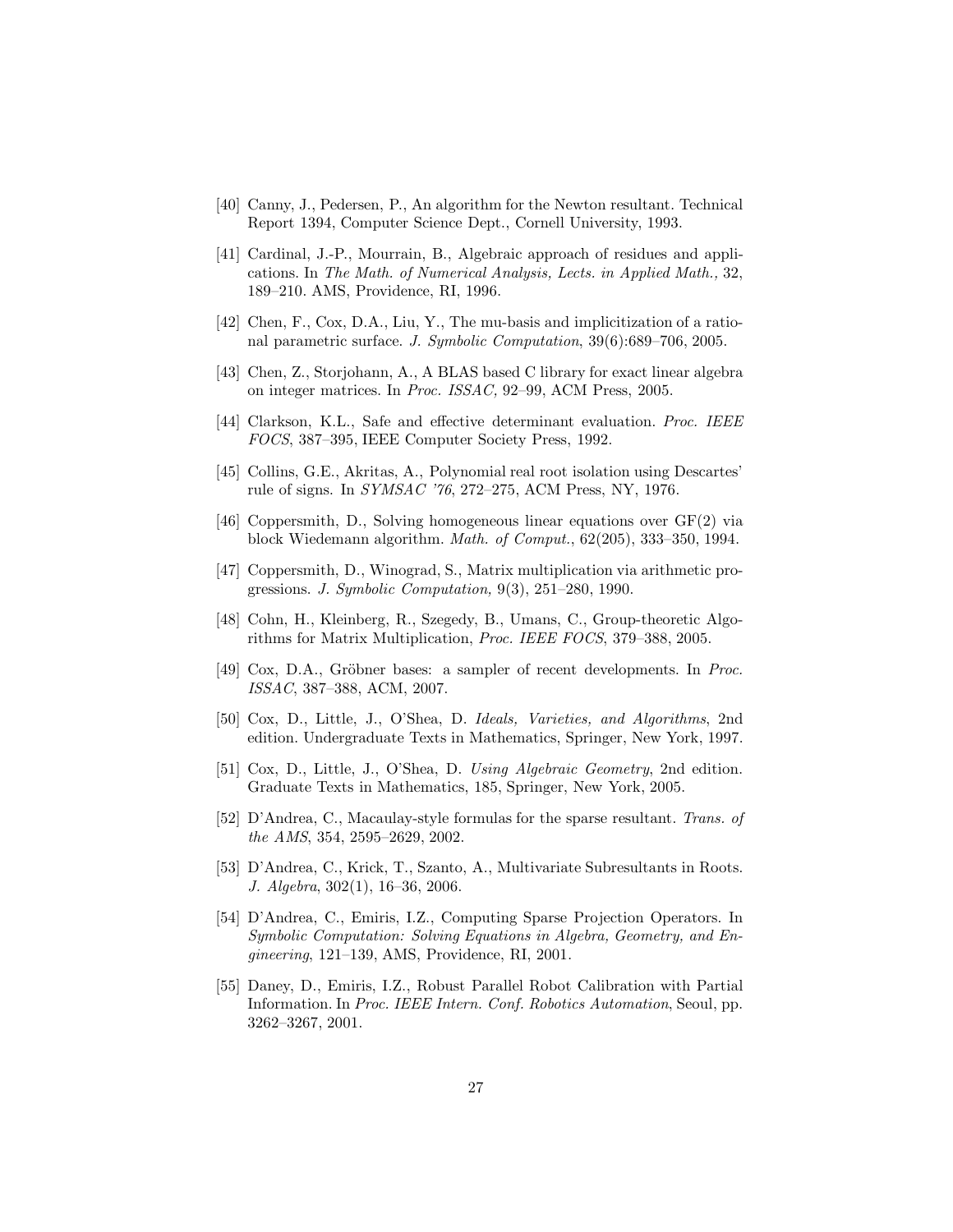- [40] Canny, J., Pedersen, P., An algorithm for the Newton resultant. Technical Report 1394, Computer Science Dept., Cornell University, 1993.
- [41] Cardinal, J.-P., Mourrain, B., Algebraic approach of residues and applications. In *The Math. of Numerical Analysis, Lects. in Applied Math.,* 32, 189–210. AMS, Providence, RI, 1996.
- [42] Chen, F., Cox, D.A., Liu, Y., The mu-basis and implicitization of a rational parametric surface. *J. Symbolic Computation*, 39(6):689–706, 2005.
- [43] Chen, Z., Storjohann, A., A BLAS based C library for exact linear algebra on integer matrices. In *Proc. ISSAC,* 92–99, ACM Press, 2005.
- [44] Clarkson, K.L., Safe and effective determinant evaluation. *Proc. IEEE FOCS*, 387–395, IEEE Computer Society Press, 1992.
- [45] Collins, G.E., Akritas, A., Polynomial real root isolation using Descartes' rule of signs. In *SYMSAC '76*, 272–275, ACM Press, NY, 1976.
- [46] Coppersmith, D., Solving homogeneous linear equations over GF(2) via block Wiedemann algorithm. *Math. of Comput.*, 62(205), 333–350, 1994.
- [47] Coppersmith, D., Winograd, S., Matrix multiplication via arithmetic progressions. *J. Symbolic Computation,* 9(3), 251–280, 1990.
- [48] Cohn, H., Kleinberg, R., Szegedy, B., Umans, C., Group-theoretic Algorithms for Matrix Multiplication, *Proc. IEEE FOCS*, 379–388, 2005.
- [49] Cox, D.A., Gröbner bases: a sampler of recent developments. In *Proc. ISSAC*, 387–388, ACM, 2007.
- [50] Cox, D., Little, J., O'Shea, D. *Ideals, Varieties, and Algorithms*, 2nd edition. Undergraduate Texts in Mathematics, Springer, New York, 1997.
- [51] Cox, D., Little, J., O'Shea, D. *Using Algebraic Geometry*, 2nd edition. Graduate Texts in Mathematics, 185, Springer, New York, 2005.
- [52] D'Andrea, C., Macaulay-style formulas for the sparse resultant. *Trans. of the AMS*, 354, 2595–2629, 2002.
- [53] D'Andrea, C., Krick, T., Szanto, A., Multivariate Subresultants in Roots. *J. Algebra*, 302(1), 16–36, 2006.
- [54] D'Andrea, C., Emiris, I.Z., Computing Sparse Projection Operators. In *Symbolic Computation: Solving Equations in Algebra, Geometry, and Engineering*, 121–139, AMS, Providence, RI, 2001.
- [55] Daney, D., Emiris, I.Z., Robust Parallel Robot Calibration with Partial Information. In *Proc. IEEE Intern. Conf. Robotics Automation*, Seoul, pp. 3262–3267, 2001.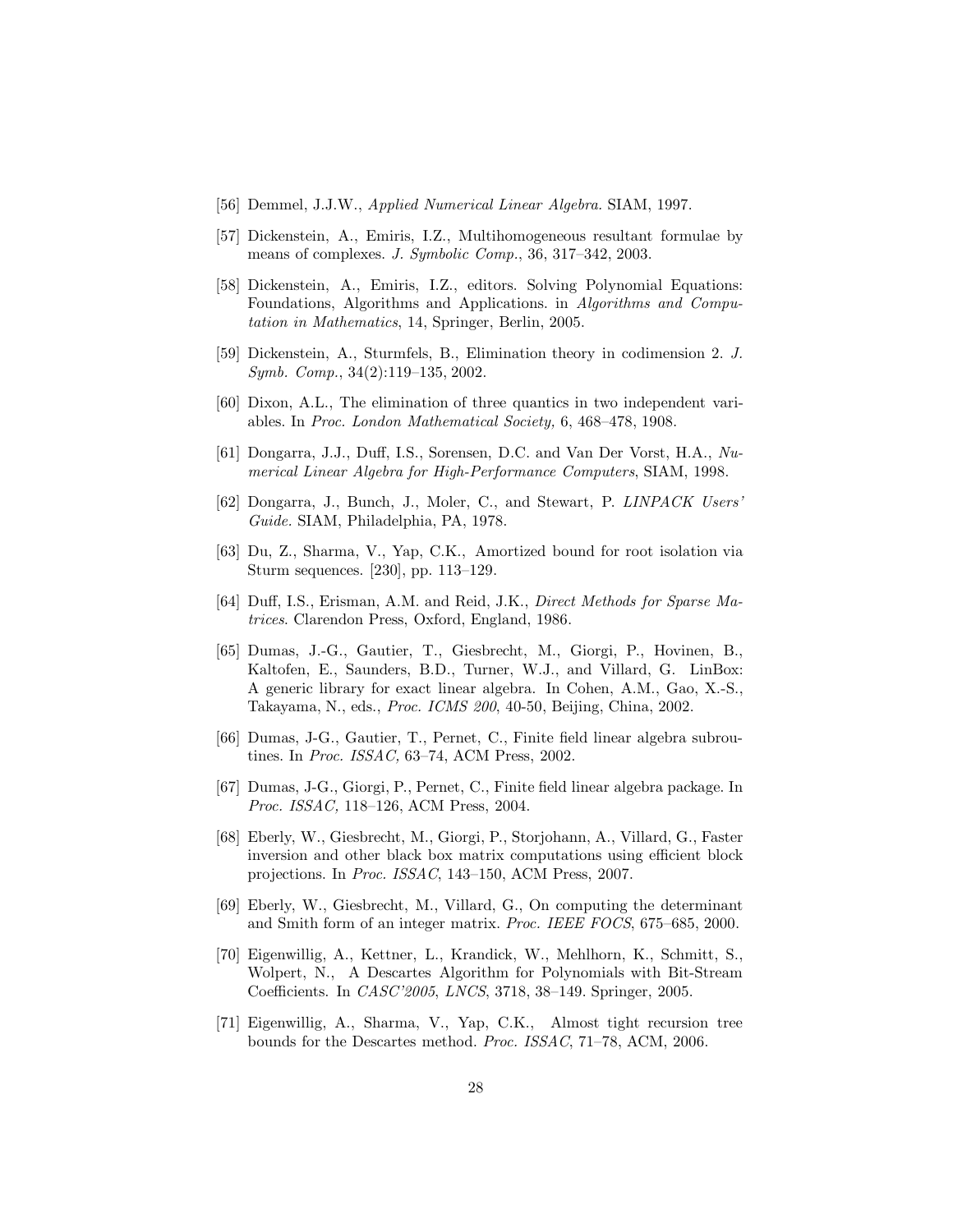- [56] Demmel, J.J.W., *Applied Numerical Linear Algebra.* SIAM, 1997.
- [57] Dickenstein, A., Emiris, I.Z., Multihomogeneous resultant formulae by means of complexes. *J. Symbolic Comp.*, 36, 317–342, 2003.
- [58] Dickenstein, A., Emiris, I.Z., editors. Solving Polynomial Equations: Foundations, Algorithms and Applications. in *Algorithms and Computation in Mathematics*, 14, Springer, Berlin, 2005.
- [59] Dickenstein, A., Sturmfels, B., Elimination theory in codimension 2. *J. Symb. Comp.*, 34(2):119–135, 2002.
- [60] Dixon, A.L., The elimination of three quantics in two independent variables. In *Proc. London Mathematical Society,* 6, 468–478, 1908.
- [61] Dongarra, J.J., Duff, I.S., Sorensen, D.C. and Van Der Vorst, H.A., *Numerical Linear Algebra for High-Performance Computers*, SIAM, 1998.
- [62] Dongarra, J., Bunch, J., Moler, C., and Stewart, P. *LINPACK Users' Guide.* SIAM, Philadelphia, PA, 1978.
- [63] Du, Z., Sharma, V., Yap, C.K., Amortized bound for root isolation via Sturm sequences. [230], pp. 113–129.
- [64] Duff, I.S., Erisman, A.M. and Reid, J.K., *Direct Methods for Sparse Matrices*. Clarendon Press, Oxford, England, 1986.
- [65] Dumas, J.-G., Gautier, T., Giesbrecht, M., Giorgi, P., Hovinen, B., Kaltofen, E., Saunders, B.D., Turner, W.J., and Villard, G. LinBox: A generic library for exact linear algebra. In Cohen, A.M., Gao, X.-S., Takayama, N., eds., *Proc. ICMS 200*, 40-50, Beijing, China, 2002.
- [66] Dumas, J-G., Gautier, T., Pernet, C., Finite field linear algebra subroutines. In *Proc. ISSAC,* 63–74, ACM Press, 2002.
- [67] Dumas, J-G., Giorgi, P., Pernet, C., Finite field linear algebra package. In *Proc. ISSAC,* 118–126, ACM Press, 2004.
- [68] Eberly, W., Giesbrecht, M., Giorgi, P., Storjohann, A., Villard, G., Faster inversion and other black box matrix computations using efficient block projections. In *Proc. ISSAC*, 143–150, ACM Press, 2007.
- [69] Eberly, W., Giesbrecht, M., Villard, G., On computing the determinant and Smith form of an integer matrix. *Proc. IEEE FOCS*, 675–685, 2000.
- [70] Eigenwillig, A., Kettner, L., Krandick, W., Mehlhorn, K., Schmitt, S., Wolpert, N., A Descartes Algorithm for Polynomials with Bit-Stream Coefficients. In *CASC'2005*, *LNCS*, 3718, 38–149. Springer, 2005.
- [71] Eigenwillig, A., Sharma, V., Yap, C.K., Almost tight recursion tree bounds for the Descartes method. *Proc. ISSAC*, 71–78, ACM, 2006.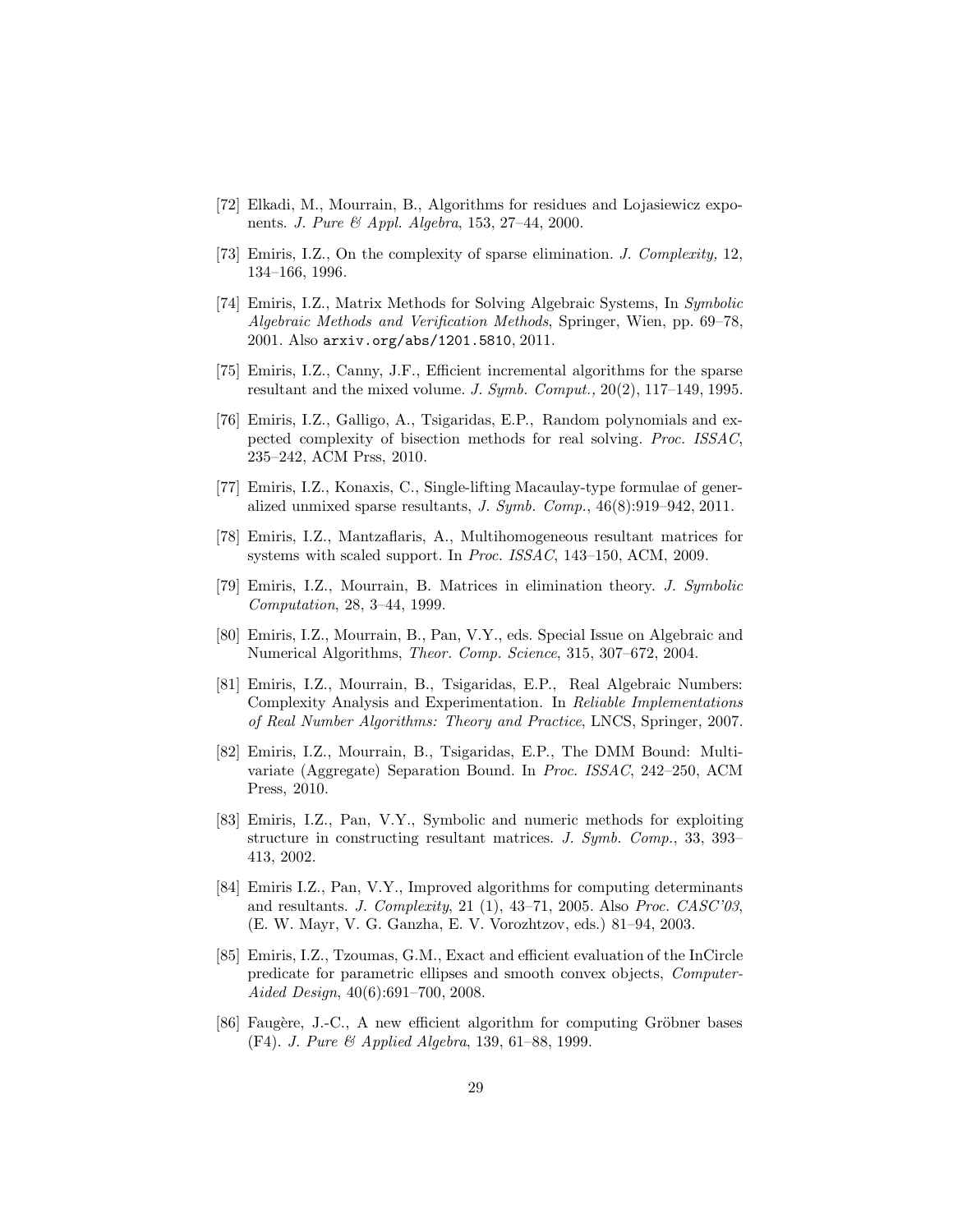- [72] Elkadi, M., Mourrain, B., Algorithms for residues and Lojasiewicz exponents. *J. Pure & Appl. Algebra*, 153, 27–44, 2000.
- [73] Emiris, I.Z., On the complexity of sparse elimination. *J. Complexity,* 12, 134–166, 1996.
- [74] Emiris, I.Z., Matrix Methods for Solving Algebraic Systems, In *Symbolic Algebraic Methods and Verification Methods*, Springer, Wien, pp. 69–78, 2001. Also arxiv.org/abs/1201.5810, 2011.
- [75] Emiris, I.Z., Canny, J.F., Efficient incremental algorithms for the sparse resultant and the mixed volume. *J. Symb. Comput.,* 20(2), 117–149, 1995.
- [76] Emiris, I.Z., Galligo, A., Tsigaridas, E.P., Random polynomials and expected complexity of bisection methods for real solving. *Proc. ISSAC*, 235–242, ACM Prss, 2010.
- [77] Emiris, I.Z., Konaxis, C., Single-lifting Macaulay-type formulae of generalized unmixed sparse resultants, *J. Symb. Comp.*, 46(8):919–942, 2011.
- [78] Emiris, I.Z., Mantzaflaris, A., Multihomogeneous resultant matrices for systems with scaled support. In *Proc. ISSAC*, 143–150, ACM, 2009.
- [79] Emiris, I.Z., Mourrain, B. Matrices in elimination theory. *J. Symbolic Computation*, 28, 3–44, 1999.
- [80] Emiris, I.Z., Mourrain, B., Pan, V.Y., eds. Special Issue on Algebraic and Numerical Algorithms, *Theor. Comp. Science*, 315, 307–672, 2004.
- [81] Emiris, I.Z., Mourrain, B., Tsigaridas, E.P., Real Algebraic Numbers: Complexity Analysis and Experimentation. In *Reliable Implementations of Real Number Algorithms: Theory and Practice*, LNCS, Springer, 2007.
- [82] Emiris, I.Z., Mourrain, B., Tsigaridas, E.P., The DMM Bound: Multivariate (Aggregate) Separation Bound. In *Proc. ISSAC*, 242–250, ACM Press, 2010.
- [83] Emiris, I.Z., Pan, V.Y., Symbolic and numeric methods for exploiting structure in constructing resultant matrices. *J. Symb. Comp.*, 33, 393– 413, 2002.
- [84] Emiris I.Z., Pan, V.Y., Improved algorithms for computing determinants and resultants. *J. Complexity*, 21 (1), 43–71, 2005. Also *Proc. CASC'03*, (E. W. Mayr, V. G. Ganzha, E. V. Vorozhtzov, eds.) 81–94, 2003.
- [85] Emiris, I.Z., Tzoumas, G.M., Exact and efficient evaluation of the InCircle predicate for parametric ellipses and smooth convex objects, *Computer-Aided Design*, 40(6):691–700, 2008.
- [86] Faugère, J.-C., A new efficient algorithm for computing Gröbner bases (F4). *J. Pure & Applied Algebra*, 139, 61–88, 1999.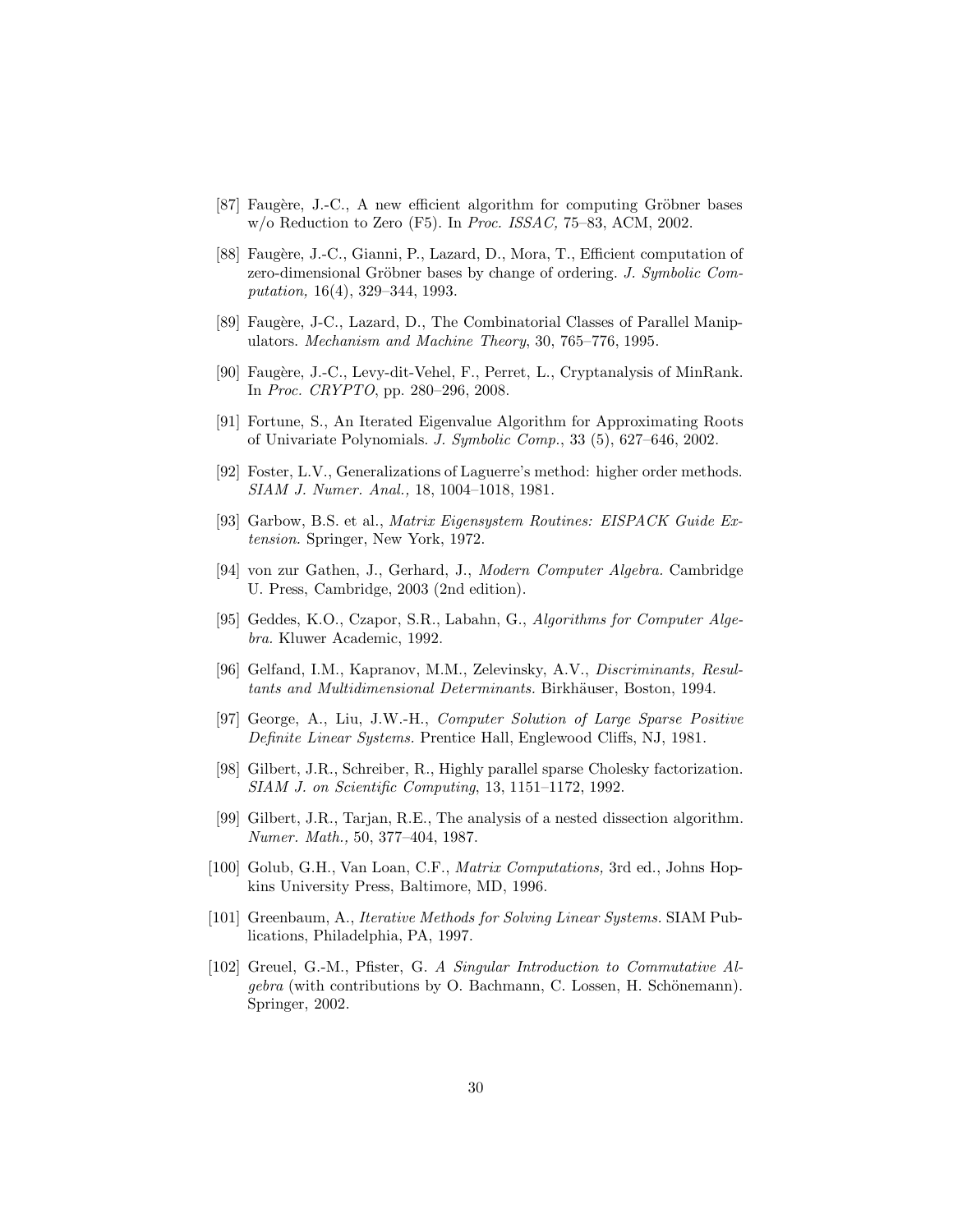- [87] Faugère, J.-C., A new efficient algorithm for computing Gröbner bases w/o Reduction to Zero (F5). In *Proc. ISSAC,* 75–83, ACM, 2002.
- [88] Faugère, J.-C., Gianni, P., Lazard, D., Mora, T., Efficient computation of zero-dimensional Gröbner bases by change of ordering. *J. Symbolic Computation,* 16(4), 329–344, 1993.
- [89] Faugère, J-C., Lazard, D., The Combinatorial Classes of Parallel Manipulators. *Mechanism and Machine Theory*, 30, 765–776, 1995.
- [90] Faugère, J.-C., Levy-dit-Vehel, F., Perret, L., Cryptanalysis of MinRank. In *Proc. CRYPTO*, pp. 280–296, 2008.
- [91] Fortune, S., An Iterated Eigenvalue Algorithm for Approximating Roots of Univariate Polynomials. *J. Symbolic Comp.*, 33 (5), 627–646, 2002.
- [92] Foster, L.V., Generalizations of Laguerre's method: higher order methods. *SIAM J. Numer. Anal.,* 18, 1004–1018, 1981.
- [93] Garbow, B.S. et al., *Matrix Eigensystem Routines: EISPACK Guide Extension.* Springer, New York, 1972.
- [94] von zur Gathen, J., Gerhard, J., *Modern Computer Algebra.* Cambridge U. Press, Cambridge, 2003 (2nd edition).
- [95] Geddes, K.O., Czapor, S.R., Labahn, G., *Algorithms for Computer Algebra.* Kluwer Academic, 1992.
- [96] Gelfand, I.M., Kapranov, M.M., Zelevinsky, A.V., *Discriminants, Resultants and Multidimensional Determinants.* Birkhäuser, Boston, 1994.
- [97] George, A., Liu, J.W.-H., *Computer Solution of Large Sparse Positive Definite Linear Systems.* Prentice Hall, Englewood Cliffs, NJ, 1981.
- [98] Gilbert, J.R., Schreiber, R., Highly parallel sparse Cholesky factorization. *SIAM J. on Scientific Computing*, 13, 1151–1172, 1992.
- [99] Gilbert, J.R., Tarjan, R.E., The analysis of a nested dissection algorithm. *Numer. Math.,* 50, 377–404, 1987.
- [100] Golub, G.H., Van Loan, C.F., *Matrix Computations,* 3rd ed., Johns Hopkins University Press, Baltimore, MD, 1996.
- [101] Greenbaum, A., *Iterative Methods for Solving Linear Systems.* SIAM Publications, Philadelphia, PA, 1997.
- [102] Greuel, G.-M., Pfister, G. *A Singular Introduction to Commutative Algebra* (with contributions by O. Bachmann, C. Lossen, H. Schönemann). Springer, 2002.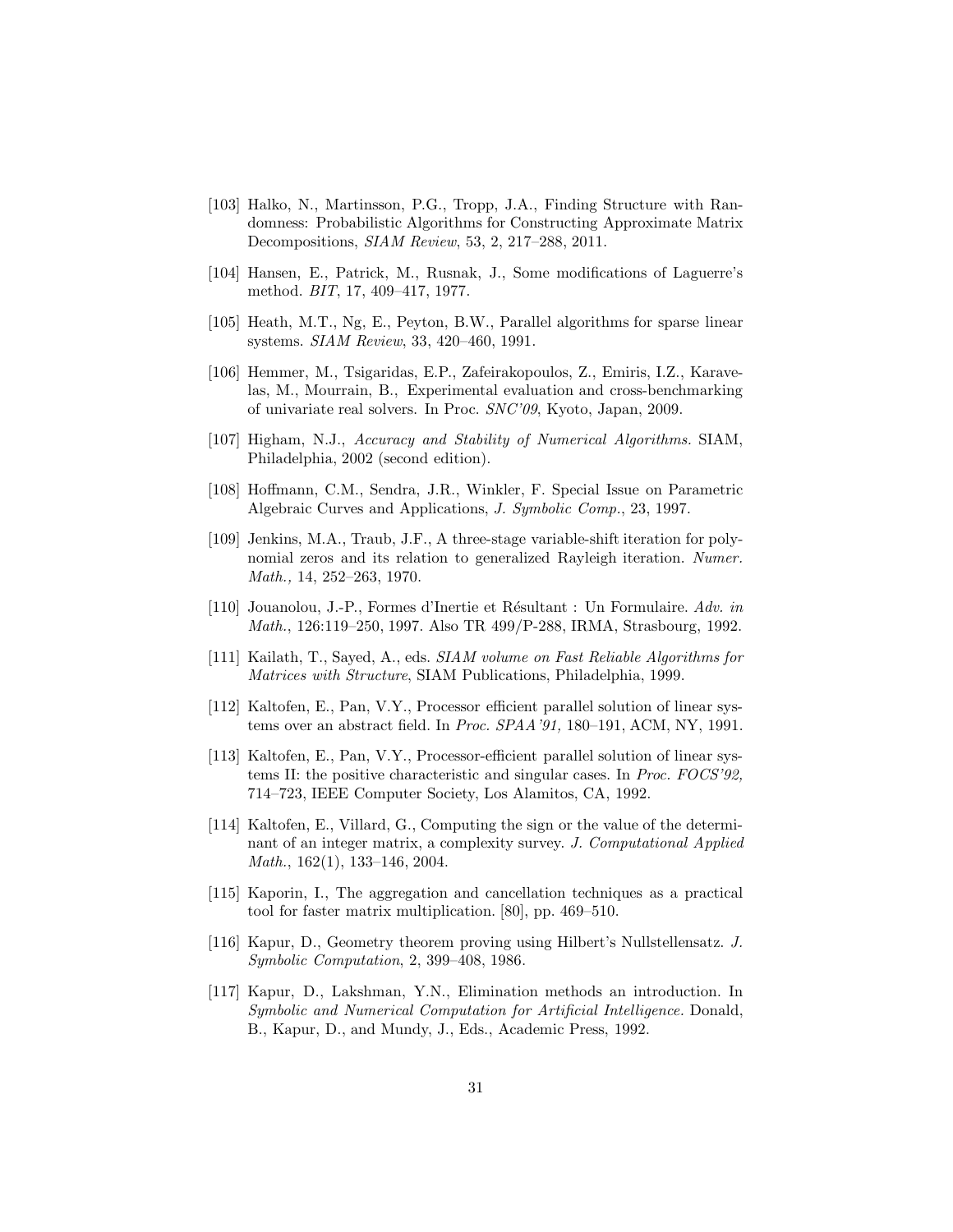- [103] Halko, N., Martinsson, P.G., Tropp, J.A., Finding Structure with Randomness: Probabilistic Algorithms for Constructing Approximate Matrix Decompositions, *SIAM Review*, 53, 2, 217–288, 2011.
- [104] Hansen, E., Patrick, M., Rusnak, J., Some modifications of Laguerre's method. *BIT*, 17, 409–417, 1977.
- [105] Heath, M.T., Ng, E., Peyton, B.W., Parallel algorithms for sparse linear systems. *SIAM Review*, 33, 420–460, 1991.
- [106] Hemmer, M., Tsigaridas, E.P., Zafeirakopoulos, Z., Emiris, I.Z., Karavelas, M., Mourrain, B., Experimental evaluation and cross-benchmarking of univariate real solvers. In Proc. *SNC'09*, Kyoto, Japan, 2009.
- [107] Higham, N.J., *Accuracy and Stability of Numerical Algorithms.* SIAM, Philadelphia, 2002 (second edition).
- [108] Hoffmann, C.M., Sendra, J.R., Winkler, F. Special Issue on Parametric Algebraic Curves and Applications, *J. Symbolic Comp.*, 23, 1997.
- [109] Jenkins, M.A., Traub, J.F., A three-stage variable-shift iteration for polynomial zeros and its relation to generalized Rayleigh iteration. *Numer. Math.,* 14, 252–263, 1970.
- [110] Jouanolou, J.-P., Formes d'Inertie et R´esultant : Un Formulaire. *Adv. in Math.*, 126:119–250, 1997. Also TR 499/P-288, IRMA, Strasbourg, 1992.
- [111] Kailath, T., Sayed, A., eds. *SIAM volume on Fast Reliable Algorithms for Matrices with Structure*, SIAM Publications, Philadelphia, 1999.
- [112] Kaltofen, E., Pan, V.Y., Processor efficient parallel solution of linear systems over an abstract field. In *Proc. SPAA'91,* 180–191, ACM, NY, 1991.
- [113] Kaltofen, E., Pan, V.Y., Processor-efficient parallel solution of linear systems II: the positive characteristic and singular cases. In *Proc. FOCS'92,* 714–723, IEEE Computer Society, Los Alamitos, CA, 1992.
- [114] Kaltofen, E., Villard, G., Computing the sign or the value of the determinant of an integer matrix, a complexity survey. *J. Computational Applied Math.*, 162(1), 133–146, 2004.
- [115] Kaporin, I., The aggregation and cancellation techniques as a practical tool for faster matrix multiplication. [80], pp. 469–510.
- [116] Kapur, D., Geometry theorem proving using Hilbert's Nullstellensatz. *J. Symbolic Computation*, 2, 399–408, 1986.
- [117] Kapur, D., Lakshman, Y.N., Elimination methods an introduction. In *Symbolic and Numerical Computation for Artificial Intelligence.* Donald, B., Kapur, D., and Mundy, J., Eds., Academic Press, 1992.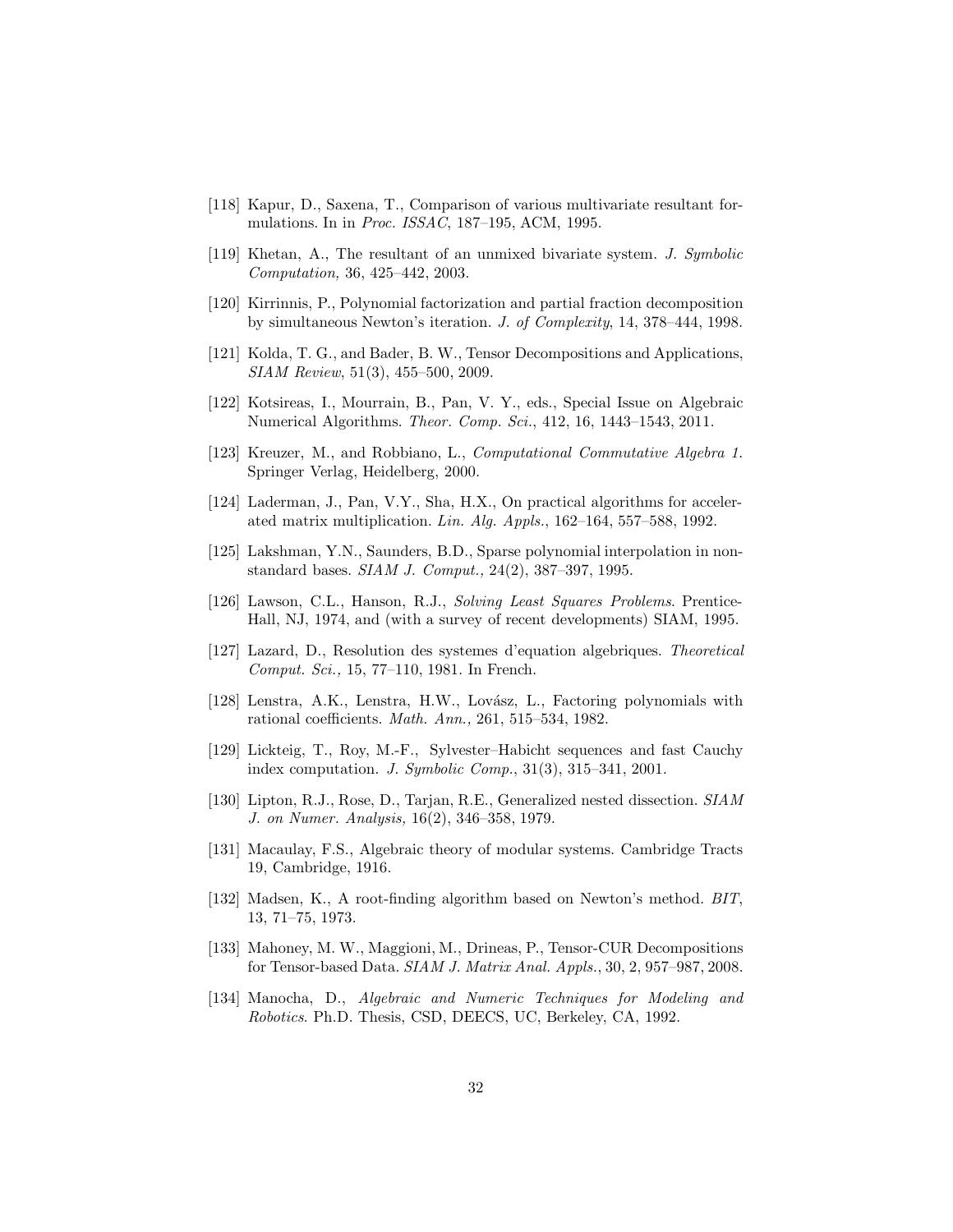- [118] Kapur, D., Saxena, T., Comparison of various multivariate resultant formulations. In in *Proc. ISSAC*, 187–195, ACM, 1995.
- [119] Khetan, A., The resultant of an unmixed bivariate system. *J. Symbolic Computation,* 36, 425–442, 2003.
- [120] Kirrinnis, P., Polynomial factorization and partial fraction decomposition by simultaneous Newton's iteration. *J. of Complexity*, 14, 378–444, 1998.
- [121] Kolda, T. G., and Bader, B. W., Tensor Decompositions and Applications, *SIAM Review*, 51(3), 455–500, 2009.
- [122] Kotsireas, I., Mourrain, B., Pan, V. Y., eds., Special Issue on Algebraic Numerical Algorithms. *Theor. Comp. Sci.*, 412, 16, 1443–1543, 2011.
- [123] Kreuzer, M., and Robbiano, L., *Computational Commutative Algebra 1.* Springer Verlag, Heidelberg, 2000.
- [124] Laderman, J., Pan, V.Y., Sha, H.X., On practical algorithms for accelerated matrix multiplication. *Lin. Alg. Appls.*, 162–164, 557–588, 1992.
- [125] Lakshman, Y.N., Saunders, B.D., Sparse polynomial interpolation in nonstandard bases. *SIAM J. Comput.,* 24(2), 387–397, 1995.
- [126] Lawson, C.L., Hanson, R.J., *Solving Least Squares Problems*. Prentice-Hall, NJ, 1974, and (with a survey of recent developments) SIAM, 1995.
- [127] Lazard, D., Resolution des systemes d'equation algebriques. *Theoretical Comput. Sci.,* 15, 77–110, 1981. In French.
- [128] Lenstra, A.K., Lenstra, H.W., Lovász, L., Factoring polynomials with rational coefficients. *Math. Ann.,* 261, 515–534, 1982.
- [129] Lickteig, T., Roy, M.-F., Sylvester–Habicht sequences and fast Cauchy index computation. *J. Symbolic Comp.*, 31(3), 315–341, 2001.
- [130] Lipton, R.J., Rose, D., Tarjan, R.E., Generalized nested dissection. *SIAM J. on Numer. Analysis,* 16(2), 346–358, 1979.
- [131] Macaulay, F.S., Algebraic theory of modular systems. Cambridge Tracts 19, Cambridge, 1916.
- [132] Madsen, K., A root-finding algorithm based on Newton's method. *BIT*, 13, 71–75, 1973.
- [133] Mahoney, M. W., Maggioni, M., Drineas, P., Tensor-CUR Decompositions for Tensor-based Data. *SIAM J. Matrix Anal. Appls.*, 30, 2, 957–987, 2008.
- [134] Manocha, D., *Algebraic and Numeric Techniques for Modeling and Robotics*. Ph.D. Thesis, CSD, DEECS, UC, Berkeley, CA, 1992.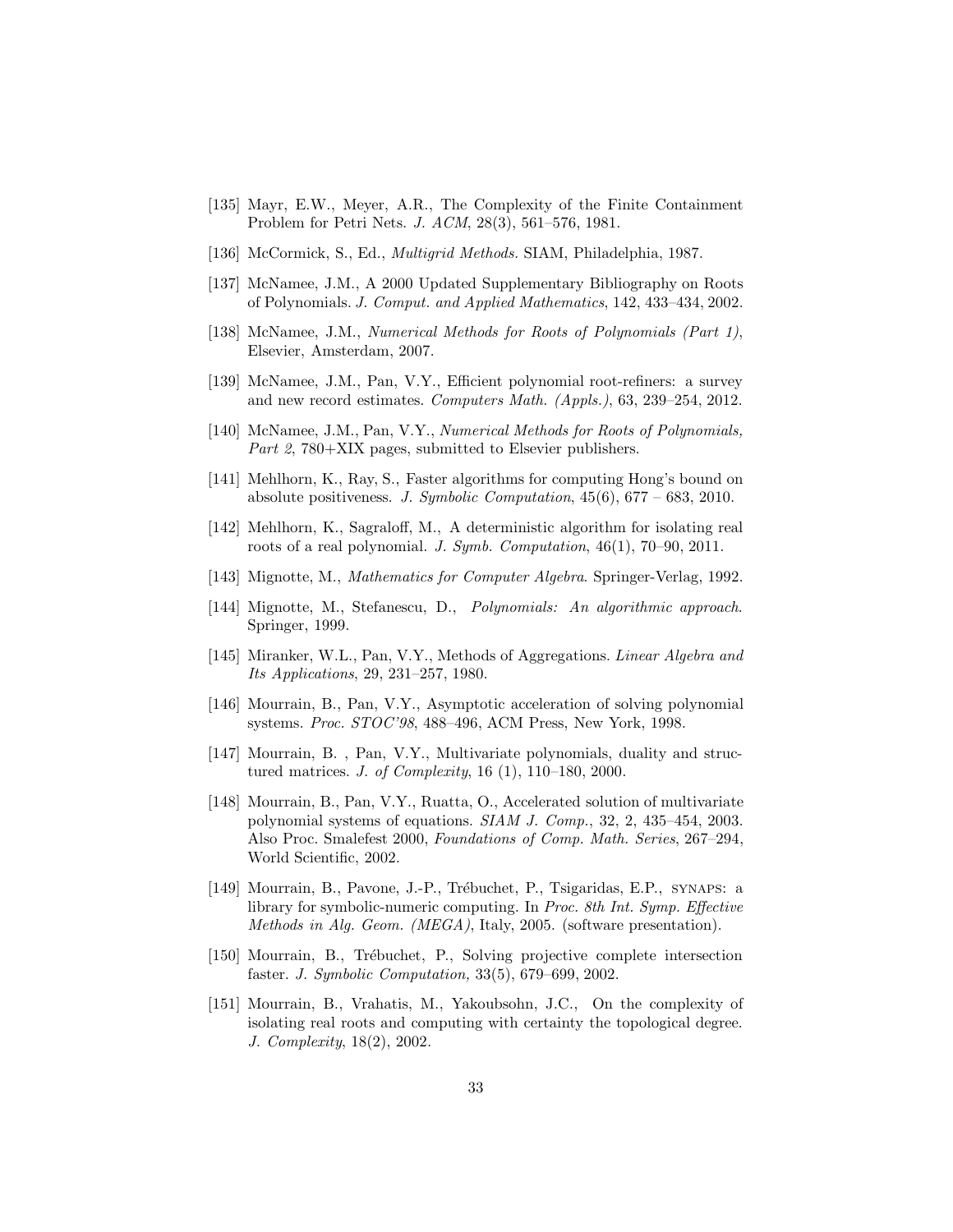- [135] Mayr, E.W., Meyer, A.R., The Complexity of the Finite Containment Problem for Petri Nets. *J. ACM*, 28(3), 561–576, 1981.
- [136] McCormick, S., Ed., *Multigrid Methods.* SIAM, Philadelphia, 1987.
- [137] McNamee, J.M., A 2000 Updated Supplementary Bibliography on Roots of Polynomials. *J. Comput. and Applied Mathematics*, 142, 433–434, 2002.
- [138] McNamee, J.M., *Numerical Methods for Roots of Polynomials (Part 1)*, Elsevier, Amsterdam, 2007.
- [139] McNamee, J.M., Pan, V.Y., Efficient polynomial root-refiners: a survey and new record estimates. *Computers Math. (Appls.)*, 63, 239–254, 2012.
- [140] McNamee, J.M., Pan, V.Y., *Numerical Methods for Roots of Polynomials, Part 2, 780+XIX pages, submitted to Elsevier publishers.*
- [141] Mehlhorn, K., Ray, S., Faster algorithms for computing Hong's bound on absolute positiveness. *J. Symbolic Computation*, 45(6), 677 – 683, 2010.
- [142] Mehlhorn, K., Sagraloff, M., A deterministic algorithm for isolating real roots of a real polynomial. *J. Symb. Computation*, 46(1), 70–90, 2011.
- [143] Mignotte, M., *Mathematics for Computer Algebra*. Springer-Verlag, 1992.
- [144] Mignotte, M., Stefanescu, D., *Polynomials: An algorithmic approach*. Springer, 1999.
- [145] Miranker, W.L., Pan, V.Y., Methods of Aggregations. *Linear Algebra and Its Applications*, 29, 231–257, 1980.
- [146] Mourrain, B., Pan, V.Y., Asymptotic acceleration of solving polynomial systems. *Proc. STOC'98*, 488–496, ACM Press, New York, 1998.
- [147] Mourrain, B. , Pan, V.Y., Multivariate polynomials, duality and structured matrices. *J. of Complexity*, 16 (1), 110–180, 2000.
- [148] Mourrain, B., Pan, V.Y., Ruatta, O., Accelerated solution of multivariate polynomial systems of equations. *SIAM J. Comp.*, 32, 2, 435–454, 2003. Also Proc. Smalefest 2000, *Foundations of Comp. Math. Series*, 267–294, World Scientific, 2002.
- [149] Mourrain, B., Pavone, J.-P., Trébuchet, P., Tsigaridas, E.P., SYNAPS: a library for symbolic-numeric computing. In *Proc. 8th Int. Symp. Effective Methods in Alg. Geom. (MEGA)*, Italy, 2005. (software presentation).
- [150] Mourrain, B., Trébuchet, P., Solving projective complete intersection faster. *J. Symbolic Computation,* 33(5), 679–699, 2002.
- [151] Mourrain, B., Vrahatis, M., Yakoubsohn, J.C., On the complexity of isolating real roots and computing with certainty the topological degree. *J. Complexity*, 18(2), 2002.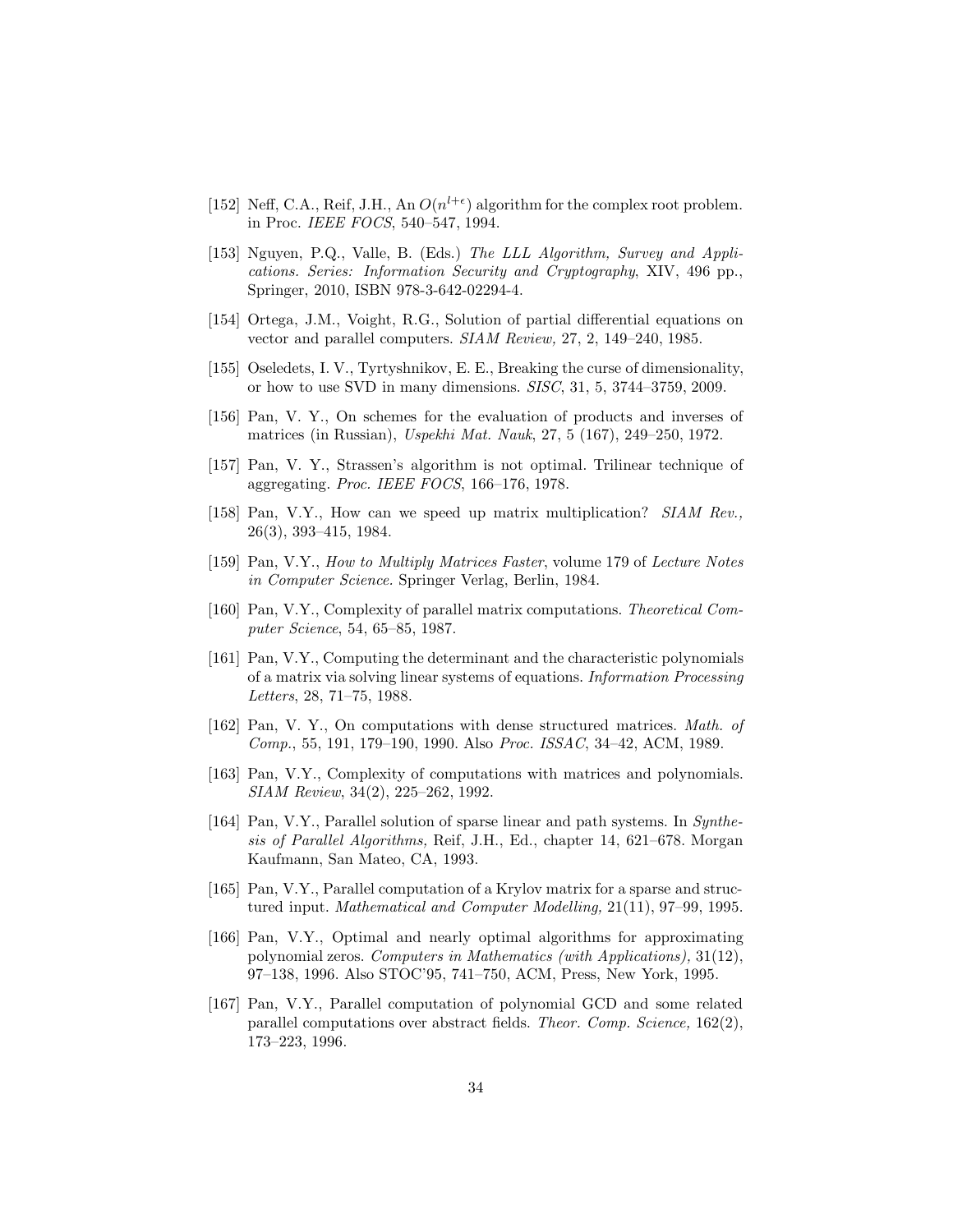- [152] Neff, C.A., Reif, J.H., An  $O(n^{l+\epsilon})$  algorithm for the complex root problem. in Proc. *IEEE FOCS*, 540–547, 1994.
- [153] Nguyen, P.Q., Valle, B. (Eds.) *The LLL Algorithm, Survey and Applications. Series: Information Security and Cryptography*, XIV, 496 pp., Springer, 2010, ISBN 978-3-642-02294-4.
- [154] Ortega, J.M., Voight, R.G., Solution of partial differential equations on vector and parallel computers. *SIAM Review,* 27, 2, 149–240, 1985.
- [155] Oseledets, I. V., Tyrtyshnikov, E. E., Breaking the curse of dimensionality, or how to use SVD in many dimensions. *SISC*, 31, 5, 3744–3759, 2009.
- [156] Pan, V. Y., On schemes for the evaluation of products and inverses of matrices (in Russian), *Uspekhi Mat. Nauk*, 27, 5 (167), 249–250, 1972.
- [157] Pan, V. Y., Strassen's algorithm is not optimal. Trilinear technique of aggregating. *Proc. IEEE FOCS*, 166–176, 1978.
- [158] Pan, V.Y., How can we speed up matrix multiplication? *SIAM Rev.,* 26(3), 393–415, 1984.
- [159] Pan, V.Y., *How to Multiply Matrices Faster*, volume 179 of *Lecture Notes in Computer Science.* Springer Verlag, Berlin, 1984.
- [160] Pan, V.Y., Complexity of parallel matrix computations. *Theoretical Computer Science*, 54, 65–85, 1987.
- [161] Pan, V.Y., Computing the determinant and the characteristic polynomials of a matrix via solving linear systems of equations. *Information Processing Letters*, 28, 71–75, 1988.
- [162] Pan, V. Y., On computations with dense structured matrices. *Math. of Comp.*, 55, 191, 179–190, 1990. Also *Proc. ISSAC*, 34–42, ACM, 1989.
- [163] Pan, V.Y., Complexity of computations with matrices and polynomials. *SIAM Review*, 34(2), 225–262, 1992.
- [164] Pan, V.Y., Parallel solution of sparse linear and path systems. In *Synthesis of Parallel Algorithms,* Reif, J.H., Ed., chapter 14, 621–678. Morgan Kaufmann, San Mateo, CA, 1993.
- [165] Pan, V.Y., Parallel computation of a Krylov matrix for a sparse and structured input. *Mathematical and Computer Modelling,* 21(11), 97–99, 1995.
- [166] Pan, V.Y., Optimal and nearly optimal algorithms for approximating polynomial zeros. *Computers in Mathematics (with Applications),* 31(12), 97–138, 1996. Also STOC'95, 741–750, ACM, Press, New York, 1995.
- [167] Pan, V.Y., Parallel computation of polynomial GCD and some related parallel computations over abstract fields. *Theor. Comp. Science,* 162(2), 173–223, 1996.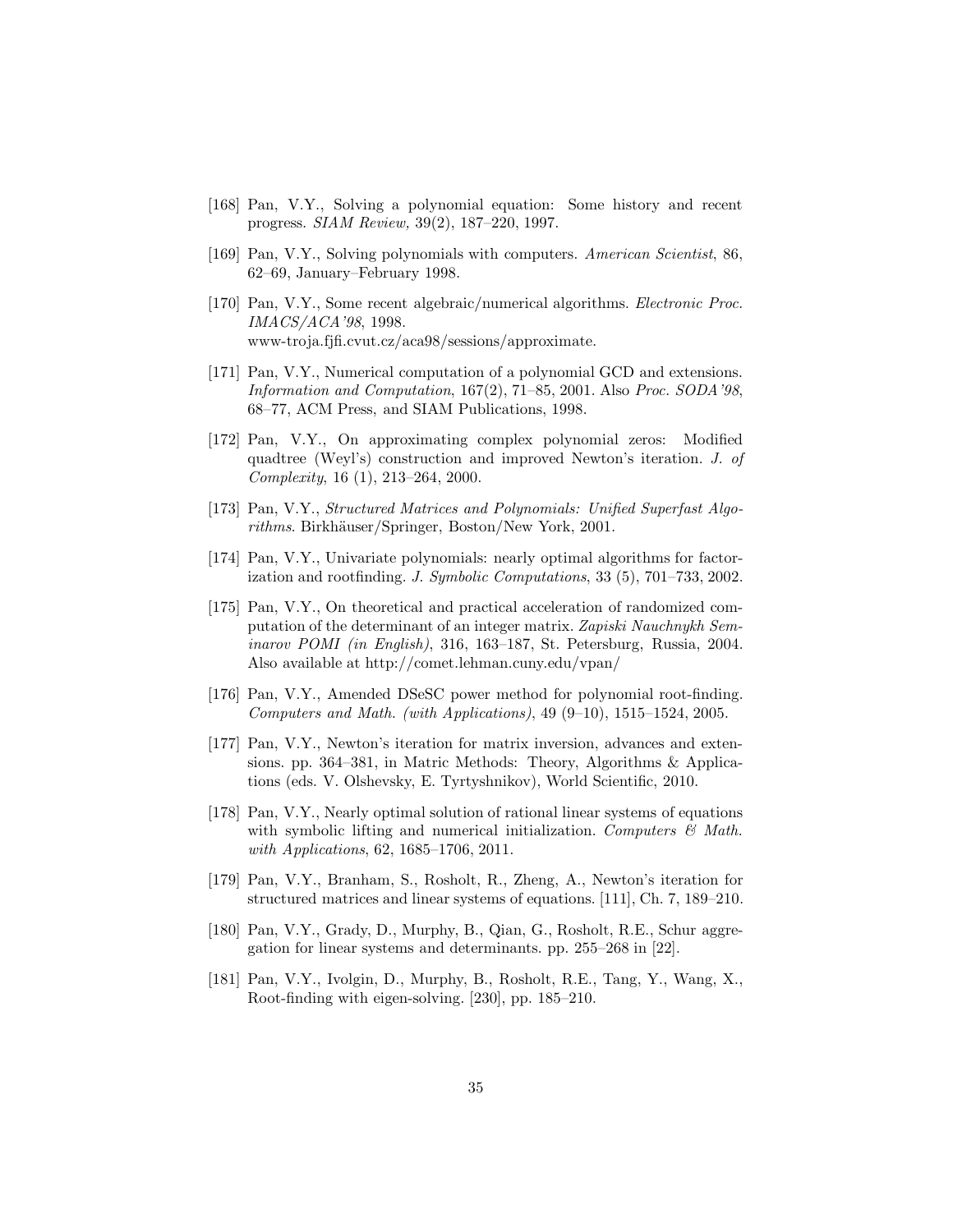- [168] Pan, V.Y., Solving a polynomial equation: Some history and recent progress. *SIAM Review,* 39(2), 187–220, 1997.
- [169] Pan, V.Y., Solving polynomials with computers. *American Scientist*, 86, 62–69, January–February 1998.
- [170] Pan, V.Y., Some recent algebraic/numerical algorithms. *Electronic Proc. IMACS/ACA'98*, 1998. www-troja.fjfi.cvut.cz/aca98/sessions/approximate.
- [171] Pan, V.Y., Numerical computation of a polynomial GCD and extensions. *Information and Computation*, 167(2), 71–85, 2001. Also *Proc. SODA'98*, 68–77, ACM Press, and SIAM Publications, 1998.
- [172] Pan, V.Y., On approximating complex polynomial zeros: Modified quadtree (Weyl's) construction and improved Newton's iteration. *J. of Complexity*, 16 (1), 213–264, 2000.
- [173] Pan, V.Y., *Structured Matrices and Polynomials: Unified Superfast Algorithms*. Birkh¨auser/Springer, Boston/New York, 2001.
- [174] Pan, V.Y., Univariate polynomials: nearly optimal algorithms for factorization and rootfinding. *J. Symbolic Computations*, 33 (5), 701–733, 2002.
- [175] Pan, V.Y., On theoretical and practical acceleration of randomized computation of the determinant of an integer matrix. *Zapiski Nauchnykh Seminarov POMI (in English)*, 316, 163–187, St. Petersburg, Russia, 2004. Also available at http://comet.lehman.cuny.edu/vpan/
- [176] Pan, V.Y., Amended DSeSC power method for polynomial root-finding. *Computers and Math. (with Applications)*, 49 (9–10), 1515–1524, 2005.
- [177] Pan, V.Y., Newton's iteration for matrix inversion, advances and extensions. pp. 364–381, in Matric Methods: Theory, Algorithms & Applications (eds. V. Olshevsky, E. Tyrtyshnikov), World Scientific, 2010.
- [178] Pan, V.Y., Nearly optimal solution of rational linear systems of equations with symbolic lifting and numerical initialization. *Computers & Math. with Applications*, 62, 1685–1706, 2011.
- [179] Pan, V.Y., Branham, S., Rosholt, R., Zheng, A., Newton's iteration for structured matrices and linear systems of equations. [111], Ch. 7, 189–210.
- [180] Pan, V.Y., Grady, D., Murphy, B., Qian, G., Rosholt, R.E., Schur aggregation for linear systems and determinants. pp. 255–268 in [22].
- [181] Pan, V.Y., Ivolgin, D., Murphy, B., Rosholt, R.E., Tang, Y., Wang, X., Root-finding with eigen-solving. [230], pp. 185–210.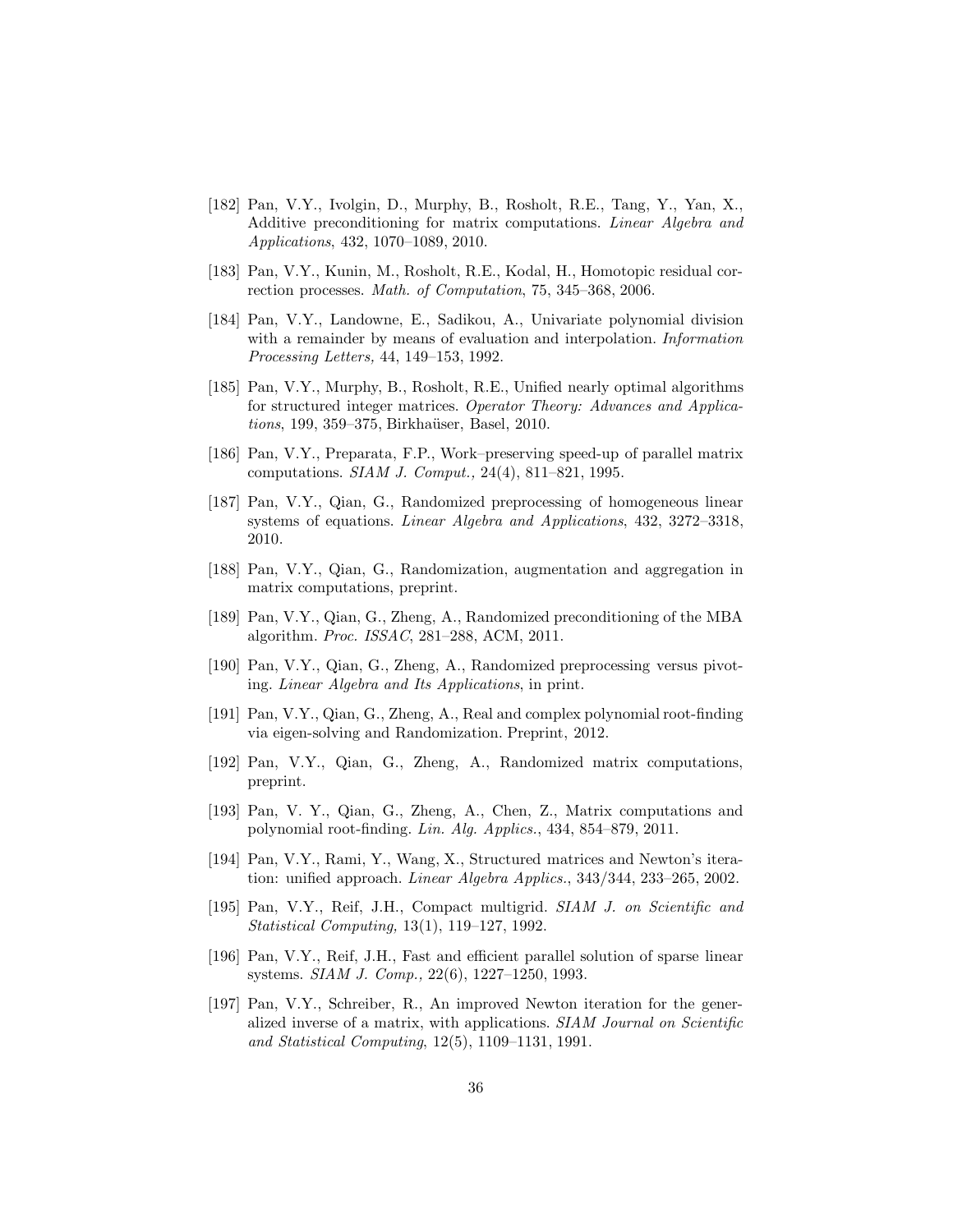- [182] Pan, V.Y., Ivolgin, D., Murphy, B., Rosholt, R.E., Tang, Y., Yan, X., Additive preconditioning for matrix computations. *Linear Algebra and Applications*, 432, 1070–1089, 2010.
- [183] Pan, V.Y., Kunin, M., Rosholt, R.E., Kodal, H., Homotopic residual correction processes. *Math. of Computation*, 75, 345–368, 2006.
- [184] Pan, V.Y., Landowne, E., Sadikou, A., Univariate polynomial division with a remainder by means of evaluation and interpolation. *Information Processing Letters,* 44, 149–153, 1992.
- [185] Pan, V.Y., Murphy, B., Rosholt, R.E., Unified nearly optimal algorithms for structured integer matrices. *Operator Theory: Advances and Applications*, 199, 359–375, Birkhaüser, Basel, 2010.
- [186] Pan, V.Y., Preparata, F.P., Work–preserving speed-up of parallel matrix computations. *SIAM J. Comput.,* 24(4), 811–821, 1995.
- [187] Pan, V.Y., Qian, G., Randomized preprocessing of homogeneous linear systems of equations. *Linear Algebra and Applications*, 432, 3272–3318, 2010.
- [188] Pan, V.Y., Qian, G., Randomization, augmentation and aggregation in matrix computations, preprint.
- [189] Pan, V.Y., Qian, G., Zheng, A., Randomized preconditioning of the MBA algorithm. *Proc. ISSAC*, 281–288, ACM, 2011.
- [190] Pan, V.Y., Qian, G., Zheng, A., Randomized preprocessing versus pivoting. *Linear Algebra and Its Applications*, in print.
- [191] Pan, V.Y., Qian, G., Zheng, A., Real and complex polynomial root-finding via eigen-solving and Randomization. Preprint, 2012.
- [192] Pan, V.Y., Qian, G., Zheng, A., Randomized matrix computations, preprint.
- [193] Pan, V. Y., Qian, G., Zheng, A., Chen, Z., Matrix computations and polynomial root-finding. *Lin. Alg. Applics.*, 434, 854–879, 2011.
- [194] Pan, V.Y., Rami, Y., Wang, X., Structured matrices and Newton's iteration: unified approach. *Linear Algebra Applics.*, 343/344, 233–265, 2002.
- [195] Pan, V.Y., Reif, J.H., Compact multigrid. *SIAM J. on Scientific and Statistical Computing,* 13(1), 119–127, 1992.
- [196] Pan, V.Y., Reif, J.H., Fast and efficient parallel solution of sparse linear systems. *SIAM J. Comp.,* 22(6), 1227–1250, 1993.
- [197] Pan, V.Y., Schreiber, R., An improved Newton iteration for the generalized inverse of a matrix, with applications. *SIAM Journal on Scientific and Statistical Computing*, 12(5), 1109–1131, 1991.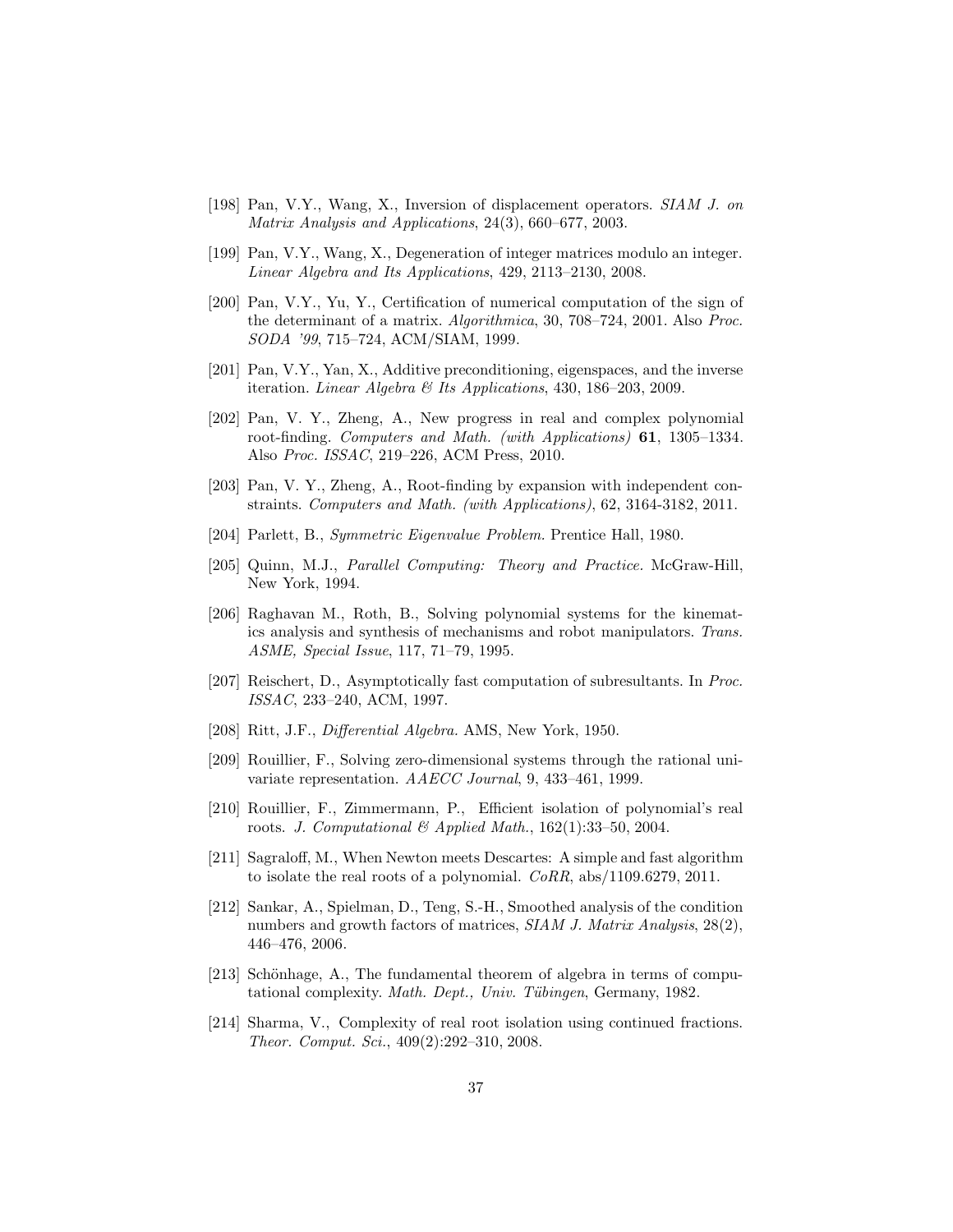- [198] Pan, V.Y., Wang, X., Inversion of displacement operators. *SIAM J. on Matrix Analysis and Applications*, 24(3), 660–677, 2003.
- [199] Pan, V.Y., Wang, X., Degeneration of integer matrices modulo an integer. *Linear Algebra and Its Applications*, 429, 2113–2130, 2008.
- [200] Pan, V.Y., Yu, Y., Certification of numerical computation of the sign of the determinant of a matrix. *Algorithmica*, 30, 708–724, 2001. Also *Proc. SODA '99*, 715–724, ACM/SIAM, 1999.
- [201] Pan, V.Y., Yan, X., Additive preconditioning, eigenspaces, and the inverse iteration. *Linear Algebra & Its Applications*, 430, 186–203, 2009.
- [202] Pan, V. Y., Zheng, A., New progress in real and complex polynomial root-finding. *Computers and Math. (with Applications)* **61**, 1305–1334. Also *Proc. ISSAC*, 219–226, ACM Press, 2010.
- [203] Pan, V. Y., Zheng, A., Root-finding by expansion with independent constraints. *Computers and Math. (with Applications)*, 62, 3164-3182, 2011.
- [204] Parlett, B., *Symmetric Eigenvalue Problem.* Prentice Hall, 1980.
- [205] Quinn, M.J., *Parallel Computing: Theory and Practice.* McGraw-Hill, New York, 1994.
- [206] Raghavan M., Roth, B., Solving polynomial systems for the kinematics analysis and synthesis of mechanisms and robot manipulators. *Trans. ASME, Special Issue*, 117, 71–79, 1995.
- [207] Reischert, D., Asymptotically fast computation of subresultants. In *Proc. ISSAC*, 233–240, ACM, 1997.
- [208] Ritt, J.F., *Differential Algebra.* AMS, New York, 1950.
- [209] Rouillier, F., Solving zero-dimensional systems through the rational univariate representation. *AAECC Journal*, 9, 433–461, 1999.
- [210] Rouillier, F., Zimmermann, P., Efficient isolation of polynomial's real roots. *J. Computational & Applied Math.*, 162(1):33–50, 2004.
- [211] Sagraloff, M., When Newton meets Descartes: A simple and fast algorithm to isolate the real roots of a polynomial. *CoRR*, abs/1109.6279, 2011.
- [212] Sankar, A., Spielman, D., Teng, S.-H., Smoothed analysis of the condition numbers and growth factors of matrices, *SIAM J. Matrix Analysis*, 28(2), 446–476, 2006.
- [213] Schönhage, A., The fundamental theorem of algebra in terms of computational complexity. *Math. Dept., Univ. Tübingen*, Germany, 1982.
- [214] Sharma, V., Complexity of real root isolation using continued fractions. *Theor. Comput. Sci.*, 409(2):292–310, 2008.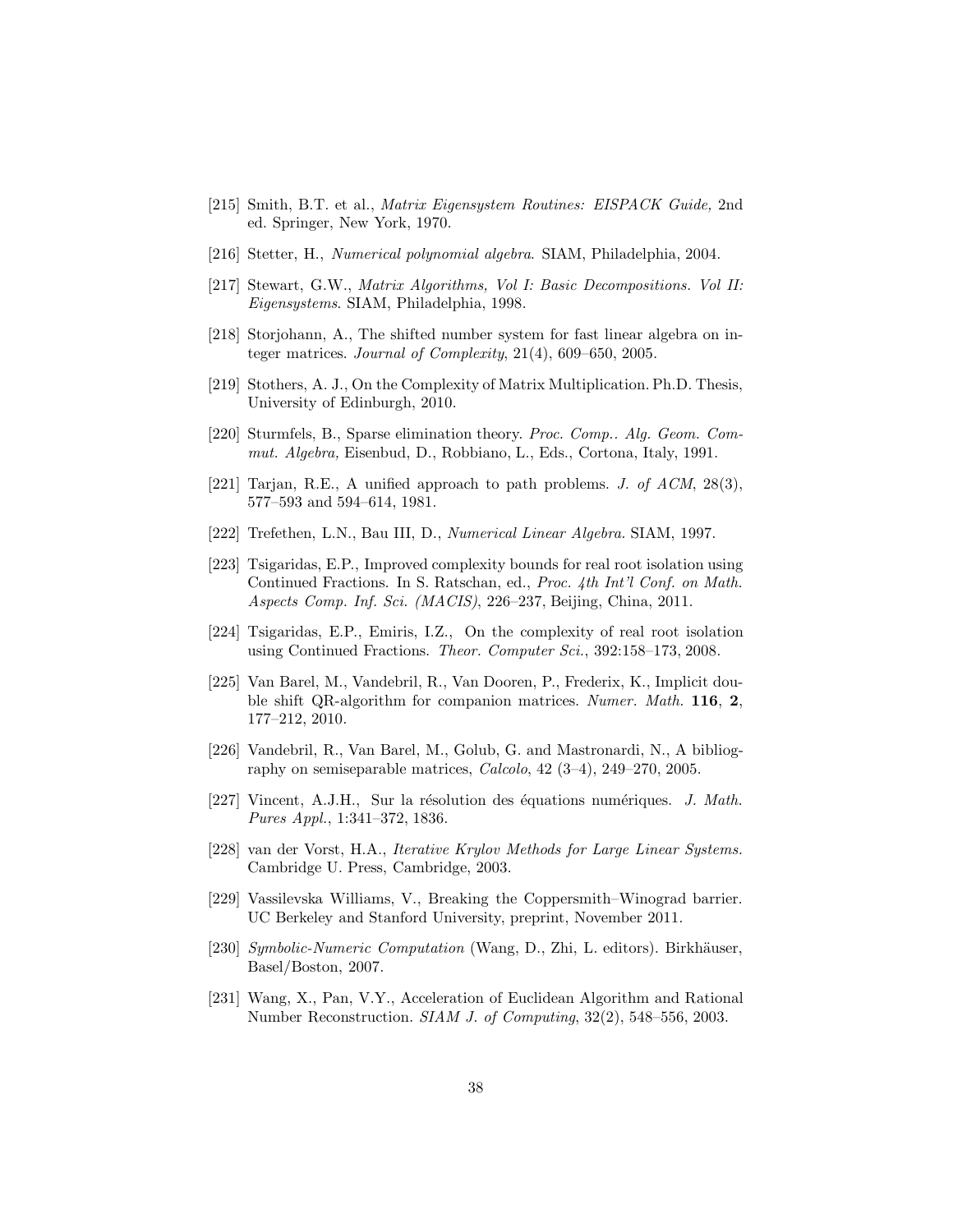- [215] Smith, B.T. et al., *Matrix Eigensystem Routines: EISPACK Guide,* 2nd ed. Springer, New York, 1970.
- [216] Stetter, H., *Numerical polynomial algebra*. SIAM, Philadelphia, 2004.
- [217] Stewart, G.W., *Matrix Algorithms, Vol I: Basic Decompositions. Vol II: Eigensystems*. SIAM, Philadelphia, 1998.
- [218] Storjohann, A., The shifted number system for fast linear algebra on integer matrices. *Journal of Complexity*, 21(4), 609–650, 2005.
- [219] Stothers, A. J., On the Complexity of Matrix Multiplication. Ph.D. Thesis, University of Edinburgh, 2010.
- [220] Sturmfels, B., Sparse elimination theory. *Proc. Comp.. Alg. Geom. Commut. Algebra,* Eisenbud, D., Robbiano, L., Eds., Cortona, Italy, 1991.
- [221] Tarjan, R.E., A unified approach to path problems. *J. of ACM*, 28(3), 577–593 and 594–614, 1981.
- [222] Trefethen, L.N., Bau III, D., *Numerical Linear Algebra.* SIAM, 1997.
- [223] Tsigaridas, E.P., Improved complexity bounds for real root isolation using Continued Fractions. In S. Ratschan, ed., *Proc. 4th Int'l Conf. on Math. Aspects Comp. Inf. Sci. (MACIS)*, 226–237, Beijing, China, 2011.
- [224] Tsigaridas, E.P., Emiris, I.Z., On the complexity of real root isolation using Continued Fractions. *Theor. Computer Sci.*, 392:158–173, 2008.
- [225] Van Barel, M., Vandebril, R., Van Dooren, P., Frederix, K., Implicit double shift QR-algorithm for companion matrices. *Numer. Math.* **116**, **2**, 177–212, 2010.
- [226] Vandebril, R., Van Barel, M., Golub, G. and Mastronardi, N., A bibliography on semiseparable matrices, *Calcolo*, 42 (3–4), 249–270, 2005.
- [227] Vincent, A.J.H., Sur la r´esolution des ´equations num´eriques. *J. Math. Pures Appl.*, 1:341–372, 1836.
- [228] van der Vorst, H.A., *Iterative Krylov Methods for Large Linear Systems.* Cambridge U. Press, Cambridge, 2003.
- [229] Vassilevska Williams, V., Breaking the Coppersmith–Winograd barrier. UC Berkeley and Stanford University, preprint, November 2011.
- [230] *Symbolic-Numeric Computation* (Wang, D., Zhi, L. editors). Birkhäuser, Basel/Boston, 2007.
- [231] Wang, X., Pan, V.Y., Acceleration of Euclidean Algorithm and Rational Number Reconstruction. *SIAM J. of Computing*, 32(2), 548–556, 2003.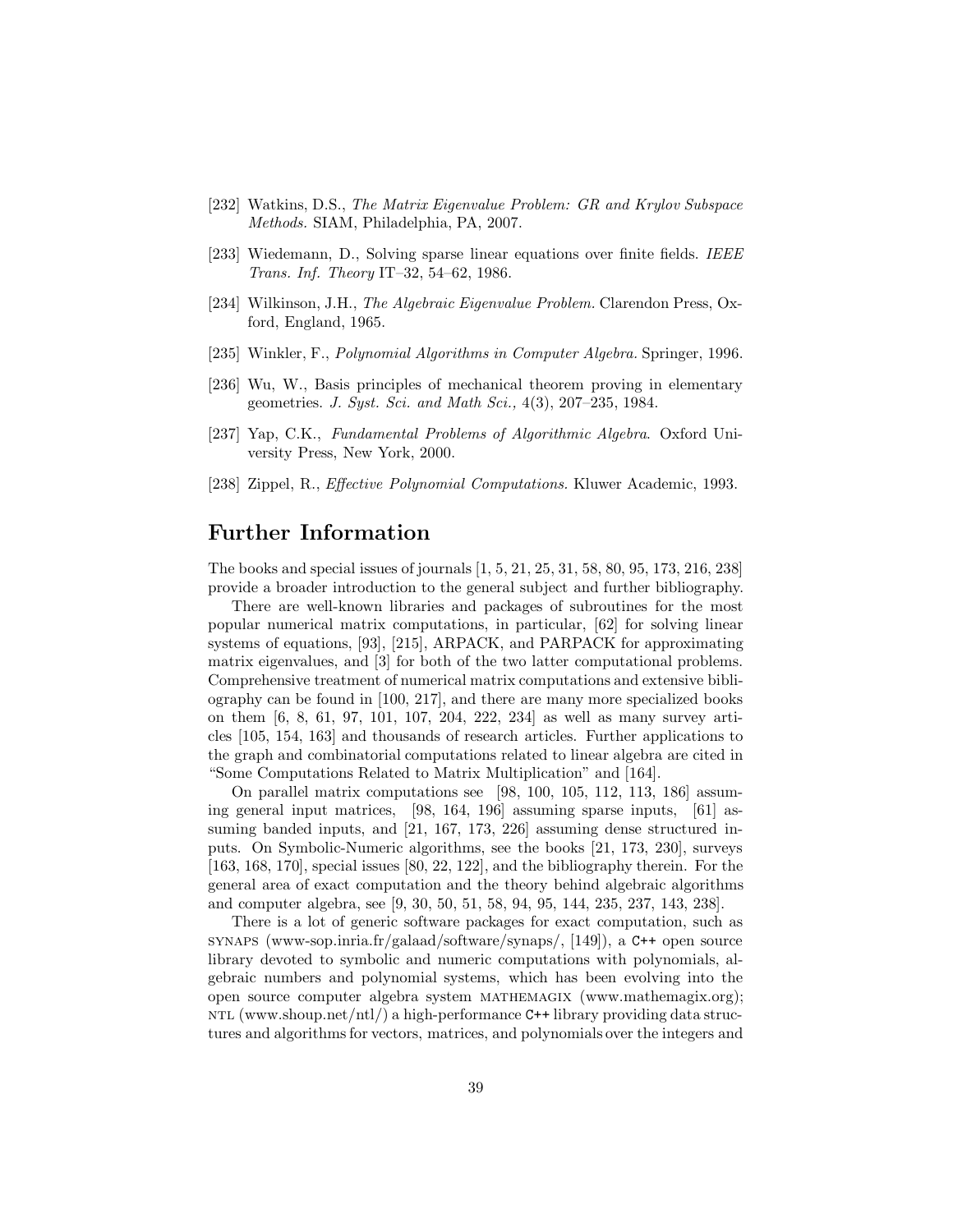- [232] Watkins, D.S., *The Matrix Eigenvalue Problem: GR and Krylov Subspace Methods.* SIAM, Philadelphia, PA, 2007.
- [233] Wiedemann, D., Solving sparse linear equations over finite fields. *IEEE Trans. Inf. Theory* IT–32, 54–62, 1986.
- [234] Wilkinson, J.H., *The Algebraic Eigenvalue Problem.* Clarendon Press, Oxford, England, 1965.
- [235] Winkler, F., *Polynomial Algorithms in Computer Algebra.* Springer, 1996.
- [236] Wu, W., Basis principles of mechanical theorem proving in elementary geometries. *J. Syst. Sci. and Math Sci.,* 4(3), 207–235, 1984.
- [237] Yap, C.K., *Fundamental Problems of Algorithmic Algebra*. Oxford University Press, New York, 2000.
- [238] Zippel, R., *Effective Polynomial Computations.* Kluwer Academic, 1993.

# **Further Information**

The books and special issues of journals [1, 5, 21, 25, 31, 58, 80, 95, 173, 216, 238] provide a broader introduction to the general subject and further bibliography.

There are well-known libraries and packages of subroutines for the most popular numerical matrix computations, in particular, [62] for solving linear systems of equations, [93], [215], ARPACK, and PARPACK for approximating matrix eigenvalues, and [3] for both of the two latter computational problems. Comprehensive treatment of numerical matrix computations and extensive bibliography can be found in [100, 217], and there are many more specialized books on them [6, 8, 61, 97, 101, 107, 204, 222, 234] as well as many survey articles [105, 154, 163] and thousands of research articles. Further applications to the graph and combinatorial computations related to linear algebra are cited in "Some Computations Related to Matrix Multiplication" and [164].

On parallel matrix computations see [98, 100, 105, 112, 113, 186] assuming general input matrices, [98, 164, 196] assuming sparse inputs, [61] assuming banded inputs, and [21, 167, 173, 226] assuming dense structured inputs. On Symbolic-Numeric algorithms, see the books [21, 173, 230], surveys [163, 168, 170], special issues [80, 22, 122], and the bibliography therein. For the general area of exact computation and the theory behind algebraic algorithms and computer algebra, see [9, 30, 50, 51, 58, 94, 95, 144, 235, 237, 143, 238].

There is a lot of generic software packages for exact computation, such as synaps (www-sop.inria.fr/galaad/software/synaps/, [149]), a C++ open source library devoted to symbolic and numeric computations with polynomials, algebraic numbers and polynomial systems, which has been evolving into the open source computer algebra system mathemagix (www.mathemagix.org); NTL (www.shoup.net/ntl/) a high-performance  $C++$  library providing data structures and algorithms for vectors, matrices, and polynomials over the integers and